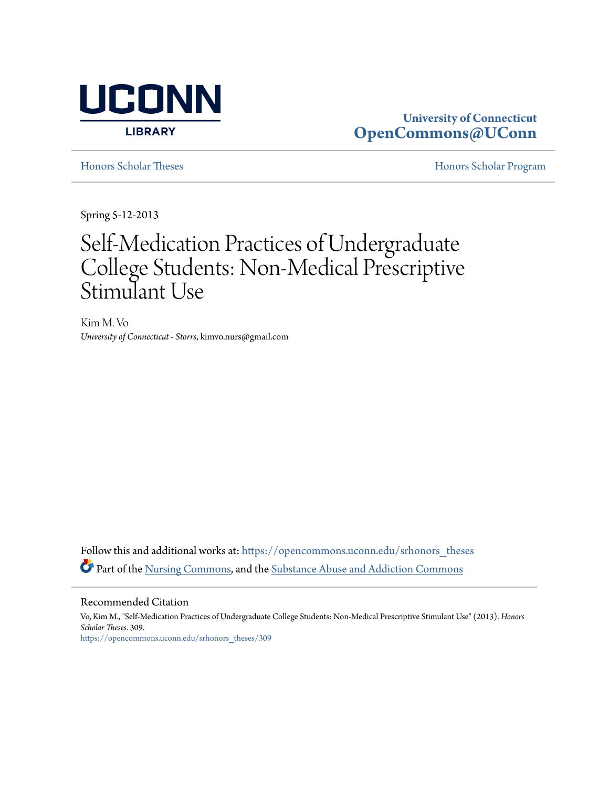

### **University of Connecticut [OpenCommons@UConn](https://opencommons.uconn.edu?utm_source=opencommons.uconn.edu%2Fsrhonors_theses%2F309&utm_medium=PDF&utm_campaign=PDFCoverPages)**

[Honors Scholar Theses](https://opencommons.uconn.edu/srhonors_theses?utm_source=opencommons.uconn.edu%2Fsrhonors_theses%2F309&utm_medium=PDF&utm_campaign=PDFCoverPages) [Honors Scholar Program](https://opencommons.uconn.edu/srhonors?utm_source=opencommons.uconn.edu%2Fsrhonors_theses%2F309&utm_medium=PDF&utm_campaign=PDFCoverPages)

Spring 5-12-2013

## Self-Medication Practices of Undergraduate College Students: Non-Medical Prescriptive Stimulant Use

Kim M. Vo *University of Connecticut - Storrs*, kimvo.nurs@gmail.com

Follow this and additional works at: [https://opencommons.uconn.edu/srhonors\\_theses](https://opencommons.uconn.edu/srhonors_theses?utm_source=opencommons.uconn.edu%2Fsrhonors_theses%2F309&utm_medium=PDF&utm_campaign=PDFCoverPages) Part of the [Nursing Commons](http://network.bepress.com/hgg/discipline/718?utm_source=opencommons.uconn.edu%2Fsrhonors_theses%2F309&utm_medium=PDF&utm_campaign=PDFCoverPages), and the [Substance Abuse and Addiction Commons](http://network.bepress.com/hgg/discipline/710?utm_source=opencommons.uconn.edu%2Fsrhonors_theses%2F309&utm_medium=PDF&utm_campaign=PDFCoverPages)

Recommended Citation

Vo, Kim M., "Self-Medication Practices of Undergraduate College Students: Non-Medical Prescriptive Stimulant Use" (2013). *Honors Scholar Theses*. 309. [https://opencommons.uconn.edu/srhonors\\_theses/309](https://opencommons.uconn.edu/srhonors_theses/309?utm_source=opencommons.uconn.edu%2Fsrhonors_theses%2F309&utm_medium=PDF&utm_campaign=PDFCoverPages)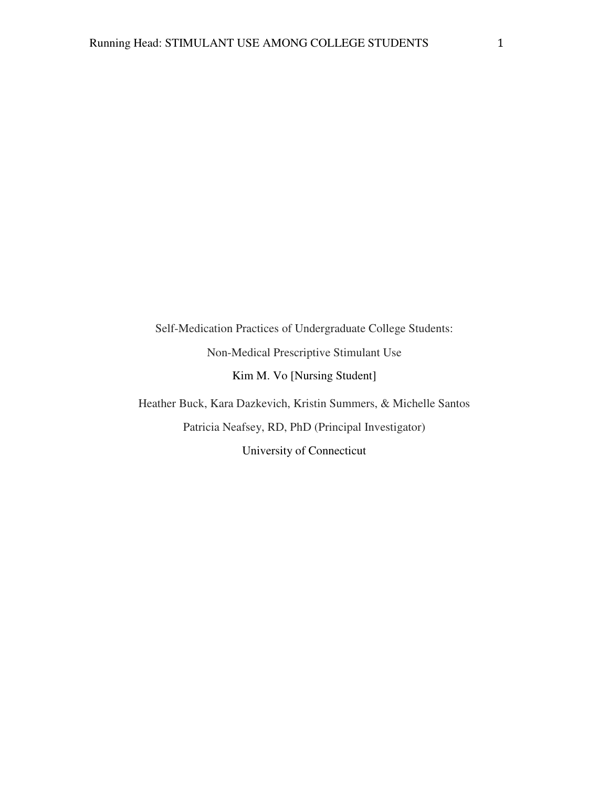Self-Medication Practices of Undergraduate College Students: Non-Medical Prescriptive Stimulant Use Kim M. Vo [Nursing Student] Heather Buck, Kara Dazkevich, Kristin Summers, & Michelle Santos

Patricia Neafsey, RD, PhD (Principal Investigator) University of Connecticut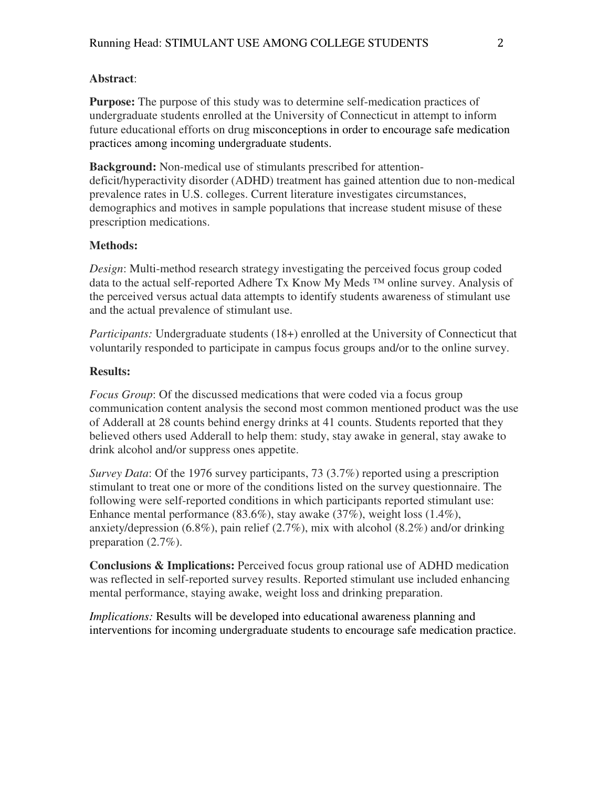#### **Abstract**:

**Purpose:** The purpose of this study was to determine self-medication practices of undergraduate students enrolled at the University of Connecticut in attempt to inform future educational efforts on drug misconceptions in order to encourage safe medication practices among incoming undergraduate students.

**Background:** Non-medical use of stimulants prescribed for attentiondeficit/hyperactivity disorder (ADHD) treatment has gained attention due to non-medical prevalence rates in U.S. colleges. Current literature investigates circumstances, demographics and motives in sample populations that increase student misuse of these prescription medications.

#### **Methods:**

*Design*: Multi-method research strategy investigating the perceived focus group coded data to the actual self-reported Adhere Tx Know My Meds ™ online survey. Analysis of the perceived versus actual data attempts to identify students awareness of stimulant use and the actual prevalence of stimulant use.

*Participants:* Undergraduate students (18+) enrolled at the University of Connecticut that voluntarily responded to participate in campus focus groups and/or to the online survey.

#### **Results:**

*Focus Group*: Of the discussed medications that were coded via a focus group communication content analysis the second most common mentioned product was the use of Adderall at 28 counts behind energy drinks at 41 counts. Students reported that they believed others used Adderall to help them: study, stay awake in general, stay awake to drink alcohol and/or suppress ones appetite.

*Survey Data*: Of the 1976 survey participants, 73 (3.7%) reported using a prescription stimulant to treat one or more of the conditions listed on the survey questionnaire. The following were self-reported conditions in which participants reported stimulant use: Enhance mental performance (83.6%), stay awake (37%), weight loss (1.4%), anxiety/depression (6.8%), pain relief (2.7%), mix with alcohol (8.2%) and/or drinking preparation (2.7%).

**Conclusions & Implications:** Perceived focus group rational use of ADHD medication was reflected in self-reported survey results. Reported stimulant use included enhancing mental performance, staying awake, weight loss and drinking preparation.

*Implications:* Results will be developed into educational awareness planning and interventions for incoming undergraduate students to encourage safe medication practice.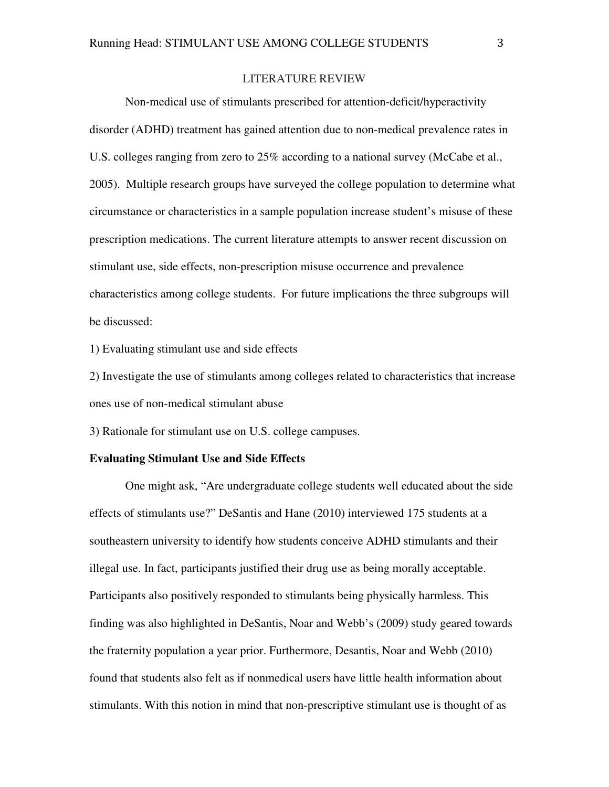#### LITERATURE REVIEW

Non-medical use of stimulants prescribed for attention-deficit/hyperactivity disorder (ADHD) treatment has gained attention due to non-medical prevalence rates in U.S. colleges ranging from zero to 25% according to a national survey (McCabe et al., 2005). Multiple research groups have surveyed the college population to determine what circumstance or characteristics in a sample population increase student's misuse of these prescription medications. The current literature attempts to answer recent discussion on stimulant use, side effects, non-prescription misuse occurrence and prevalence characteristics among college students. For future implications the three subgroups will be discussed:

1) Evaluating stimulant use and side effects

2) Investigate the use of stimulants among colleges related to characteristics that increase ones use of non-medical stimulant abuse

3) Rationale for stimulant use on U.S. college campuses.

#### **Evaluating Stimulant Use and Side Effects**

One might ask, "Are undergraduate college students well educated about the side effects of stimulants use?" DeSantis and Hane (2010) interviewed 175 students at a southeastern university to identify how students conceive ADHD stimulants and their illegal use. In fact, participants justified their drug use as being morally acceptable. Participants also positively responded to stimulants being physically harmless. This finding was also highlighted in DeSantis, Noar and Webb's (2009) study geared towards the fraternity population a year prior. Furthermore, Desantis, Noar and Webb (2010) found that students also felt as if nonmedical users have little health information about stimulants. With this notion in mind that non-prescriptive stimulant use is thought of as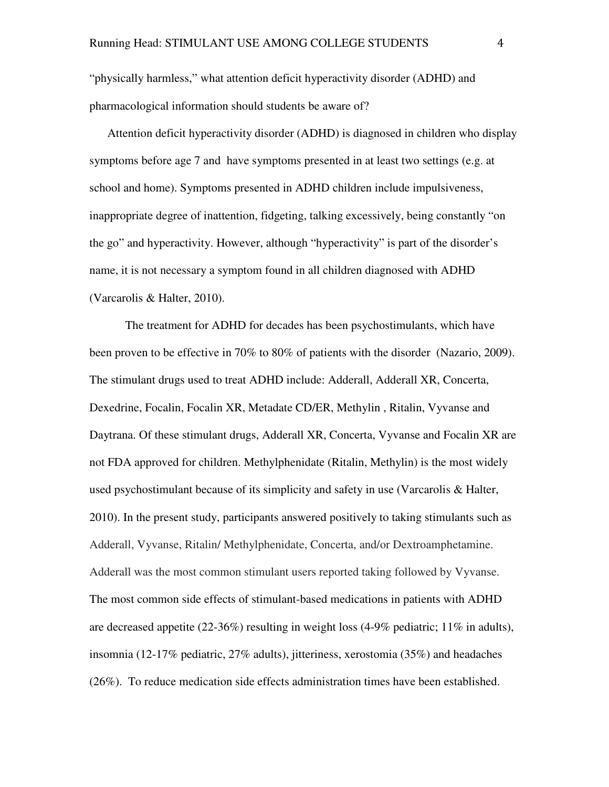"physically harmless," what attention deficit hyperactivity disorder (ADHD) and pharmacological information should students be aware of?

Attention deficit hyperactivity disorder (ADHD) is diagnosed in children who display symptoms before age 7 and have symptoms presented in at least two settings (e.g. at school and home). Symptoms presented in ADHD children include impulsiveness, inappropriate degree of inattention, fidgeting, talking excessively, being constantly "on the go" and hyperactivity. However, although "hyperactivity" is part of the disorder's name, it is not necessary a symptom found in all children diagnosed with ADHD (Varcarolis & Halter, 2010).

The treatment for ADHD for decades has been psychostimulants, which have been proven to be effective in 70% to 80% of patients with the disorder (Nazario, 2009). The stimulant drugs used to treat ADHD include: Adderall, Adderall XR, Concerta, Dexedrine, Focalin, Focalin XR, Metadate CD/ER, Methylin , Ritalin, Vyvanse and Daytrana. Of these stimulant drugs, Adderall XR, Concerta, Vyvanse and Focalin XR are not FDA approved for children. Methylphenidate (Ritalin, Methylin) is the most widely used psychostimulant because of its simplicity and safety in use (Varcarolis & Halter, 2010). In the present study, participants answered positively to taking stimulants such as Adderall, Vyvanse, Ritalin/ Methylphenidate, Concerta, and/or Dextroamphetamine. Adderall was the most common stimulant users reported taking followed by Vyvanse. The most common side effects of stimulant-based medications in patients with ADHD are decreased appetite  $(22-36%)$  resulting in weight loss  $(4-9%)$  pediatric; 11% in adults), insomnia (12-17% pediatric, 27% adults), jitteriness, xerostomia (35%) and headaches (26%). To reduce medication side effects administration times have been established.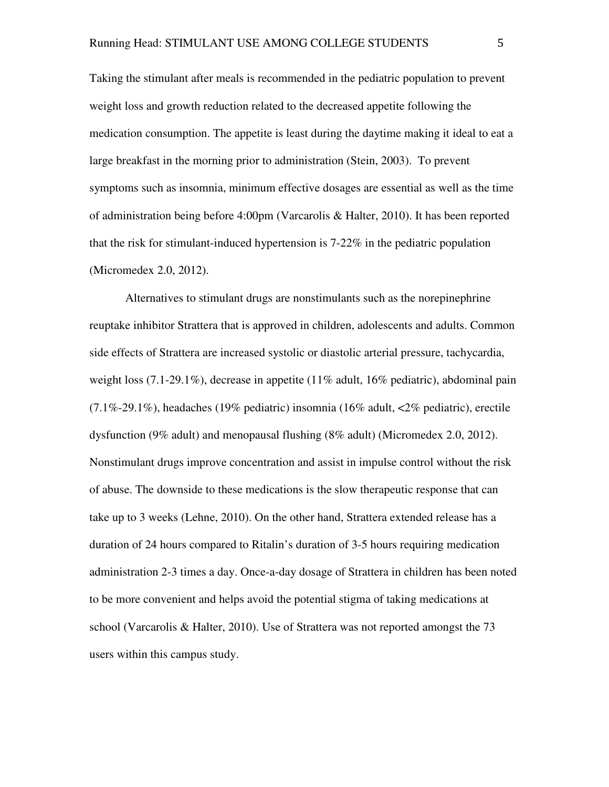Taking the stimulant after meals is recommended in the pediatric population to prevent weight loss and growth reduction related to the decreased appetite following the medication consumption. The appetite is least during the daytime making it ideal to eat a large breakfast in the morning prior to administration (Stein, 2003). To prevent symptoms such as insomnia, minimum effective dosages are essential as well as the time of administration being before 4:00pm (Varcarolis & Halter, 2010). It has been reported that the risk for stimulant-induced hypertension is 7-22% in the pediatric population (Micromedex 2.0, 2012).

Alternatives to stimulant drugs are nonstimulants such as the norepinephrine reuptake inhibitor Strattera that is approved in children, adolescents and adults. Common side effects of Strattera are increased systolic or diastolic arterial pressure, tachycardia, weight loss (7.1-29.1%), decrease in appetite (11% adult, 16% pediatric), abdominal pain (7.1%-29.1%), headaches (19% pediatric) insomnia (16% adult, <2% pediatric), erectile dysfunction (9% adult) and menopausal flushing (8% adult) (Micromedex 2.0, 2012). Nonstimulant drugs improve concentration and assist in impulse control without the risk of abuse. The downside to these medications is the slow therapeutic response that can take up to 3 weeks (Lehne, 2010). On the other hand, Strattera extended release has a duration of 24 hours compared to Ritalin's duration of 3-5 hours requiring medication administration 2-3 times a day. Once-a-day dosage of Strattera in children has been noted to be more convenient and helps avoid the potential stigma of taking medications at school (Varcarolis & Halter, 2010). Use of Strattera was not reported amongst the 73 users within this campus study.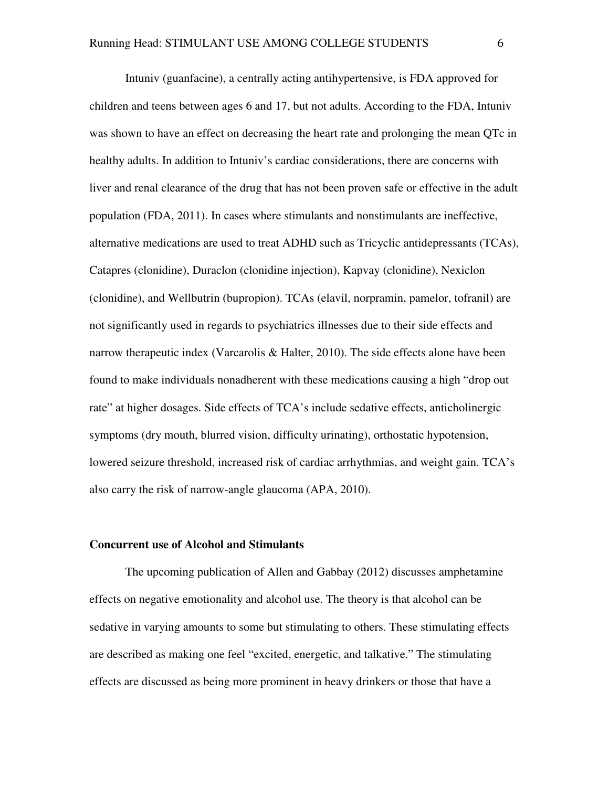Intuniv (guanfacine), a centrally acting antihypertensive, is FDA approved for children and teens between ages 6 and 17, but not adults. According to the FDA, Intuniv was shown to have an effect on decreasing the heart rate and prolonging the mean QTc in healthy adults. In addition to Intuniv's cardiac considerations, there are concerns with liver and renal clearance of the drug that has not been proven safe or effective in the adult population (FDA, 2011). In cases where stimulants and nonstimulants are ineffective, alternative medications are used to treat ADHD such as Tricyclic antidepressants (TCAs), Catapres (clonidine), Duraclon (clonidine injection), Kapvay (clonidine), Nexiclon (clonidine), and Wellbutrin (bupropion). TCAs (elavil, norpramin, pamelor, tofranil) are not significantly used in regards to psychiatrics illnesses due to their side effects and narrow therapeutic index (Varcarolis & Halter, 2010). The side effects alone have been found to make individuals nonadherent with these medications causing a high "drop out rate" at higher dosages. Side effects of TCA's include sedative effects, anticholinergic symptoms (dry mouth, blurred vision, difficulty urinating), orthostatic hypotension, lowered seizure threshold, increased risk of cardiac arrhythmias, and weight gain. TCA's also carry the risk of narrow-angle glaucoma (APA, 2010).

#### **Concurrent use of Alcohol and Stimulants**

The upcoming publication of Allen and Gabbay (2012) discusses amphetamine effects on negative emotionality and alcohol use. The theory is that alcohol can be sedative in varying amounts to some but stimulating to others. These stimulating effects are described as making one feel "excited, energetic, and talkative." The stimulating effects are discussed as being more prominent in heavy drinkers or those that have a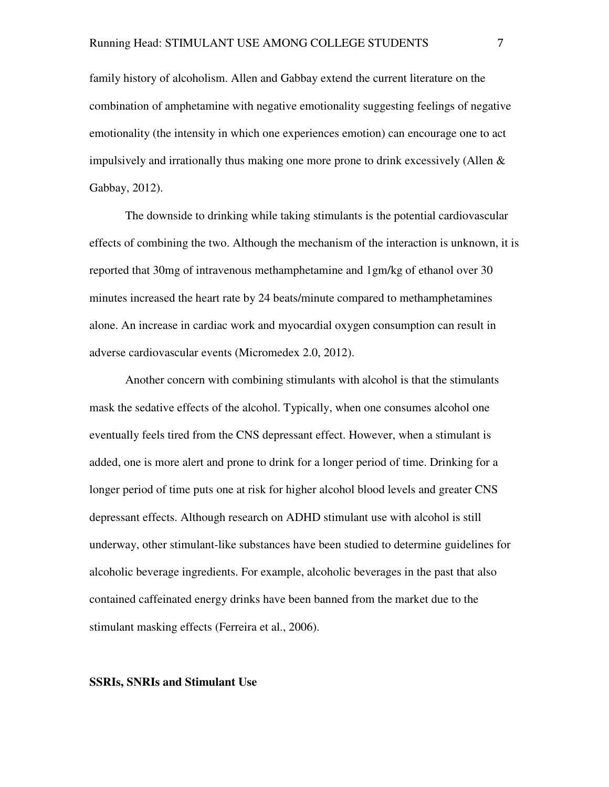family history of alcoholism. Allen and Gabbay extend the current literature on the combination of amphetamine with negative emotionality suggesting feelings of negative emotionality (the intensity in which one experiences emotion) can encourage one to act impulsively and irrationally thus making one more prone to drink excessively (Allen  $\&$ Gabbay, 2012).

 The downside to drinking while taking stimulants is the potential cardiovascular effects of combining the two. Although the mechanism of the interaction is unknown, it is reported that 30mg of intravenous methamphetamine and 1gm/kg of ethanol over 30 minutes increased the heart rate by 24 beats/minute compared to methamphetamines alone. An increase in cardiac work and myocardial oxygen consumption can result in adverse cardiovascular events (Micromedex 2.0, 2012).

 Another concern with combining stimulants with alcohol is that the stimulants mask the sedative effects of the alcohol. Typically, when one consumes alcohol one eventually feels tired from the CNS depressant effect. However, when a stimulant is added, one is more alert and prone to drink for a longer period of time. Drinking for a longer period of time puts one at risk for higher alcohol blood levels and greater CNS depressant effects. Although research on ADHD stimulant use with alcohol is still underway, other stimulant-like substances have been studied to determine guidelines for alcoholic beverage ingredients. For example, alcoholic beverages in the past that also contained caffeinated energy drinks have been banned from the market due to the stimulant masking effects (Ferreira et al., 2006).

#### **SSRIs, SNRIs and Stimulant Use**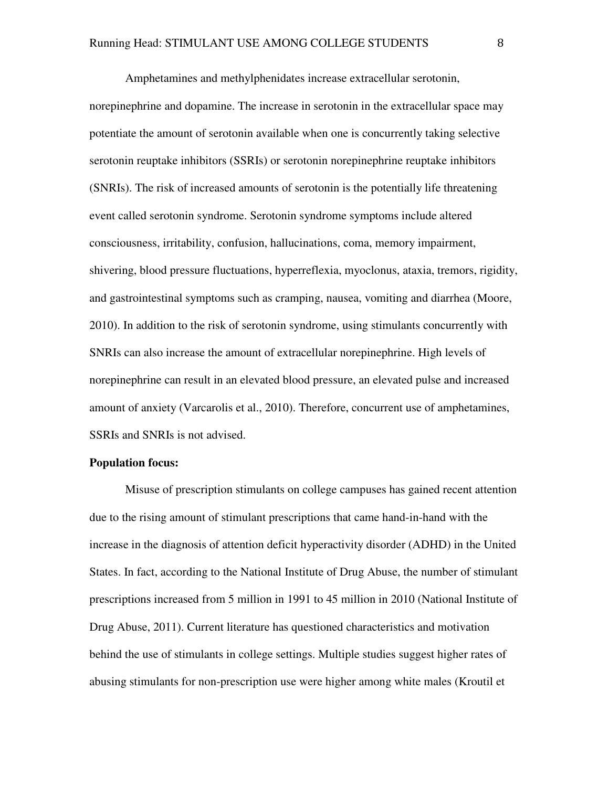Amphetamines and methylphenidates increase extracellular serotonin, norepinephrine and dopamine. The increase in serotonin in the extracellular space may potentiate the amount of serotonin available when one is concurrently taking selective serotonin reuptake inhibitors (SSRIs) or serotonin norepinephrine reuptake inhibitors (SNRIs). The risk of increased amounts of serotonin is the potentially life threatening event called serotonin syndrome. Serotonin syndrome symptoms include altered consciousness, irritability, confusion, hallucinations, coma, memory impairment, shivering, blood pressure fluctuations, hyperreflexia, myoclonus, ataxia, tremors, rigidity, and gastrointestinal symptoms such as cramping, nausea, vomiting and diarrhea (Moore, 2010). In addition to the risk of serotonin syndrome, using stimulants concurrently with SNRIs can also increase the amount of extracellular norepinephrine. High levels of norepinephrine can result in an elevated blood pressure, an elevated pulse and increased amount of anxiety (Varcarolis et al., 2010). Therefore, concurrent use of amphetamines, SSRIs and SNRIs is not advised.

#### **Population focus:**

Misuse of prescription stimulants on college campuses has gained recent attention due to the rising amount of stimulant prescriptions that came hand-in-hand with the increase in the diagnosis of attention deficit hyperactivity disorder (ADHD) in the United States. In fact, according to the National Institute of Drug Abuse, the number of stimulant prescriptions increased from 5 million in 1991 to 45 million in 2010 (National Institute of Drug Abuse, 2011). Current literature has questioned characteristics and motivation behind the use of stimulants in college settings. Multiple studies suggest higher rates of abusing stimulants for non-prescription use were higher among white males (Kroutil et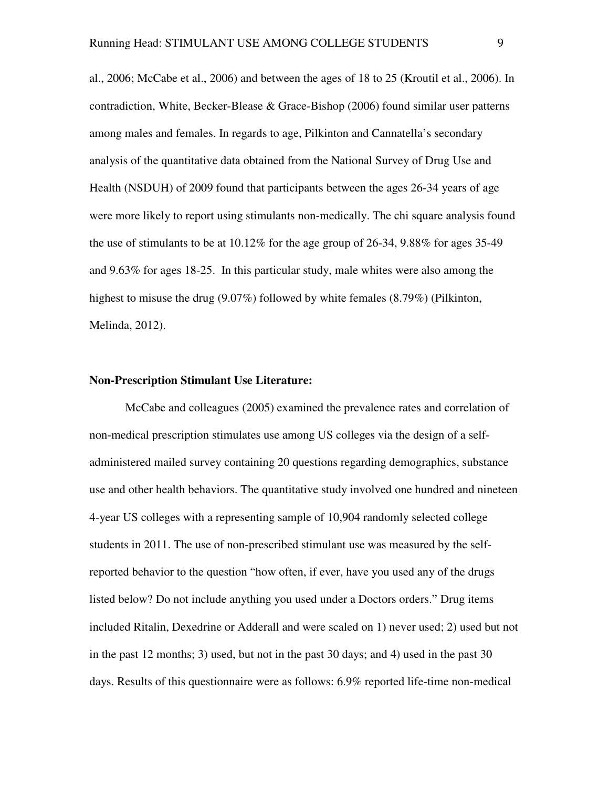al., 2006; McCabe et al., 2006) and between the ages of 18 to 25 (Kroutil et al., 2006). In contradiction, White, Becker-Blease & Grace-Bishop (2006) found similar user patterns among males and females. In regards to age, Pilkinton and Cannatella's secondary analysis of the quantitative data obtained from the National Survey of Drug Use and Health (NSDUH) of 2009 found that participants between the ages 26-34 years of age were more likely to report using stimulants non-medically. The chi square analysis found the use of stimulants to be at 10.12% for the age group of 26-34, 9.88% for ages 35-49 and 9.63% for ages 18-25. In this particular study, male whites were also among the highest to misuse the drug (9.07%) followed by white females (8.79%) (Pilkinton, Melinda, 2012).

#### **Non-Prescription Stimulant Use Literature:**

McCabe and colleagues (2005) examined the prevalence rates and correlation of non-medical prescription stimulates use among US colleges via the design of a selfadministered mailed survey containing 20 questions regarding demographics, substance use and other health behaviors. The quantitative study involved one hundred and nineteen 4-year US colleges with a representing sample of 10,904 randomly selected college students in 2011. The use of non-prescribed stimulant use was measured by the selfreported behavior to the question "how often, if ever, have you used any of the drugs listed below? Do not include anything you used under a Doctors orders." Drug items included Ritalin, Dexedrine or Adderall and were scaled on 1) never used; 2) used but not in the past 12 months; 3) used, but not in the past 30 days; and 4) used in the past 30 days. Results of this questionnaire were as follows: 6.9% reported life-time non-medical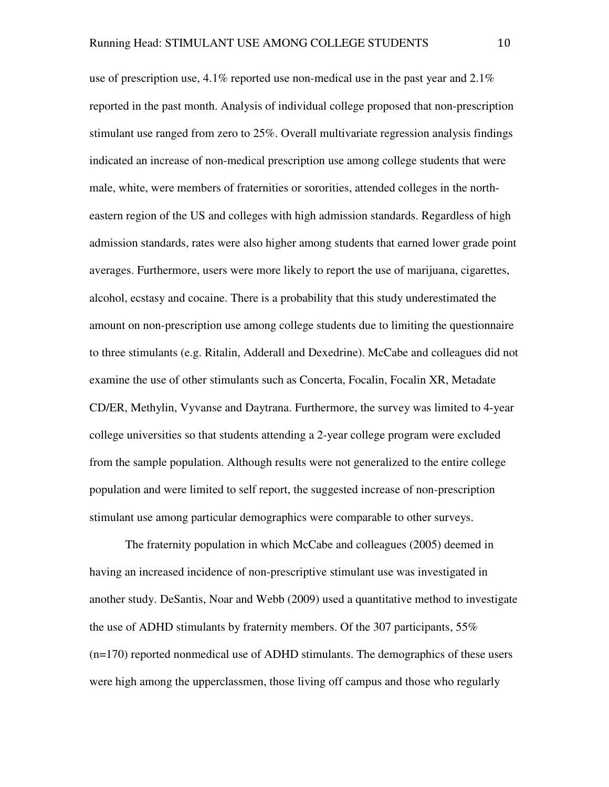use of prescription use,  $4.1\%$  reported use non-medical use in the past year and  $2.1\%$ reported in the past month. Analysis of individual college proposed that non-prescription stimulant use ranged from zero to 25%. Overall multivariate regression analysis findings indicated an increase of non-medical prescription use among college students that were male, white, were members of fraternities or sororities, attended colleges in the northeastern region of the US and colleges with high admission standards. Regardless of high admission standards, rates were also higher among students that earned lower grade point averages. Furthermore, users were more likely to report the use of marijuana, cigarettes, alcohol, ecstasy and cocaine. There is a probability that this study underestimated the amount on non-prescription use among college students due to limiting the questionnaire to three stimulants (e.g. Ritalin, Adderall and Dexedrine). McCabe and colleagues did not examine the use of other stimulants such as Concerta, Focalin, Focalin XR, Metadate CD/ER, Methylin, Vyvanse and Daytrana. Furthermore, the survey was limited to 4-year college universities so that students attending a 2-year college program were excluded from the sample population. Although results were not generalized to the entire college population and were limited to self report, the suggested increase of non-prescription stimulant use among particular demographics were comparable to other surveys.

The fraternity population in which McCabe and colleagues (2005) deemed in having an increased incidence of non-prescriptive stimulant use was investigated in another study. DeSantis, Noar and Webb (2009) used a quantitative method to investigate the use of ADHD stimulants by fraternity members. Of the 307 participants, 55% (n=170) reported nonmedical use of ADHD stimulants. The demographics of these users were high among the upperclassmen, those living off campus and those who regularly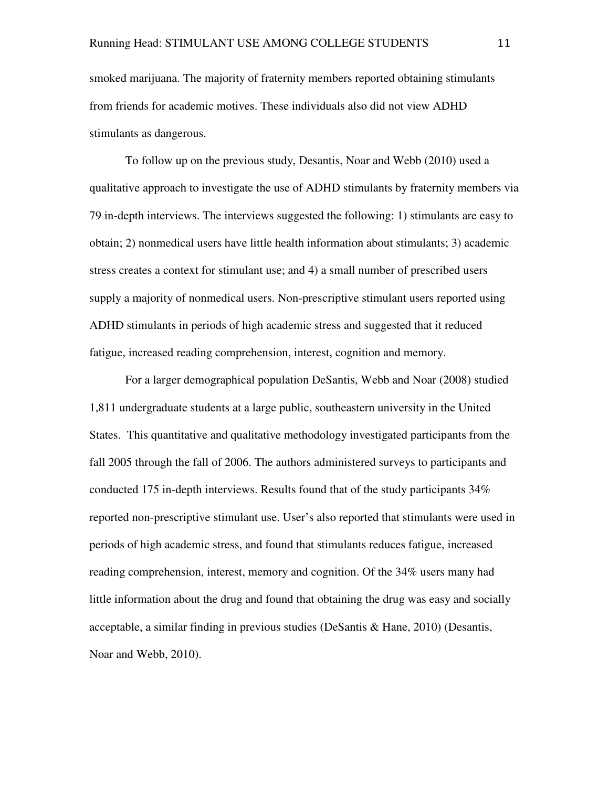smoked marijuana. The majority of fraternity members reported obtaining stimulants from friends for academic motives. These individuals also did not view ADHD stimulants as dangerous.

To follow up on the previous study, Desantis, Noar and Webb (2010) used a qualitative approach to investigate the use of ADHD stimulants by fraternity members via 79 in-depth interviews. The interviews suggested the following: 1) stimulants are easy to obtain; 2) nonmedical users have little health information about stimulants; 3) academic stress creates a context for stimulant use; and 4) a small number of prescribed users supply a majority of nonmedical users. Non-prescriptive stimulant users reported using ADHD stimulants in periods of high academic stress and suggested that it reduced fatigue, increased reading comprehension, interest, cognition and memory.

For a larger demographical population DeSantis, Webb and Noar (2008) studied 1,811 undergraduate students at a large public, southeastern university in the United States. This quantitative and qualitative methodology investigated participants from the fall 2005 through the fall of 2006. The authors administered surveys to participants and conducted 175 in-depth interviews. Results found that of the study participants 34% reported non-prescriptive stimulant use. User's also reported that stimulants were used in periods of high academic stress, and found that stimulants reduces fatigue, increased reading comprehension, interest, memory and cognition. Of the 34% users many had little information about the drug and found that obtaining the drug was easy and socially acceptable, a similar finding in previous studies (DeSantis & Hane, 2010) (Desantis, Noar and Webb, 2010).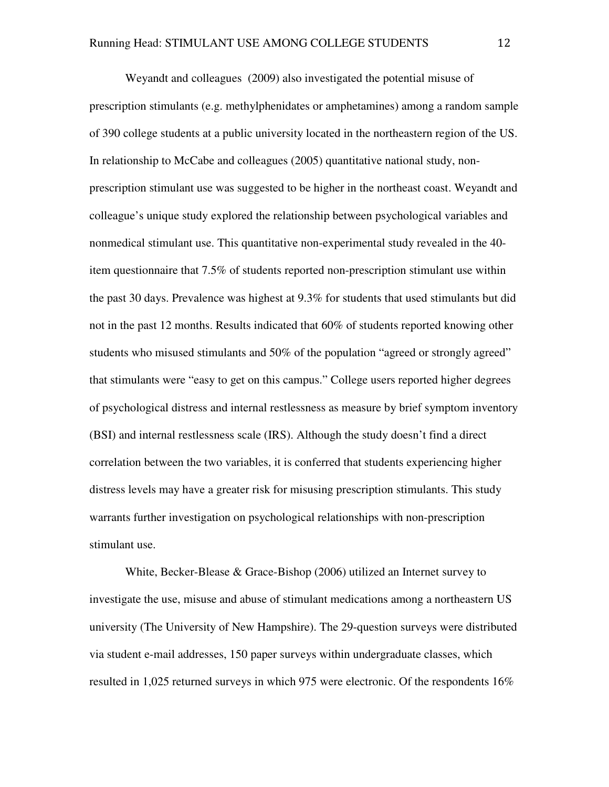Weyandt and colleagues (2009) also investigated the potential misuse of prescription stimulants (e.g. methylphenidates or amphetamines) among a random sample of 390 college students at a public university located in the northeastern region of the US. In relationship to McCabe and colleagues (2005) quantitative national study, nonprescription stimulant use was suggested to be higher in the northeast coast. Weyandt and colleague's unique study explored the relationship between psychological variables and nonmedical stimulant use. This quantitative non-experimental study revealed in the 40 item questionnaire that 7.5% of students reported non-prescription stimulant use within the past 30 days. Prevalence was highest at 9.3% for students that used stimulants but did not in the past 12 months. Results indicated that 60% of students reported knowing other students who misused stimulants and 50% of the population "agreed or strongly agreed" that stimulants were "easy to get on this campus." College users reported higher degrees of psychological distress and internal restlessness as measure by brief symptom inventory (BSI) and internal restlessness scale (IRS). Although the study doesn't find a direct correlation between the two variables, it is conferred that students experiencing higher distress levels may have a greater risk for misusing prescription stimulants. This study warrants further investigation on psychological relationships with non-prescription stimulant use.

 White, Becker-Blease & Grace-Bishop (2006) utilized an Internet survey to investigate the use, misuse and abuse of stimulant medications among a northeastern US university (The University of New Hampshire). The 29-question surveys were distributed via student e-mail addresses, 150 paper surveys within undergraduate classes, which resulted in 1,025 returned surveys in which 975 were electronic. Of the respondents 16%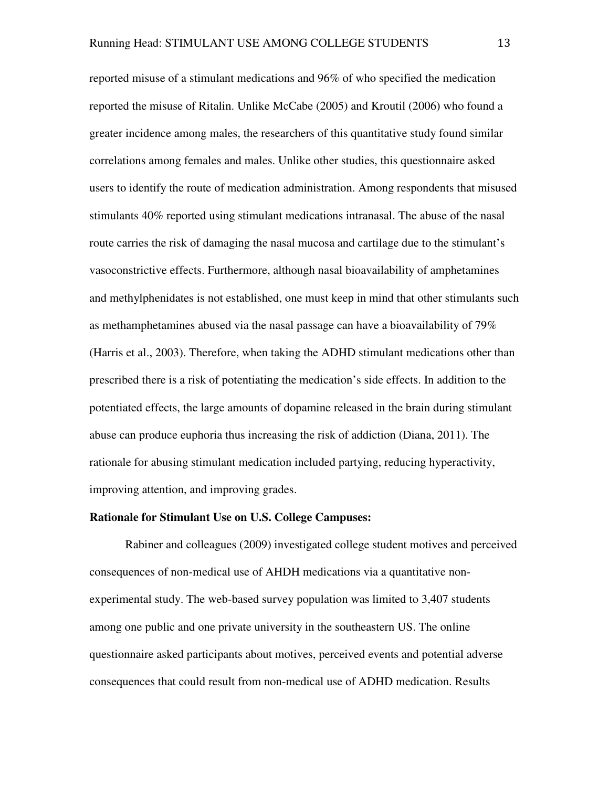reported misuse of a stimulant medications and 96% of who specified the medication reported the misuse of Ritalin. Unlike McCabe (2005) and Kroutil (2006) who found a greater incidence among males, the researchers of this quantitative study found similar correlations among females and males. Unlike other studies, this questionnaire asked users to identify the route of medication administration. Among respondents that misused stimulants 40% reported using stimulant medications intranasal. The abuse of the nasal route carries the risk of damaging the nasal mucosa and cartilage due to the stimulant's vasoconstrictive effects. Furthermore, although nasal bioavailability of amphetamines and methylphenidates is not established, one must keep in mind that other stimulants such as methamphetamines abused via the nasal passage can have a bioavailability of 79% (Harris et al., 2003). Therefore, when taking the ADHD stimulant medications other than prescribed there is a risk of potentiating the medication's side effects. In addition to the potentiated effects, the large amounts of dopamine released in the brain during stimulant abuse can produce euphoria thus increasing the risk of addiction (Diana, 2011). The rationale for abusing stimulant medication included partying, reducing hyperactivity, improving attention, and improving grades.

#### **Rationale for Stimulant Use on U.S. College Campuses:**

Rabiner and colleagues (2009) investigated college student motives and perceived consequences of non-medical use of AHDH medications via a quantitative nonexperimental study. The web-based survey population was limited to 3,407 students among one public and one private university in the southeastern US. The online questionnaire asked participants about motives, perceived events and potential adverse consequences that could result from non-medical use of ADHD medication. Results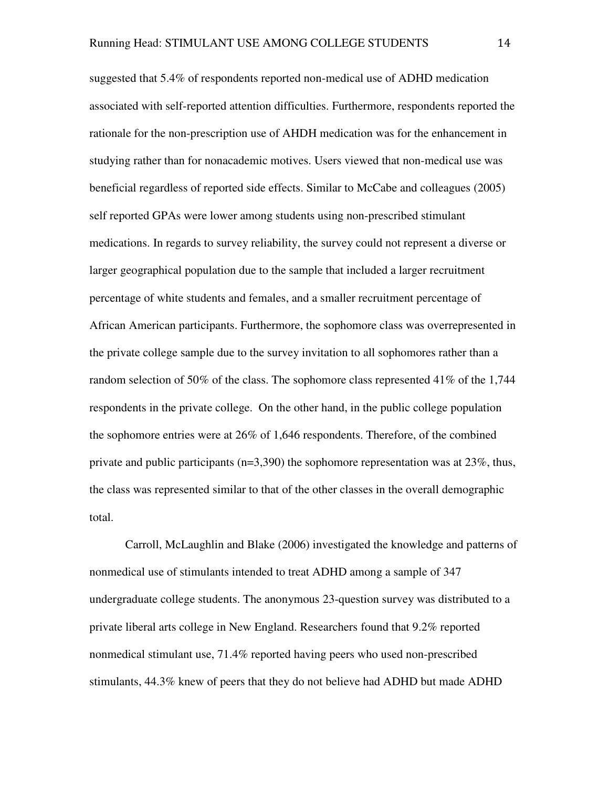suggested that 5.4% of respondents reported non-medical use of ADHD medication associated with self-reported attention difficulties. Furthermore, respondents reported the rationale for the non-prescription use of AHDH medication was for the enhancement in studying rather than for nonacademic motives. Users viewed that non-medical use was beneficial regardless of reported side effects. Similar to McCabe and colleagues (2005) self reported GPAs were lower among students using non-prescribed stimulant medications. In regards to survey reliability, the survey could not represent a diverse or larger geographical population due to the sample that included a larger recruitment percentage of white students and females, and a smaller recruitment percentage of African American participants. Furthermore, the sophomore class was overrepresented in the private college sample due to the survey invitation to all sophomores rather than a random selection of 50% of the class. The sophomore class represented 41% of the 1,744 respondents in the private college. On the other hand, in the public college population the sophomore entries were at 26% of 1,646 respondents. Therefore, of the combined private and public participants (n=3,390) the sophomore representation was at 23%, thus, the class was represented similar to that of the other classes in the overall demographic total.

Carroll, McLaughlin and Blake (2006) investigated the knowledge and patterns of nonmedical use of stimulants intended to treat ADHD among a sample of 347 undergraduate college students. The anonymous 23-question survey was distributed to a private liberal arts college in New England. Researchers found that 9.2% reported nonmedical stimulant use, 71.4% reported having peers who used non-prescribed stimulants, 44.3% knew of peers that they do not believe had ADHD but made ADHD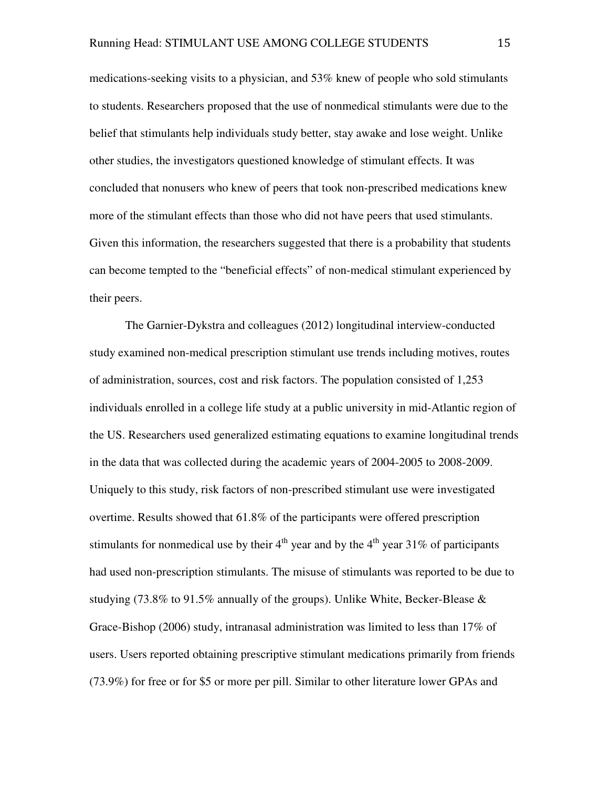medications-seeking visits to a physician, and 53% knew of people who sold stimulants to students. Researchers proposed that the use of nonmedical stimulants were due to the belief that stimulants help individuals study better, stay awake and lose weight. Unlike other studies, the investigators questioned knowledge of stimulant effects. It was concluded that nonusers who knew of peers that took non-prescribed medications knew more of the stimulant effects than those who did not have peers that used stimulants. Given this information, the researchers suggested that there is a probability that students can become tempted to the "beneficial effects" of non-medical stimulant experienced by their peers.

 The Garnier-Dykstra and colleagues (2012) longitudinal interview-conducted study examined non-medical prescription stimulant use trends including motives, routes of administration, sources, cost and risk factors. The population consisted of 1,253 individuals enrolled in a college life study at a public university in mid-Atlantic region of the US. Researchers used generalized estimating equations to examine longitudinal trends in the data that was collected during the academic years of 2004-2005 to 2008-2009. Uniquely to this study, risk factors of non-prescribed stimulant use were investigated overtime. Results showed that 61.8% of the participants were offered prescription stimulants for nonmedical use by their  $4<sup>th</sup>$  year and by the  $4<sup>th</sup>$  year 31% of participants had used non-prescription stimulants. The misuse of stimulants was reported to be due to studying (73.8% to 91.5% annually of the groups). Unlike White, Becker-Blease  $\&$ Grace-Bishop (2006) study, intranasal administration was limited to less than 17% of users. Users reported obtaining prescriptive stimulant medications primarily from friends (73.9%) for free or for \$5 or more per pill. Similar to other literature lower GPAs and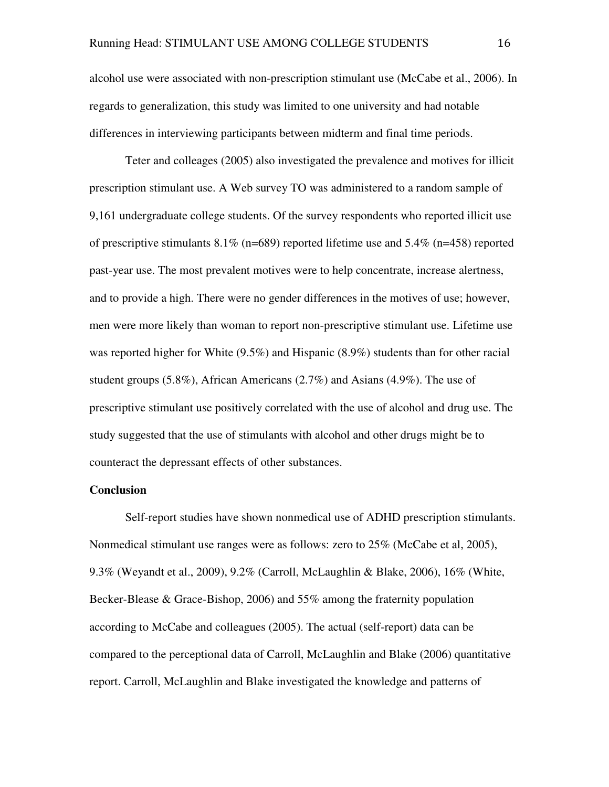alcohol use were associated with non-prescription stimulant use (McCabe et al., 2006). In regards to generalization, this study was limited to one university and had notable differences in interviewing participants between midterm and final time periods.

 Teter and colleages (2005) also investigated the prevalence and motives for illicit prescription stimulant use. A Web survey TO was administered to a random sample of 9,161 undergraduate college students. Of the survey respondents who reported illicit use of prescriptive stimulants  $8.1\%$  (n=689) reported lifetime use and  $5.4\%$  (n=458) reported past-year use. The most prevalent motives were to help concentrate, increase alertness, and to provide a high. There were no gender differences in the motives of use; however, men were more likely than woman to report non-prescriptive stimulant use. Lifetime use was reported higher for White (9.5%) and Hispanic (8.9%) students than for other racial student groups (5.8%), African Americans (2.7%) and Asians (4.9%). The use of prescriptive stimulant use positively correlated with the use of alcohol and drug use. The study suggested that the use of stimulants with alcohol and other drugs might be to counteract the depressant effects of other substances.

#### **Conclusion**

Self-report studies have shown nonmedical use of ADHD prescription stimulants. Nonmedical stimulant use ranges were as follows: zero to 25% (McCabe et al, 2005), 9.3% (Weyandt et al., 2009), 9.2% (Carroll, McLaughlin & Blake, 2006), 16% (White, Becker-Blease & Grace-Bishop, 2006) and 55% among the fraternity population according to McCabe and colleagues (2005). The actual (self-report) data can be compared to the perceptional data of Carroll, McLaughlin and Blake (2006) quantitative report. Carroll, McLaughlin and Blake investigated the knowledge and patterns of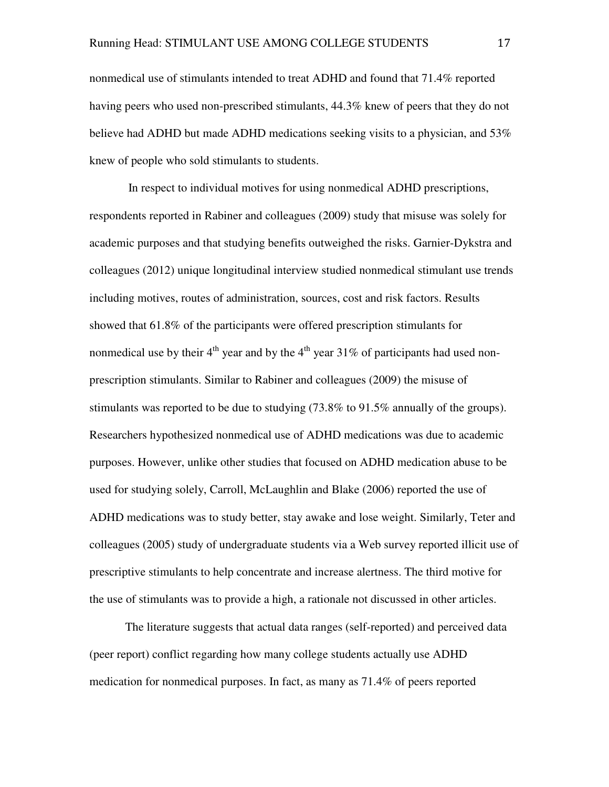nonmedical use of stimulants intended to treat ADHD and found that 71.4% reported having peers who used non-prescribed stimulants, 44.3% knew of peers that they do not believe had ADHD but made ADHD medications seeking visits to a physician, and 53% knew of people who sold stimulants to students.

 In respect to individual motives for using nonmedical ADHD prescriptions, respondents reported in Rabiner and colleagues (2009) study that misuse was solely for academic purposes and that studying benefits outweighed the risks. Garnier-Dykstra and colleagues (2012) unique longitudinal interview studied nonmedical stimulant use trends including motives, routes of administration, sources, cost and risk factors. Results showed that 61.8% of the participants were offered prescription stimulants for nonmedical use by their  $4<sup>th</sup>$  year and by the  $4<sup>th</sup>$  year 31% of participants had used nonprescription stimulants. Similar to Rabiner and colleagues (2009) the misuse of stimulants was reported to be due to studying (73.8% to 91.5% annually of the groups). Researchers hypothesized nonmedical use of ADHD medications was due to academic purposes. However, unlike other studies that focused on ADHD medication abuse to be used for studying solely, Carroll, McLaughlin and Blake (2006) reported the use of ADHD medications was to study better, stay awake and lose weight. Similarly, Teter and colleagues (2005) study of undergraduate students via a Web survey reported illicit use of prescriptive stimulants to help concentrate and increase alertness. The third motive for the use of stimulants was to provide a high, a rationale not discussed in other articles.

The literature suggests that actual data ranges (self-reported) and perceived data (peer report) conflict regarding how many college students actually use ADHD medication for nonmedical purposes. In fact, as many as 71.4% of peers reported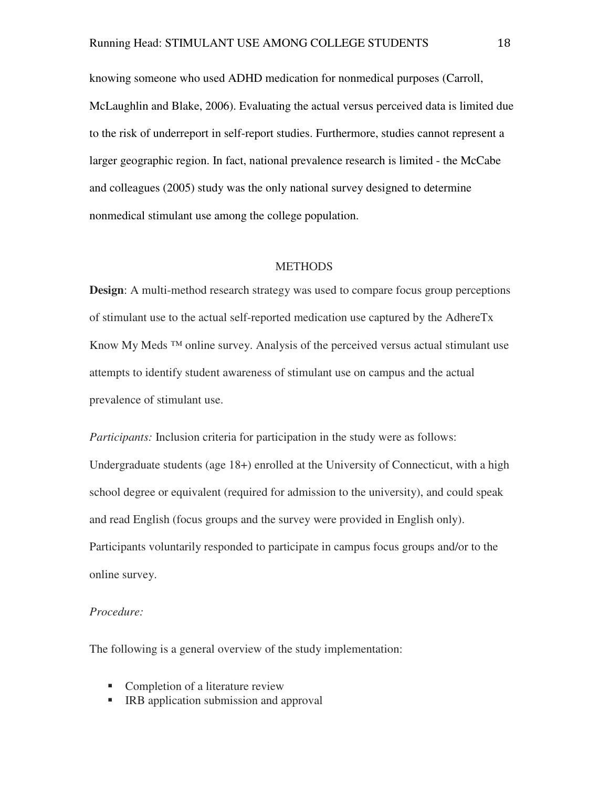knowing someone who used ADHD medication for nonmedical purposes (Carroll, McLaughlin and Blake, 2006). Evaluating the actual versus perceived data is limited due to the risk of underreport in self-report studies. Furthermore, studies cannot represent a larger geographic region. In fact, national prevalence research is limited - the McCabe and colleagues (2005) study was the only national survey designed to determine nonmedical stimulant use among the college population.

#### **METHODS**

**Design:** A multi-method research strategy was used to compare focus group perceptions of stimulant use to the actual self-reported medication use captured by the AdhereTx Know My Meds ™ online survey. Analysis of the perceived versus actual stimulant use attempts to identify student awareness of stimulant use on campus and the actual prevalence of stimulant use.

*Participants:* Inclusion criteria for participation in the study were as follows: Undergraduate students (age 18+) enrolled at the University of Connecticut, with a high school degree or equivalent (required for admission to the university), and could speak and read English (focus groups and the survey were provided in English only). Participants voluntarily responded to participate in campus focus groups and/or to the online survey.

#### *Procedure:*

The following is a general overview of the study implementation:

- Completion of a literature review
- **IRB** application submission and approval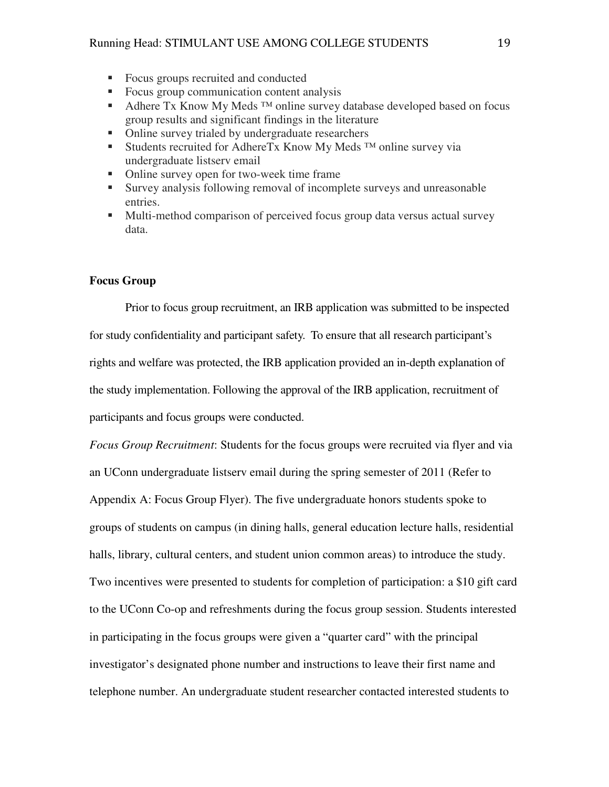- Focus groups recruited and conducted
- Focus group communication content analysis
- Adhere Tx Know My Meds<sup>™</sup> online survey database developed based on focus group results and significant findings in the literature
- Online survey trialed by undergraduate researchers
- Students recruited for AdhereTx Know My Meds <sup>™</sup> online survey via undergraduate listserv email
- Online survey open for two-week time frame
- Survey analysis following removal of incomplete surveys and unreasonable entries.
- Multi-method comparison of perceived focus group data versus actual survey data.

#### **Focus Group**

Prior to focus group recruitment, an IRB application was submitted to be inspected for study confidentiality and participant safety. To ensure that all research participant's rights and welfare was protected, the IRB application provided an in-depth explanation of the study implementation. Following the approval of the IRB application, recruitment of participants and focus groups were conducted.

*Focus Group Recruitment*: Students for the focus groups were recruited via flyer and via an UConn undergraduate listserv email during the spring semester of 2011 (Refer to Appendix A: Focus Group Flyer). The five undergraduate honors students spoke to groups of students on campus (in dining halls, general education lecture halls, residential halls, library, cultural centers, and student union common areas) to introduce the study. Two incentives were presented to students for completion of participation: a \$10 gift card to the UConn Co-op and refreshments during the focus group session. Students interested in participating in the focus groups were given a "quarter card" with the principal investigator's designated phone number and instructions to leave their first name and telephone number. An undergraduate student researcher contacted interested students to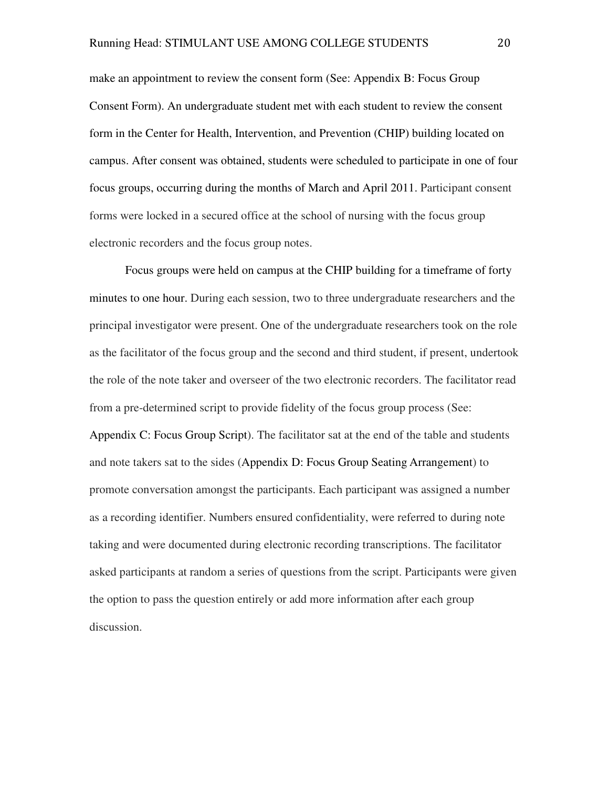make an appointment to review the consent form (See: Appendix B: Focus Group Consent Form). An undergraduate student met with each student to review the consent form in the Center for Health, Intervention, and Prevention (CHIP) building located on campus. After consent was obtained, students were scheduled to participate in one of four focus groups, occurring during the months of March and April 2011. Participant consent forms were locked in a secured office at the school of nursing with the focus group electronic recorders and the focus group notes.

Focus groups were held on campus at the CHIP building for a timeframe of forty minutes to one hour. During each session, two to three undergraduate researchers and the principal investigator were present. One of the undergraduate researchers took on the role as the facilitator of the focus group and the second and third student, if present, undertook the role of the note taker and overseer of the two electronic recorders. The facilitator read from a pre-determined script to provide fidelity of the focus group process (See: Appendix C: Focus Group Script). The facilitator sat at the end of the table and students and note takers sat to the sides (Appendix D: Focus Group Seating Arrangement) to promote conversation amongst the participants. Each participant was assigned a number as a recording identifier. Numbers ensured confidentiality, were referred to during note taking and were documented during electronic recording transcriptions. The facilitator asked participants at random a series of questions from the script. Participants were given the option to pass the question entirely or add more information after each group discussion.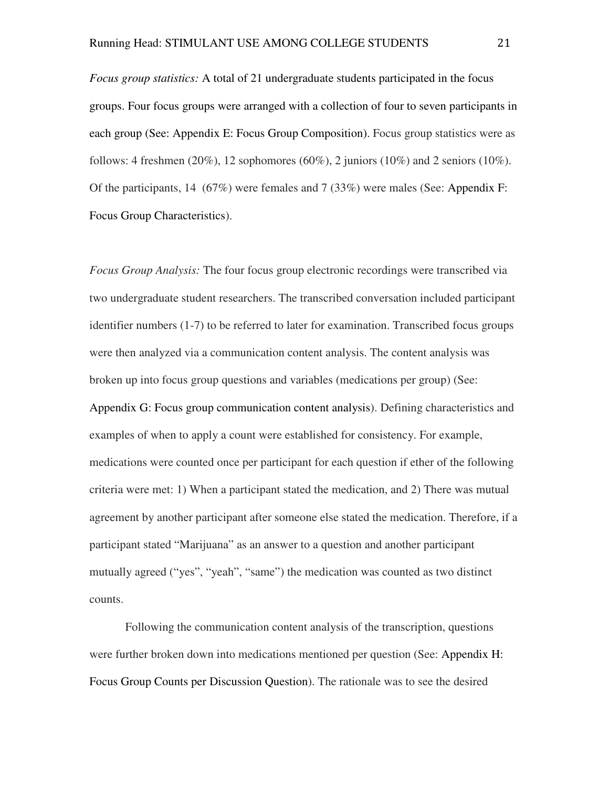*Focus group statistics:* A total of 21 undergraduate students participated in the focus groups. Four focus groups were arranged with a collection of four to seven participants in each group (See: Appendix E: Focus Group Composition). Focus group statistics were as follows: 4 freshmen (20%), 12 sophomores (60%), 2 juniors (10%) and 2 seniors (10%). Of the participants, 14 (67%) were females and 7 (33%) were males (See: Appendix F: Focus Group Characteristics).

*Focus Group Analysis:* The four focus group electronic recordings were transcribed via two undergraduate student researchers. The transcribed conversation included participant identifier numbers (1-7) to be referred to later for examination. Transcribed focus groups were then analyzed via a communication content analysis. The content analysis was broken up into focus group questions and variables (medications per group) (See: Appendix G: Focus group communication content analysis). Defining characteristics and examples of when to apply a count were established for consistency. For example, medications were counted once per participant for each question if ether of the following criteria were met: 1) When a participant stated the medication, and 2) There was mutual agreement by another participant after someone else stated the medication. Therefore, if a participant stated "Marijuana" as an answer to a question and another participant mutually agreed ("yes", "yeah", "same") the medication was counted as two distinct counts.

Following the communication content analysis of the transcription, questions were further broken down into medications mentioned per question (See: Appendix H: Focus Group Counts per Discussion Question). The rationale was to see the desired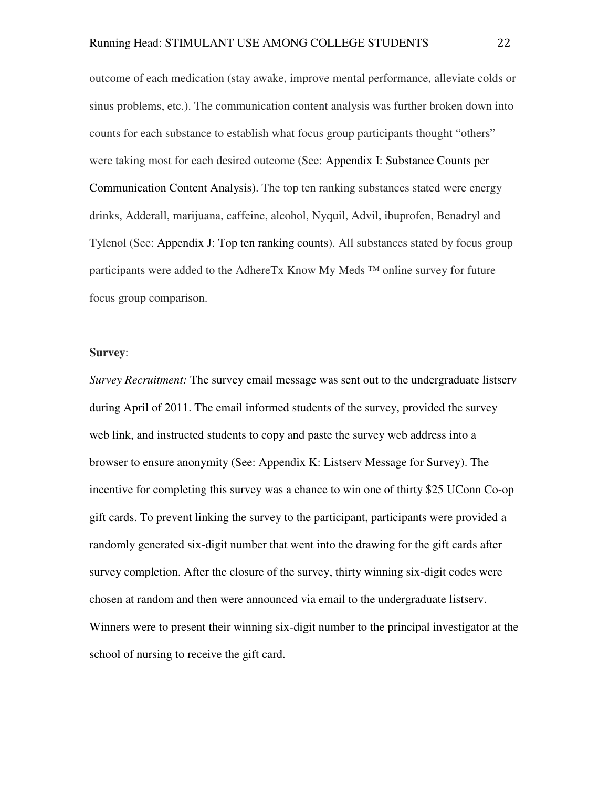outcome of each medication (stay awake, improve mental performance, alleviate colds or sinus problems, etc.). The communication content analysis was further broken down into counts for each substance to establish what focus group participants thought "others" were taking most for each desired outcome (See: Appendix I: Substance Counts per Communication Content Analysis). The top ten ranking substances stated were energy drinks, Adderall, marijuana, caffeine, alcohol, Nyquil, Advil, ibuprofen, Benadryl and Tylenol (See: Appendix J: Top ten ranking counts). All substances stated by focus group participants were added to the AdhereTx Know My Meds  $^{TM}$  online survey for future focus group comparison.

#### **Survey**:

*Survey Recruitment:* The survey email message was sent out to the undergraduate listserv during April of 2011. The email informed students of the survey, provided the survey web link, and instructed students to copy and paste the survey web address into a browser to ensure anonymity (See: Appendix K: Listserv Message for Survey). The incentive for completing this survey was a chance to win one of thirty \$25 UConn Co-op gift cards. To prevent linking the survey to the participant, participants were provided a randomly generated six-digit number that went into the drawing for the gift cards after survey completion. After the closure of the survey, thirty winning six-digit codes were chosen at random and then were announced via email to the undergraduate listserv. Winners were to present their winning six-digit number to the principal investigator at the school of nursing to receive the gift card.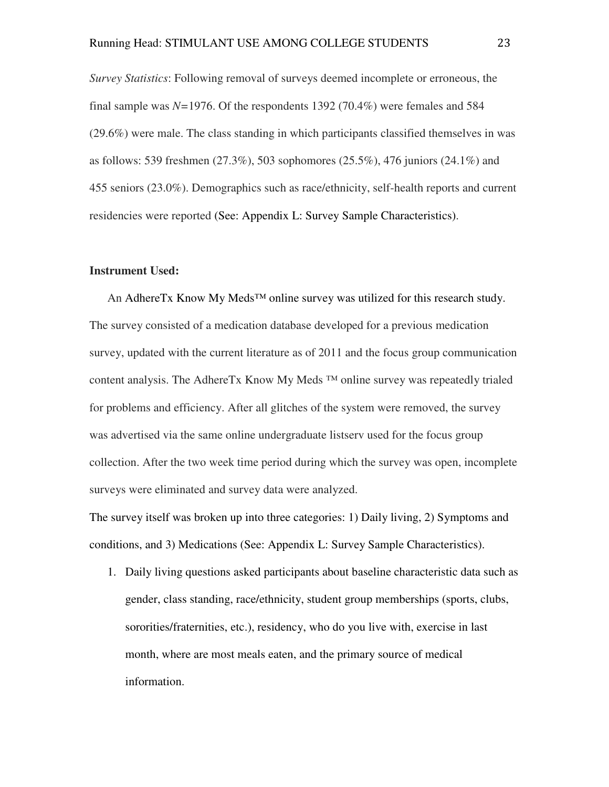*Survey Statistics*: Following removal of surveys deemed incomplete or erroneous, the final sample was *N=*1976. Of the respondents 1392 (70.4%) were females and 584 (29.6%) were male. The class standing in which participants classified themselves in was as follows: 539 freshmen (27.3%), 503 sophomores (25.5%), 476 juniors (24.1%) and 455 seniors (23.0%). Demographics such as race/ethnicity, self-health reports and current residencies were reported (See: Appendix L: Survey Sample Characteristics).

#### **Instrument Used:**

An AdhereTx Know My Meds<sup>™</sup> online survey was utilized for this research study. The survey consisted of a medication database developed for a previous medication survey, updated with the current literature as of 2011 and the focus group communication content analysis. The AdhereTx Know My Meds ™ online survey was repeatedly trialed for problems and efficiency. After all glitches of the system were removed, the survey was advertised via the same online undergraduate listserv used for the focus group collection. After the two week time period during which the survey was open, incomplete surveys were eliminated and survey data were analyzed.

The survey itself was broken up into three categories: 1) Daily living, 2) Symptoms and conditions, and 3) Medications (See: Appendix L: Survey Sample Characteristics).

1. Daily living questions asked participants about baseline characteristic data such as gender, class standing, race/ethnicity, student group memberships (sports, clubs, sororities/fraternities, etc.), residency, who do you live with, exercise in last month, where are most meals eaten, and the primary source of medical information.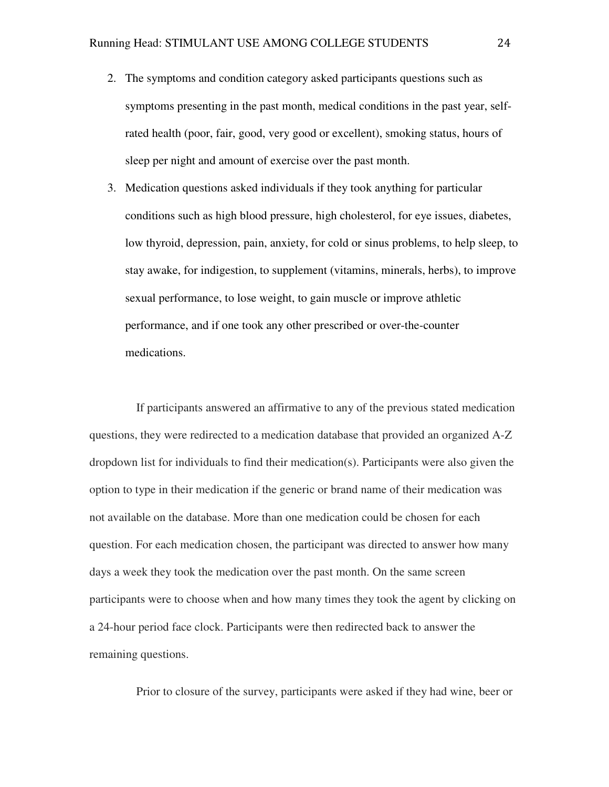- 2. The symptoms and condition category asked participants questions such as symptoms presenting in the past month, medical conditions in the past year, selfrated health (poor, fair, good, very good or excellent), smoking status, hours of sleep per night and amount of exercise over the past month.
- 3. Medication questions asked individuals if they took anything for particular conditions such as high blood pressure, high cholesterol, for eye issues, diabetes, low thyroid, depression, pain, anxiety, for cold or sinus problems, to help sleep, to stay awake, for indigestion, to supplement (vitamins, minerals, herbs), to improve sexual performance, to lose weight, to gain muscle or improve athletic performance, and if one took any other prescribed or over-the-counter medications.

 If participants answered an affirmative to any of the previous stated medication questions, they were redirected to a medication database that provided an organized A-Z dropdown list for individuals to find their medication(s). Participants were also given the option to type in their medication if the generic or brand name of their medication was not available on the database. More than one medication could be chosen for each question. For each medication chosen, the participant was directed to answer how many days a week they took the medication over the past month. On the same screen participants were to choose when and how many times they took the agent by clicking on a 24-hour period face clock. Participants were then redirected back to answer the remaining questions.

Prior to closure of the survey, participants were asked if they had wine, beer or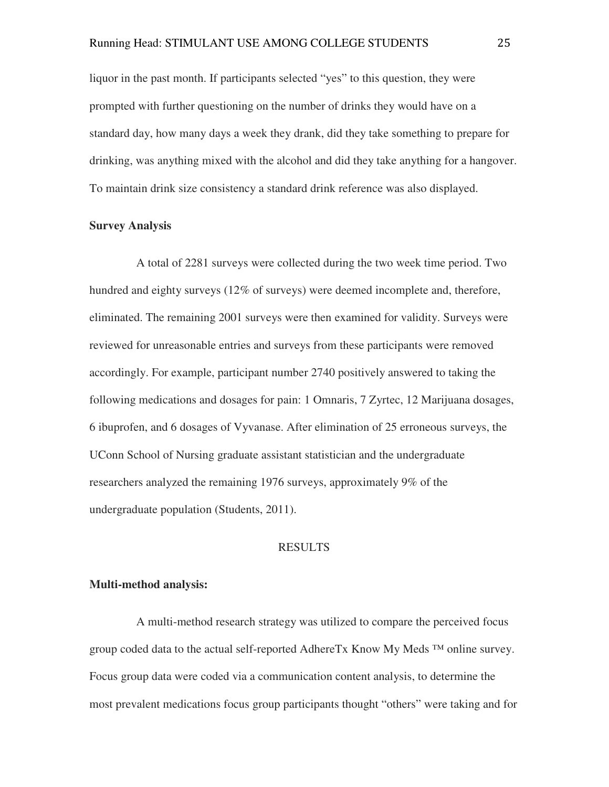liquor in the past month. If participants selected "yes" to this question, they were prompted with further questioning on the number of drinks they would have on a standard day, how many days a week they drank, did they take something to prepare for drinking, was anything mixed with the alcohol and did they take anything for a hangover. To maintain drink size consistency a standard drink reference was also displayed.

#### **Survey Analysis**

 A total of 2281 surveys were collected during the two week time period. Two hundred and eighty surveys (12% of surveys) were deemed incomplete and, therefore, eliminated. The remaining 2001 surveys were then examined for validity. Surveys were reviewed for unreasonable entries and surveys from these participants were removed accordingly. For example, participant number 2740 positively answered to taking the following medications and dosages for pain: 1 Omnaris, 7 Zyrtec, 12 Marijuana dosages, 6 ibuprofen, and 6 dosages of Vyvanase. After elimination of 25 erroneous surveys, the UConn School of Nursing graduate assistant statistician and the undergraduate researchers analyzed the remaining 1976 surveys, approximately 9% of the undergraduate population (Students, 2011).

#### RESULTS

#### **Multi-method analysis:**

 A multi-method research strategy was utilized to compare the perceived focus group coded data to the actual self-reported AdhereTx Know My Meds ™ online survey. Focus group data were coded via a communication content analysis, to determine the most prevalent medications focus group participants thought "others" were taking and for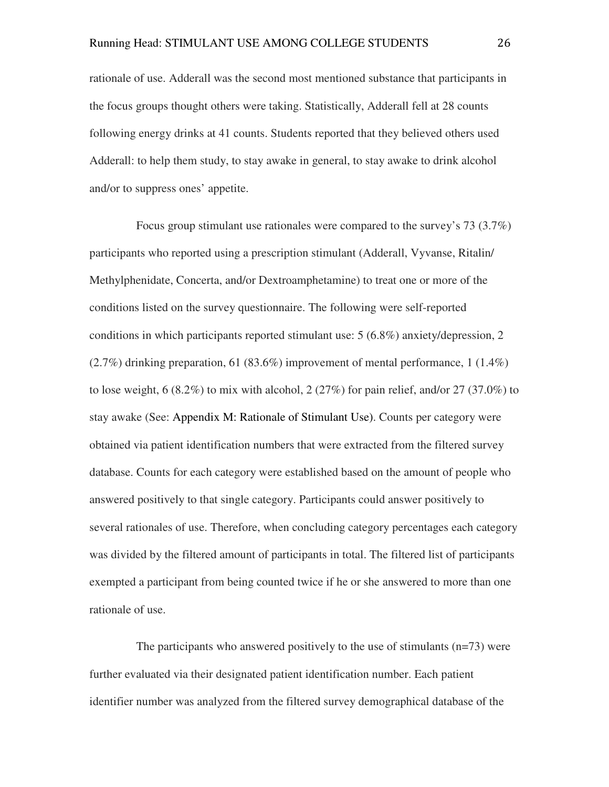rationale of use. Adderall was the second most mentioned substance that participants in the focus groups thought others were taking. Statistically, Adderall fell at 28 counts following energy drinks at 41 counts. Students reported that they believed others used Adderall: to help them study, to stay awake in general, to stay awake to drink alcohol and/or to suppress ones' appetite.

 Focus group stimulant use rationales were compared to the survey's 73 (3.7%) participants who reported using a prescription stimulant (Adderall, Vyvanse, Ritalin/ Methylphenidate, Concerta, and/or Dextroamphetamine) to treat one or more of the conditions listed on the survey questionnaire. The following were self-reported conditions in which participants reported stimulant use: 5 (6.8%) anxiety/depression, 2 (2.7%) drinking preparation, 61 (83.6%) improvement of mental performance, 1 (1.4%) to lose weight,  $6(8.2\%)$  to mix with alcohol,  $2(27\%)$  for pain relief, and/or  $27(37.0\%)$  to stay awake (See: Appendix M: Rationale of Stimulant Use). Counts per category were obtained via patient identification numbers that were extracted from the filtered survey database. Counts for each category were established based on the amount of people who answered positively to that single category. Participants could answer positively to several rationales of use. Therefore, when concluding category percentages each category was divided by the filtered amount of participants in total. The filtered list of participants exempted a participant from being counted twice if he or she answered to more than one rationale of use.

 The participants who answered positively to the use of stimulants (n=73) were further evaluated via their designated patient identification number. Each patient identifier number was analyzed from the filtered survey demographical database of the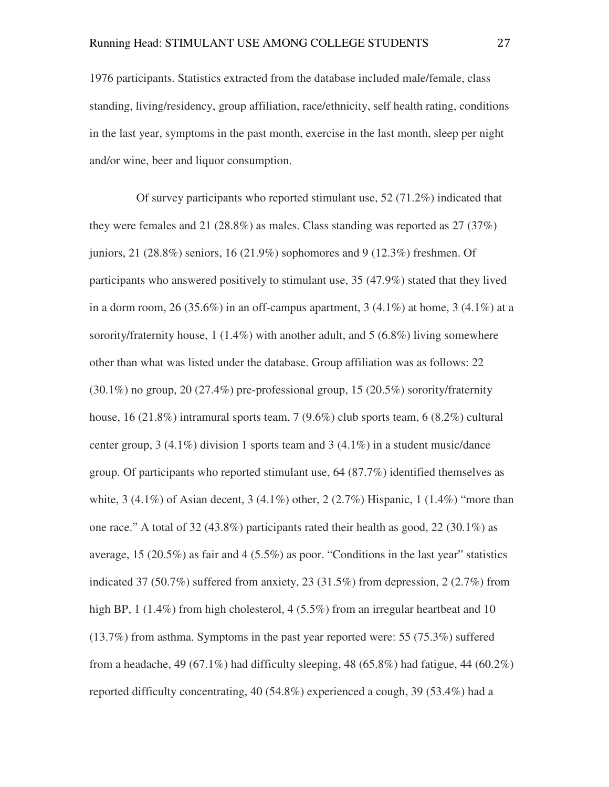1976 participants. Statistics extracted from the database included male/female, class standing, living/residency, group affiliation, race/ethnicity, self health rating, conditions in the last year, symptoms in the past month, exercise in the last month, sleep per night and/or wine, beer and liquor consumption.

 Of survey participants who reported stimulant use, 52 (71.2%) indicated that they were females and 21 (28.8%) as males. Class standing was reported as  $27 \, (37\%)$ juniors, 21 (28.8%) seniors, 16 (21.9%) sophomores and 9 (12.3%) freshmen. Of participants who answered positively to stimulant use, 35 (47.9%) stated that they lived in a dorm room, 26 (35.6%) in an off-campus apartment, 3 (4.1%) at home, 3 (4.1%) at a sorority/fraternity house, 1 (1.4%) with another adult, and 5 (6.8%) living somewhere other than what was listed under the database. Group affiliation was as follows: 22 (30.1%) no group, 20 (27.4%) pre-professional group, 15 (20.5%) sorority/fraternity house, 16 (21.8%) intramural sports team, 7 (9.6%) club sports team, 6 (8.2%) cultural center group, 3 (4.1%) division 1 sports team and 3 (4.1%) in a student music/dance group. Of participants who reported stimulant use, 64 (87.7%) identified themselves as white, 3 (4.1%) of Asian decent, 3 (4.1%) other, 2 (2.7%) Hispanic, 1 (1.4%) "more than one race." A total of 32 (43.8%) participants rated their health as good, 22 (30.1%) as average, 15 (20.5%) as fair and 4 (5.5%) as poor. "Conditions in the last year" statistics indicated 37 (50.7%) suffered from anxiety, 23 (31.5%) from depression, 2 (2.7%) from high BP, 1 (1.4%) from high cholesterol, 4 (5.5%) from an irregular heartbeat and 10 (13.7%) from asthma. Symptoms in the past year reported were: 55 (75.3%) suffered from a headache, 49 (67.1%) had difficulty sleeping, 48 (65.8%) had fatigue, 44 (60.2%) reported difficulty concentrating, 40 (54.8%) experienced a cough, 39 (53.4%) had a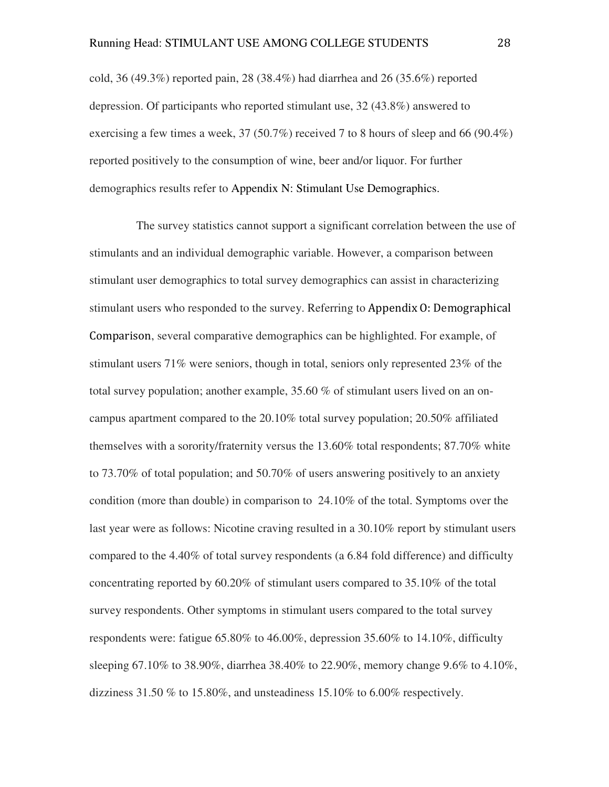cold, 36 (49.3%) reported pain, 28 (38.4%) had diarrhea and 26 (35.6%) reported depression. Of participants who reported stimulant use, 32 (43.8%) answered to exercising a few times a week,  $37 (50.7\%)$  received 7 to 8 hours of sleep and 66 (90.4%) reported positively to the consumption of wine, beer and/or liquor. For further demographics results refer to Appendix N: Stimulant Use Demographics.

 The survey statistics cannot support a significant correlation between the use of stimulants and an individual demographic variable. However, a comparison between stimulant user demographics to total survey demographics can assist in characterizing stimulant users who responded to the survey. Referring to Appendix O: Demographical Comparison, several comparative demographics can be highlighted. For example, of stimulant users 71% were seniors, though in total, seniors only represented 23% of the total survey population; another example, 35.60 % of stimulant users lived on an oncampus apartment compared to the 20.10% total survey population; 20.50% affiliated themselves with a sorority/fraternity versus the 13.60% total respondents; 87.70% white to 73.70% of total population; and 50.70% of users answering positively to an anxiety condition (more than double) in comparison to 24.10% of the total. Symptoms over the last year were as follows: Nicotine craving resulted in a 30.10% report by stimulant users compared to the 4.40% of total survey respondents (a 6.84 fold difference) and difficulty concentrating reported by 60.20% of stimulant users compared to 35.10% of the total survey respondents. Other symptoms in stimulant users compared to the total survey respondents were: fatigue 65.80% to 46.00%, depression 35.60% to 14.10%, difficulty sleeping 67.10% to 38.90%, diarrhea 38.40% to 22.90%, memory change 9.6% to 4.10%, dizziness 31.50 % to 15.80%, and unsteadiness 15.10% to 6.00% respectively.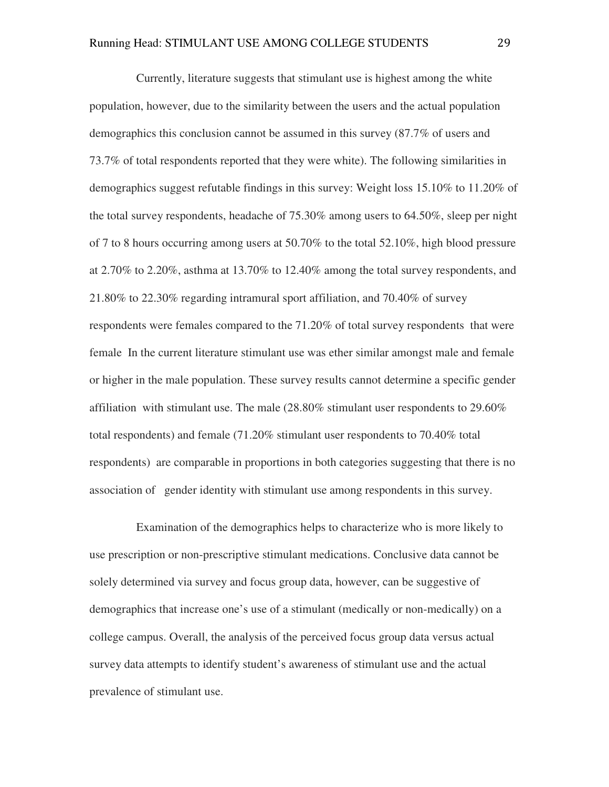Currently, literature suggests that stimulant use is highest among the white population, however, due to the similarity between the users and the actual population demographics this conclusion cannot be assumed in this survey (87.7% of users and 73.7% of total respondents reported that they were white). The following similarities in demographics suggest refutable findings in this survey: Weight loss 15.10% to 11.20% of the total survey respondents, headache of 75.30% among users to 64.50%, sleep per night of 7 to 8 hours occurring among users at 50.70% to the total 52.10%, high blood pressure at 2.70% to 2.20%, asthma at 13.70% to 12.40% among the total survey respondents, and 21.80% to 22.30% regarding intramural sport affiliation, and 70.40% of survey respondents were females compared to the 71.20% of total survey respondents that were female In the current literature stimulant use was ether similar amongst male and female or higher in the male population. These survey results cannot determine a specific gender affiliation with stimulant use. The male (28.80% stimulant user respondents to 29.60% total respondents) and female (71.20% stimulant user respondents to 70.40% total respondents) are comparable in proportions in both categories suggesting that there is no association of gender identity with stimulant use among respondents in this survey.

 Examination of the demographics helps to characterize who is more likely to use prescription or non-prescriptive stimulant medications. Conclusive data cannot be solely determined via survey and focus group data, however, can be suggestive of demographics that increase one's use of a stimulant (medically or non-medically) on a college campus. Overall, the analysis of the perceived focus group data versus actual survey data attempts to identify student's awareness of stimulant use and the actual prevalence of stimulant use.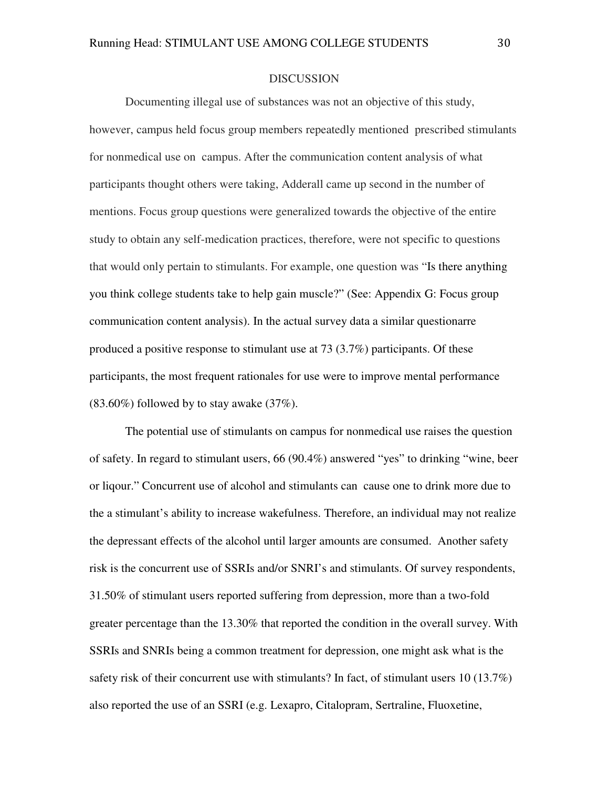#### DISCUSSION

 Documenting illegal use of substances was not an objective of this study, however, campus held focus group members repeatedly mentioned prescribed stimulants for nonmedical use on campus. After the communication content analysis of what participants thought others were taking, Adderall came up second in the number of mentions. Focus group questions were generalized towards the objective of the entire study to obtain any self-medication practices, therefore, were not specific to questions that would only pertain to stimulants. For example, one question was "Is there anything you think college students take to help gain muscle?" (See: Appendix G: Focus group communication content analysis). In the actual survey data a similar questionarre produced a positive response to stimulant use at 73 (3.7%) participants. Of these participants, the most frequent rationales for use were to improve mental performance  $(83.60\%)$  followed by to stay awake  $(37\%).$ 

The potential use of stimulants on campus for nonmedical use raises the question of safety. In regard to stimulant users, 66 (90.4%) answered "yes" to drinking "wine, beer or liqour." Concurrent use of alcohol and stimulants can cause one to drink more due to the a stimulant's ability to increase wakefulness. Therefore, an individual may not realize the depressant effects of the alcohol until larger amounts are consumed. Another safety risk is the concurrent use of SSRIs and/or SNRI's and stimulants. Of survey respondents, 31.50% of stimulant users reported suffering from depression, more than a two-fold greater percentage than the 13.30% that reported the condition in the overall survey. With SSRIs and SNRIs being a common treatment for depression, one might ask what is the safety risk of their concurrent use with stimulants? In fact, of stimulant users 10 (13.7%) also reported the use of an SSRI (e.g. Lexapro, Citalopram, Sertraline, Fluoxetine,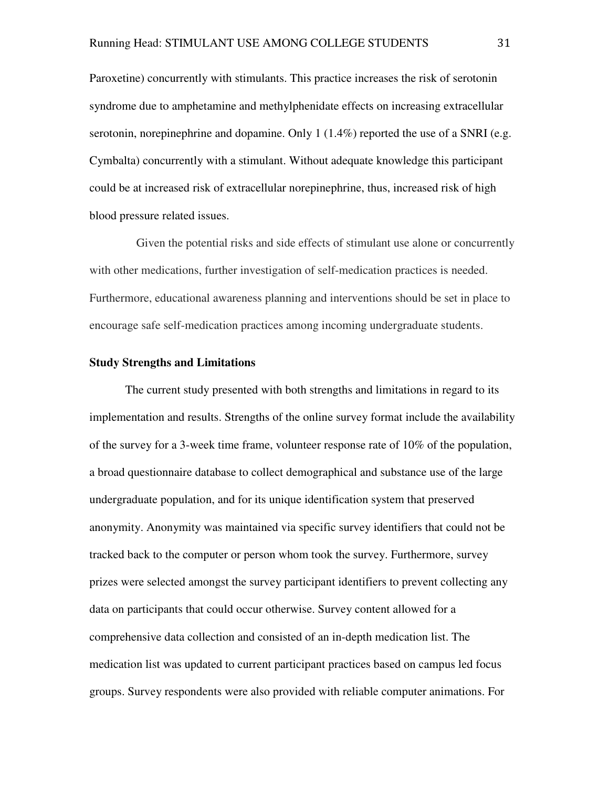Paroxetine) concurrently with stimulants. This practice increases the risk of serotonin syndrome due to amphetamine and methylphenidate effects on increasing extracellular serotonin, norepinephrine and dopamine. Only  $1(1.4\%)$  reported the use of a SNRI (e.g. Cymbalta) concurrently with a stimulant. Without adequate knowledge this participant could be at increased risk of extracellular norepinephrine, thus, increased risk of high blood pressure related issues.

 Given the potential risks and side effects of stimulant use alone or concurrently with other medications, further investigation of self-medication practices is needed. Furthermore, educational awareness planning and interventions should be set in place to encourage safe self-medication practices among incoming undergraduate students.

#### **Study Strengths and Limitations**

The current study presented with both strengths and limitations in regard to its implementation and results. Strengths of the online survey format include the availability of the survey for a 3-week time frame, volunteer response rate of 10% of the population, a broad questionnaire database to collect demographical and substance use of the large undergraduate population, and for its unique identification system that preserved anonymity. Anonymity was maintained via specific survey identifiers that could not be tracked back to the computer or person whom took the survey. Furthermore, survey prizes were selected amongst the survey participant identifiers to prevent collecting any data on participants that could occur otherwise. Survey content allowed for a comprehensive data collection and consisted of an in-depth medication list. The medication list was updated to current participant practices based on campus led focus groups. Survey respondents were also provided with reliable computer animations. For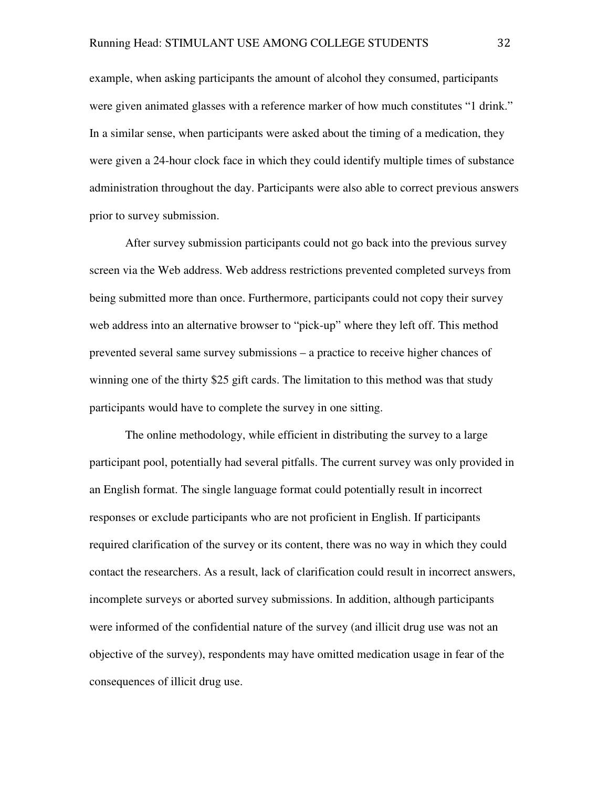example, when asking participants the amount of alcohol they consumed, participants were given animated glasses with a reference marker of how much constitutes "1 drink." In a similar sense, when participants were asked about the timing of a medication, they were given a 24-hour clock face in which they could identify multiple times of substance administration throughout the day. Participants were also able to correct previous answers prior to survey submission.

After survey submission participants could not go back into the previous survey screen via the Web address. Web address restrictions prevented completed surveys from being submitted more than once. Furthermore, participants could not copy their survey web address into an alternative browser to "pick-up" where they left off. This method prevented several same survey submissions – a practice to receive higher chances of winning one of the thirty \$25 gift cards. The limitation to this method was that study participants would have to complete the survey in one sitting.

 The online methodology, while efficient in distributing the survey to a large participant pool, potentially had several pitfalls. The current survey was only provided in an English format. The single language format could potentially result in incorrect responses or exclude participants who are not proficient in English. If participants required clarification of the survey or its content, there was no way in which they could contact the researchers. As a result, lack of clarification could result in incorrect answers, incomplete surveys or aborted survey submissions. In addition, although participants were informed of the confidential nature of the survey (and illicit drug use was not an objective of the survey), respondents may have omitted medication usage in fear of the consequences of illicit drug use.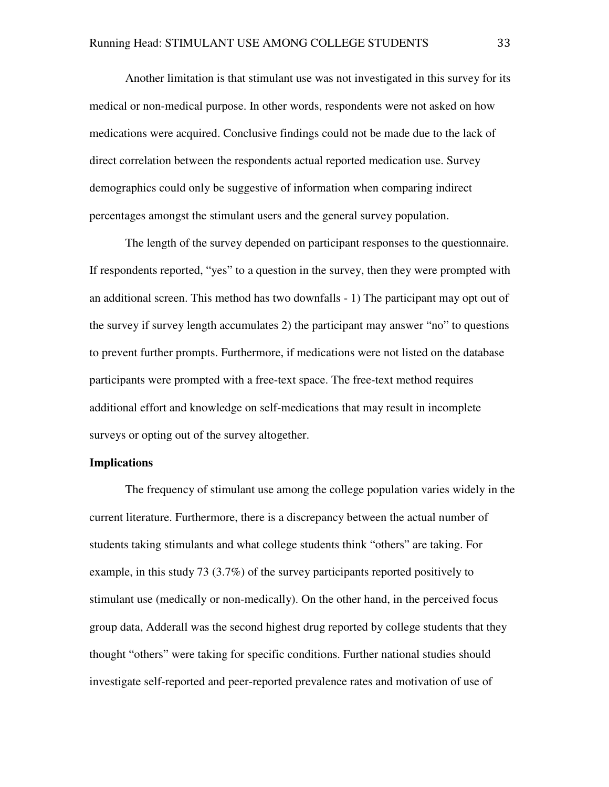Another limitation is that stimulant use was not investigated in this survey for its medical or non-medical purpose. In other words, respondents were not asked on how medications were acquired. Conclusive findings could not be made due to the lack of direct correlation between the respondents actual reported medication use. Survey demographics could only be suggestive of information when comparing indirect percentages amongst the stimulant users and the general survey population.

 The length of the survey depended on participant responses to the questionnaire. If respondents reported, "yes" to a question in the survey, then they were prompted with an additional screen. This method has two downfalls - 1) The participant may opt out of the survey if survey length accumulates 2) the participant may answer "no" to questions to prevent further prompts. Furthermore, if medications were not listed on the database participants were prompted with a free-text space. The free-text method requires additional effort and knowledge on self-medications that may result in incomplete surveys or opting out of the survey altogether.

#### **Implications**

The frequency of stimulant use among the college population varies widely in the current literature. Furthermore, there is a discrepancy between the actual number of students taking stimulants and what college students think "others" are taking. For example, in this study 73 (3.7%) of the survey participants reported positively to stimulant use (medically or non-medically). On the other hand, in the perceived focus group data, Adderall was the second highest drug reported by college students that they thought "others" were taking for specific conditions. Further national studies should investigate self-reported and peer-reported prevalence rates and motivation of use of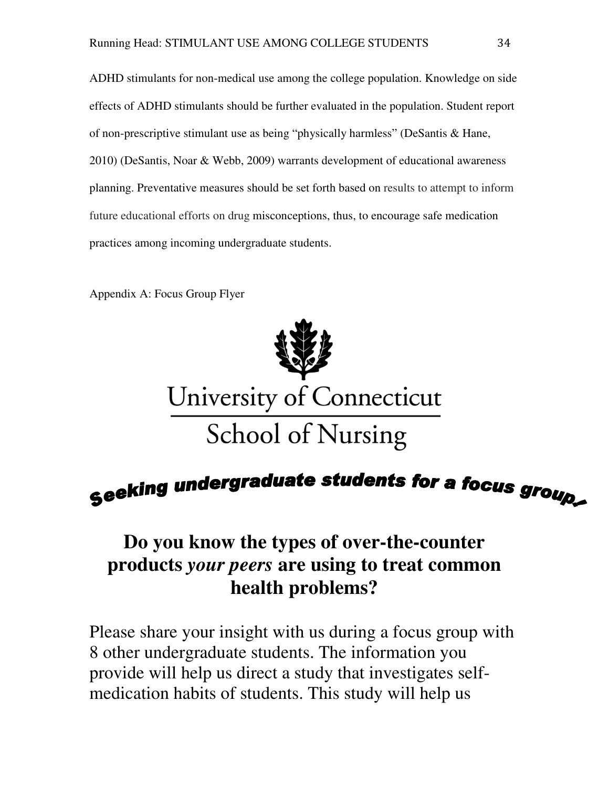ADHD stimulants for non-medical use among the college population. Knowledge on side effects of ADHD stimulants should be further evaluated in the population. Student report of non-prescriptive stimulant use as being "physically harmless" (DeSantis & Hane, 2010) (DeSantis, Noar & Webb, 2009) warrants development of educational awareness planning. Preventative measures should be set forth based on results to attempt to inform future educational efforts on drug misconceptions, thus, to encourage safe medication practices among incoming undergraduate students.

Appendix A: Focus Group Flyer



# Seeking undergraduate students for a focus group.

## **Do you know the types of over-the-counter products** *your peers* **are using to treat common health problems?**

Please share your insight with us during a focus group with 8 other undergraduate students. The information you provide will help us direct a study that investigates selfmedication habits of students. This study will help us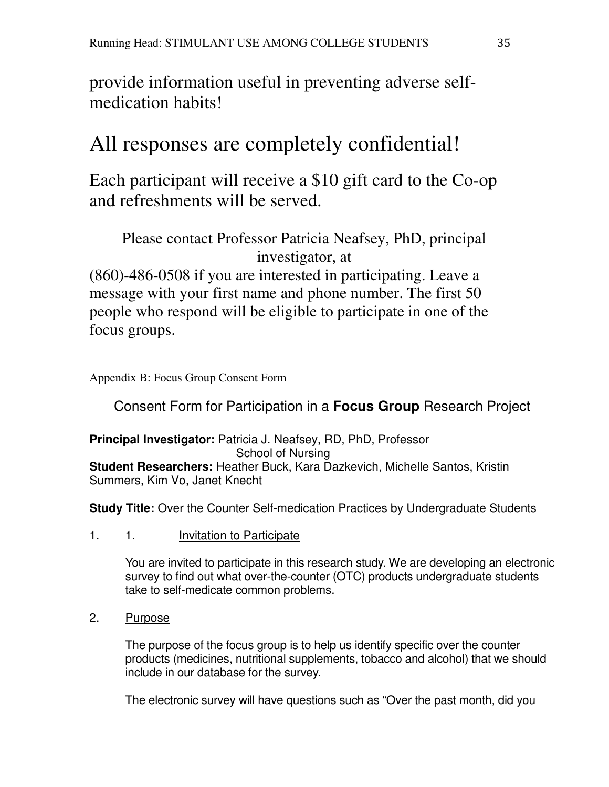provide information useful in preventing adverse selfmedication habits!

# All responses are completely confidential!

Each participant will receive a \$10 gift card to the Co-op and refreshments will be served.

Please contact Professor Patricia Neafsey, PhD, principal investigator, at

(860)-486-0508 if you are interested in participating. Leave a message with your first name and phone number. The first 50 people who respond will be eligible to participate in one of the focus groups.

Appendix B: Focus Group Consent Form

Consent Form for Participation in a **Focus Group** Research Project

**Principal Investigator:** Patricia J. Neafsey, RD, PhD, Professor School of Nursing **Student Researchers:** Heather Buck, Kara Dazkevich, Michelle Santos, Kristin Summers, Kim Vo, Janet Knecht

**Study Title:** Over the Counter Self-medication Practices by Undergraduate Students

## 1. 1. Invitation to Participate

You are invited to participate in this research study. We are developing an electronic survey to find out what over-the-counter (OTC) products undergraduate students take to self-medicate common problems.

2. Purpose

The purpose of the focus group is to help us identify specific over the counter products (medicines, nutritional supplements, tobacco and alcohol) that we should include in our database for the survey.

The electronic survey will have questions such as "Over the past month, did you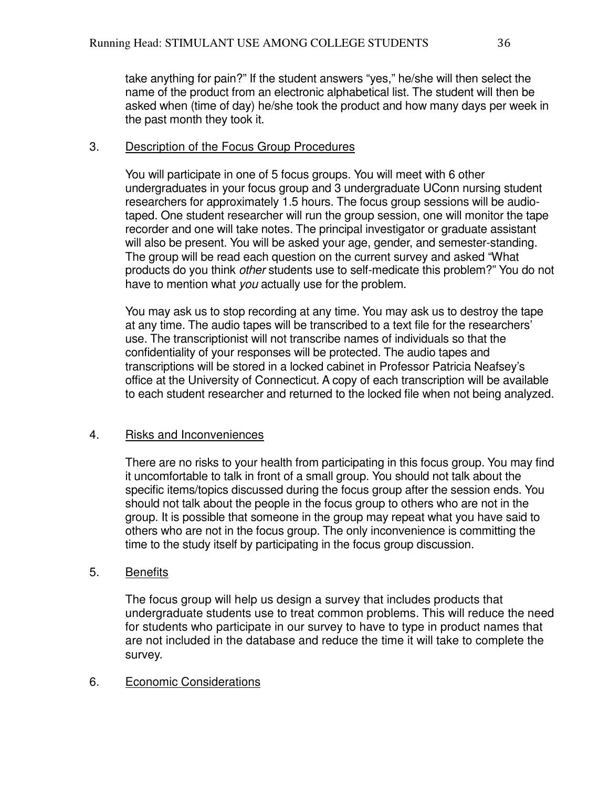take anything for pain?" If the student answers "yes," he/she will then select the name of the product from an electronic alphabetical list. The student will then be asked when (time of day) he/she took the product and how many days per week in the past month they took it.

### 3. Description of the Focus Group Procedures

You will participate in one of 5 focus groups. You will meet with 6 other undergraduates in your focus group and 3 undergraduate UConn nursing student researchers for approximately 1.5 hours. The focus group sessions will be audiotaped. One student researcher will run the group session, one will monitor the tape recorder and one will take notes. The principal investigator or graduate assistant will also be present. You will be asked your age, gender, and semester-standing. The group will be read each question on the current survey and asked "What products do you think other students use to self-medicate this problem?" You do not have to mention what you actually use for the problem.

You may ask us to stop recording at any time. You may ask us to destroy the tape at any time. The audio tapes will be transcribed to a text file for the researchers' use. The transcriptionist will not transcribe names of individuals so that the confidentiality of your responses will be protected. The audio tapes and transcriptions will be stored in a locked cabinet in Professor Patricia Neafsey's office at the University of Connecticut. A copy of each transcription will be available to each student researcher and returned to the locked file when not being analyzed.

### 4. Risks and Inconveniences

There are no risks to your health from participating in this focus group. You may find it uncomfortable to talk in front of a small group. You should not talk about the specific items/topics discussed during the focus group after the session ends. You should not talk about the people in the focus group to others who are not in the group. It is possible that someone in the group may repeat what you have said to others who are not in the focus group. The only inconvenience is committing the time to the study itself by participating in the focus group discussion.

# 5. Benefits

The focus group will help us design a survey that includes products that undergraduate students use to treat common problems. This will reduce the need for students who participate in our survey to have to type in product names that are not included in the database and reduce the time it will take to complete the survey.

# 6. Economic Considerations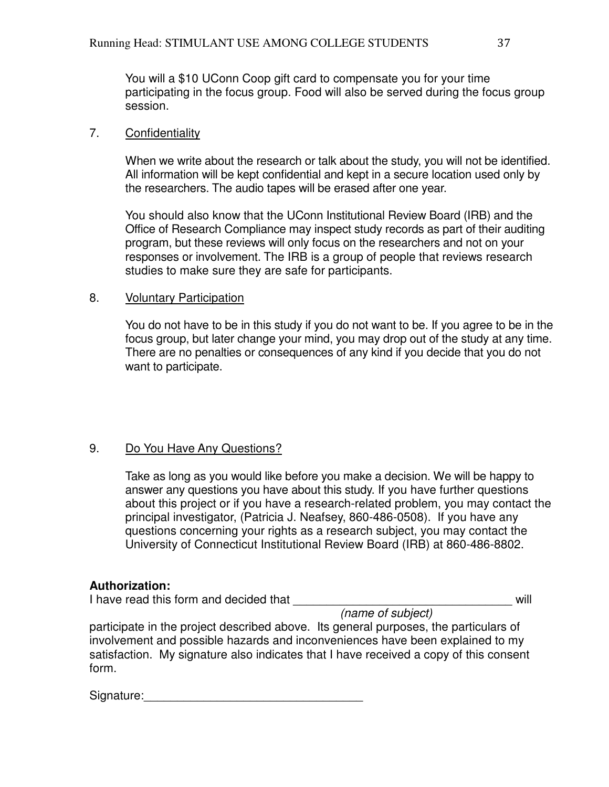You will a \$10 UConn Coop gift card to compensate you for your time participating in the focus group. Food will also be served during the focus group session.

### 7. Confidentiality

When we write about the research or talk about the study, you will not be identified. All information will be kept confidential and kept in a secure location used only by the researchers. The audio tapes will be erased after one year.

You should also know that the UConn Institutional Review Board (IRB) and the Office of Research Compliance may inspect study records as part of their auditing program, but these reviews will only focus on the researchers and not on your responses or involvement. The IRB is a group of people that reviews research studies to make sure they are safe for participants.

### 8. Voluntary Participation

You do not have to be in this study if you do not want to be. If you agree to be in the focus group, but later change your mind, you may drop out of the study at any time. There are no penalties or consequences of any kind if you decide that you do not want to participate.

### 9. Do You Have Any Questions?

Take as long as you would like before you make a decision. We will be happy to answer any questions you have about this study. If you have further questions about this project or if you have a research-related problem, you may contact the principal investigator, (Patricia J. Neafsey, 860-486-0508). If you have any questions concerning your rights as a research subject, you may contact the University of Connecticut Institutional Review Board (IRB) at 860-486-8802.

### **Authorization:**

I have read this form and decided that **I have read the structure will** 

(name of subject)

participate in the project described above. Its general purposes, the particulars of involvement and possible hazards and inconveniences have been explained to my satisfaction. My signature also indicates that I have received a copy of this consent form.

Signature:\_\_\_\_\_\_\_\_\_\_\_\_\_\_\_\_\_\_\_\_\_\_\_\_\_\_\_\_\_\_\_\_\_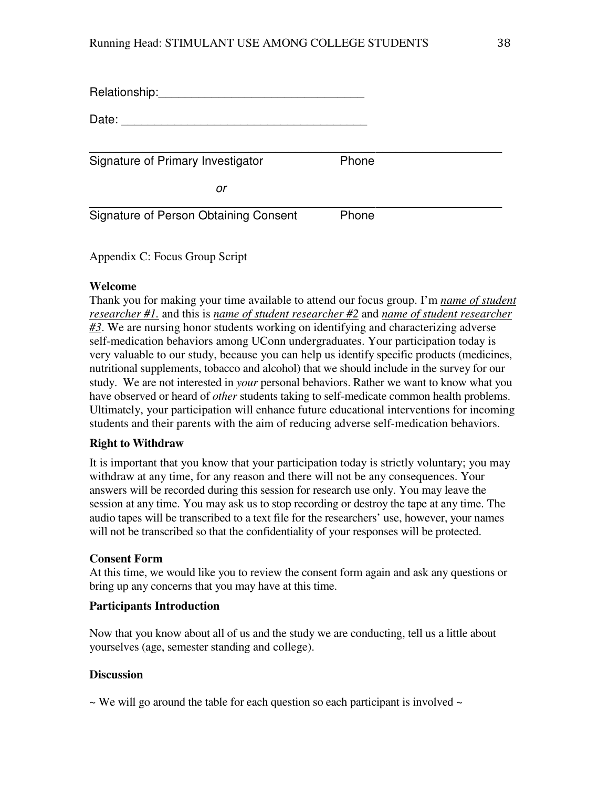| Relationship:                                |       |
|----------------------------------------------|-------|
| Date:                                        |       |
| Signature of Primary Investigator            | Phone |
| or                                           |       |
|                                              |       |
| <b>Signature of Person Obtaining Consent</b> | Phone |

Appendix C: Focus Group Script

#### **Welcome**

Thank you for making your time available to attend our focus group. I'm *name of student researcher #1.* and this is *name of student researcher #2* and *name of student researcher #3*. We are nursing honor students working on identifying and characterizing adverse self-medication behaviors among UConn undergraduates. Your participation today is very valuable to our study, because you can help us identify specific products (medicines, nutritional supplements, tobacco and alcohol) that we should include in the survey for our study. We are not interested in *your* personal behaviors. Rather we want to know what you have observed or heard of *other* students taking to self-medicate common health problems. Ultimately, your participation will enhance future educational interventions for incoming students and their parents with the aim of reducing adverse self-medication behaviors.

#### **Right to Withdraw**

It is important that you know that your participation today is strictly voluntary; you may withdraw at any time, for any reason and there will not be any consequences. Your answers will be recorded during this session for research use only. You may leave the session at any time. You may ask us to stop recording or destroy the tape at any time. The audio tapes will be transcribed to a text file for the researchers' use, however, your names will not be transcribed so that the confidentiality of your responses will be protected.

#### **Consent Form**

At this time, we would like you to review the consent form again and ask any questions or bring up any concerns that you may have at this time.

#### **Participants Introduction**

Now that you know about all of us and the study we are conducting, tell us a little about yourselves (age, semester standing and college).

#### **Discussion**

 $\sim$  We will go around the table for each question so each participant is involved  $\sim$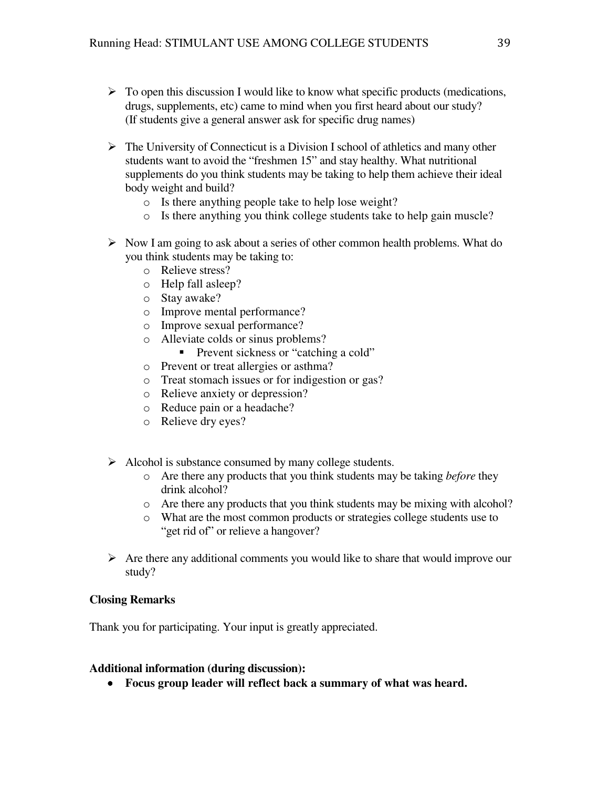- > To open this discussion I would like to know what specific products (medications, drugs, supplements, etc) came to mind when you first heard about our study? (If students give a general answer ask for specific drug names)
- > The University of Connecticut is a Division I school of athletics and many other students want to avoid the "freshmen 15" and stay healthy. What nutritional supplements do you think students may be taking to help them achieve their ideal body weight and build?
	- o Is there anything people take to help lose weight?
	- o Is there anything you think college students take to help gain muscle?
- > Now I am going to ask about a series of other common health problems. What do you think students may be taking to:
	- o Relieve stress?
	- o Help fall asleep?
	- o Stay awake?
	- o Improve mental performance?
	- o Improve sexual performance?
	- o Alleviate colds or sinus problems?
		- **Prevent sickness or "catching a cold"**
	- o Prevent or treat allergies or asthma?
	- o Treat stomach issues or for indigestion or gas?
	- o Relieve anxiety or depression?
	- o Reduce pain or a headache?
	- o Relieve dry eyes?
- > Alcohol is substance consumed by many college students.
	- o Are there any products that you think students may be taking *before* they drink alcohol?
	- o Are there any products that you think students may be mixing with alcohol?
	- o What are the most common products or strategies college students use to "get rid of" or relieve a hangover?
- > Are there any additional comments you would like to share that would improve our study?

#### **Closing Remarks**

Thank you for participating. Your input is greatly appreciated.

#### **Additional information (during discussion):**

• **Focus group leader will reflect back a summary of what was heard.**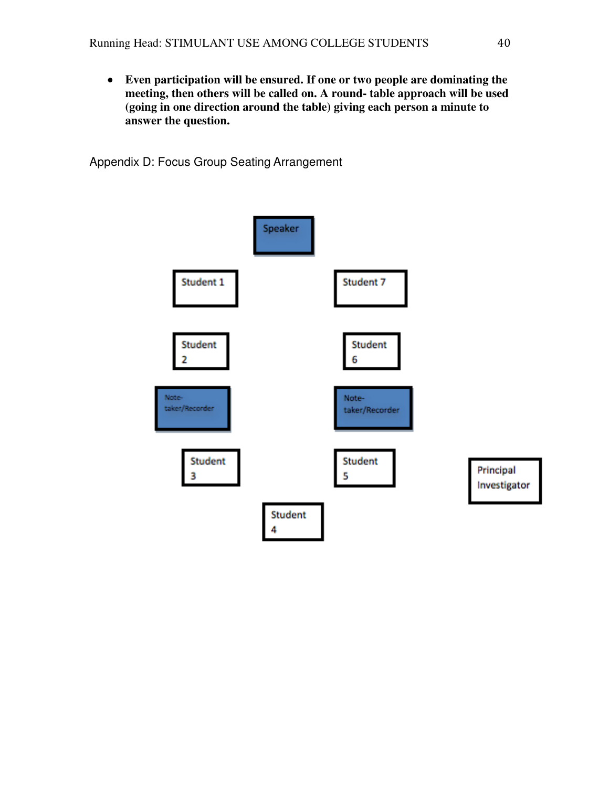• **Even participation will be ensured. If one or two people are dominating th the**  Even participation will be ensured. If one or two people are dominating the<br>meeting, then others will be called on. A round- table approach will be used (going in one direction around the table) giving each person a minute to **answer the question.** 

Appendix D: Focus Group Seating Arrangement

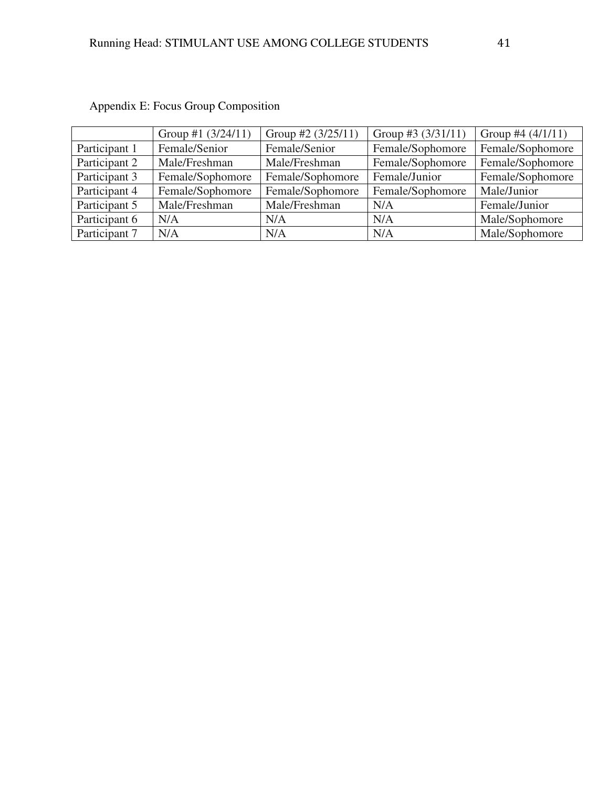|               | Group #1 $(3/24/11)$ | Group #2 $(3/25/11)$ | Group #3 $(3/31/11)$ | Group #4 $(4/1/11)$ |
|---------------|----------------------|----------------------|----------------------|---------------------|
| Participant 1 | Female/Senior        | Female/Senior        | Female/Sophomore     | Female/Sophomore    |
| Participant 2 | Male/Freshman        | Male/Freshman        | Female/Sophomore     | Female/Sophomore    |
| Participant 3 | Female/Sophomore     | Female/Sophomore     | Female/Junior        | Female/Sophomore    |
| Participant 4 | Female/Sophomore     | Female/Sophomore     | Female/Sophomore     | Male/Junior         |
| Participant 5 | Male/Freshman        | Male/Freshman        | N/A                  | Female/Junior       |
| Participant 6 | N/A                  | N/A                  | N/A                  | Male/Sophomore      |
| Participant 7 | N/A                  | N/A                  | N/A                  | Male/Sophomore      |

# Appendix E: Focus Group Composition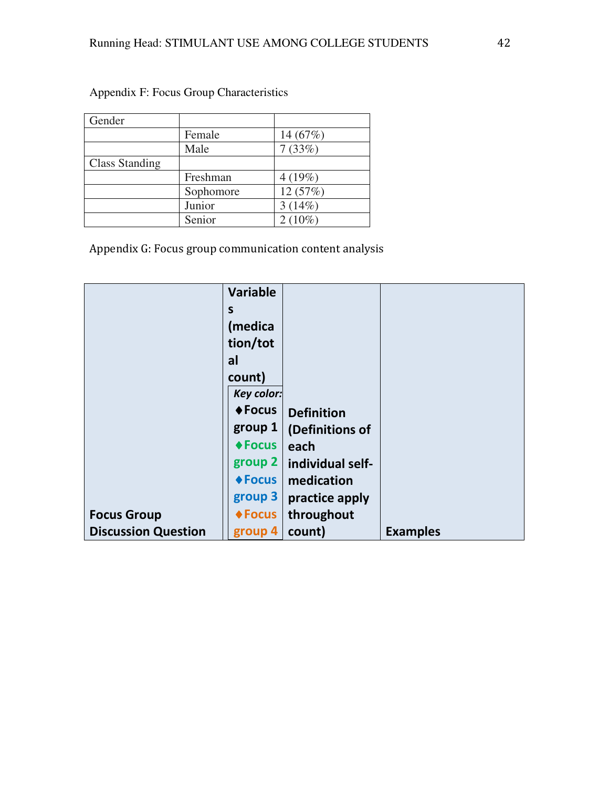| Gender                |           |            |
|-----------------------|-----------|------------|
|                       | Female    | 14 $(67%)$ |
|                       | Male      | 7(33%)     |
| <b>Class Standing</b> |           |            |
|                       |           |            |
|                       | Freshman  | 4(19%)     |
|                       | Sophomore | 12(57%)    |
|                       | Junior    | 3(14%)     |

Appendix F: Focus Group Characteristics

Appendix G: Focus group communication content analysis

|                            | <b>Variable</b>       |                   |                 |
|----------------------------|-----------------------|-------------------|-----------------|
|                            | S                     |                   |                 |
|                            | (medica               |                   |                 |
|                            | tion/tot              |                   |                 |
|                            | al                    |                   |                 |
|                            | count)                |                   |                 |
|                            | <b>Key color:</b>     |                   |                 |
|                            | <b>◆ Focus</b>        | <b>Definition</b> |                 |
|                            | group 1               | (Definitions of   |                 |
|                            | $\blacklozenge$ Focus | each              |                 |
|                            | group 2               | individual self-  |                 |
|                            | $\triangle$ Focus     | medication        |                 |
|                            | group 3               | practice apply    |                 |
| <b>Focus Group</b>         | $\triangle$ Focus     | throughout        |                 |
| <b>Discussion Question</b> | group 4               | count)            | <b>Examples</b> |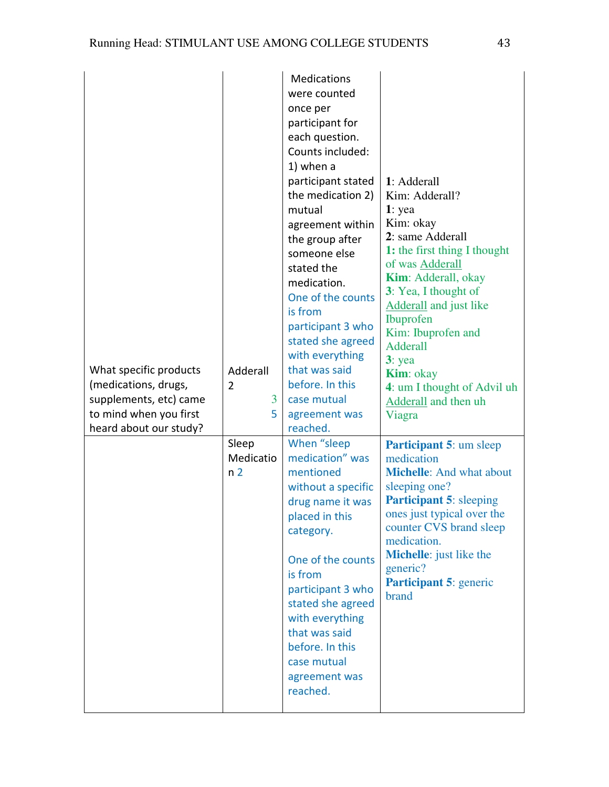| What specific products<br>(medications, drugs,<br>supplements, etc) came<br>to mind when you first<br>heard about our study? | Adderall<br>$\overline{2}$<br>3<br>5 | Medications<br>were counted<br>once per<br>participant for<br>each question.<br>Counts included:<br>1) when a<br>participant stated<br>the medication 2)<br>mutual<br>agreement within<br>the group after<br>someone else<br>stated the<br>medication.<br>One of the counts<br>is from<br>participant 3 who<br>stated she agreed<br>with everything<br>that was said<br>before. In this<br>case mutual<br>agreement was<br>reached. | 1: Adderall<br>Kim: Adderall?<br>$1:$ yea<br>Kim: okay<br>2: same Adderall<br>1: the first thing I thought<br>of was Adderall<br><b>Kim:</b> Adderall, okay<br>3: Yea, I thought of<br>Adderall and just like<br><b>Ibuprofen</b><br>Kim: Ibuprofen and<br><b>Adderall</b><br>$3:$ yea<br><b>Kim</b> : okay<br>4: um I thought of Advil uh<br>Adderall and then uh<br>Viagra |
|------------------------------------------------------------------------------------------------------------------------------|--------------------------------------|-------------------------------------------------------------------------------------------------------------------------------------------------------------------------------------------------------------------------------------------------------------------------------------------------------------------------------------------------------------------------------------------------------------------------------------|------------------------------------------------------------------------------------------------------------------------------------------------------------------------------------------------------------------------------------------------------------------------------------------------------------------------------------------------------------------------------|
|                                                                                                                              | Sleep<br>Medicatio<br>n <sub>2</sub> | When "sleep<br>medication" was<br>mentioned<br>without a specific<br>drug name it was<br>placed in this<br>category.<br>One of the counts<br>is from<br>participant 3 who<br>stated she agreed<br>with everything<br>that was said<br>before. In this<br>case mutual<br>agreement was<br>reached.                                                                                                                                   | Participant 5: um sleep<br>medication<br><b>Michelle:</b> And what about<br>sleeping one?<br><b>Participant 5: sleeping</b><br>ones just typical over the<br>counter CVS brand sleep<br>medication.<br><b>Michelle</b> : just like the<br>generic?<br>Participant 5: generic<br>brand                                                                                        |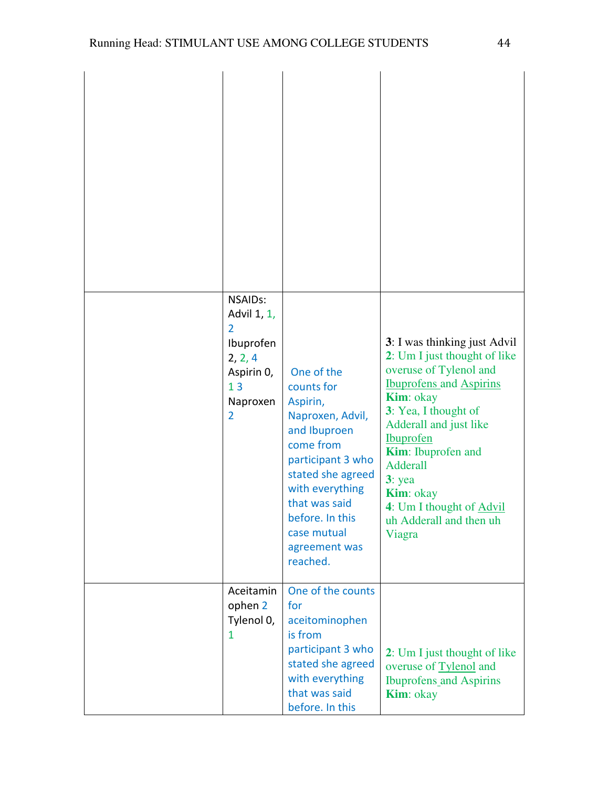| <b>NSAIDs:</b><br>Advil 1, 1,<br>2<br>Ibuprofen<br>2, 2, 4<br>Aspirin 0,<br>13<br>Naproxen<br>$\overline{2}$ | One of the<br>counts for<br>Aspirin,<br>Naproxen, Advil,<br>and Ibuproen<br>come from<br>participant 3 who<br>stated she agreed<br>with everything<br>that was said<br>before. In this<br>case mutual<br>agreement was<br>reached. | 3: I was thinking just Advil<br>2: Um I just thought of like<br>overuse of Tylenol and<br><b>Ibuprofens and Aspirins</b><br><b>Kim</b> : okay<br>3: Yea, I thought of<br>Adderall and just like<br><b>Ibuprofen</b><br><b>Kim:</b> Ibuprofen and<br>Adderall<br>$3:$ yea<br><b>Kim</b> : okay<br>4: Um I thought of Advil<br>uh Adderall and then uh<br>Viagra |
|--------------------------------------------------------------------------------------------------------------|------------------------------------------------------------------------------------------------------------------------------------------------------------------------------------------------------------------------------------|----------------------------------------------------------------------------------------------------------------------------------------------------------------------------------------------------------------------------------------------------------------------------------------------------------------------------------------------------------------|
| Aceitamin<br>ophen 2<br>Tylenol 0,<br>1                                                                      | One of the counts<br>for<br>aceitominophen<br>is from<br>participant 3 who<br>stated she agreed<br>with everything<br>that was said<br>before. In this                                                                             | 2: Um I just thought of like<br>overuse of Tylenol and<br><b>Ibuprofens_and Aspirins</b><br><b>Kim</b> : okay                                                                                                                                                                                                                                                  |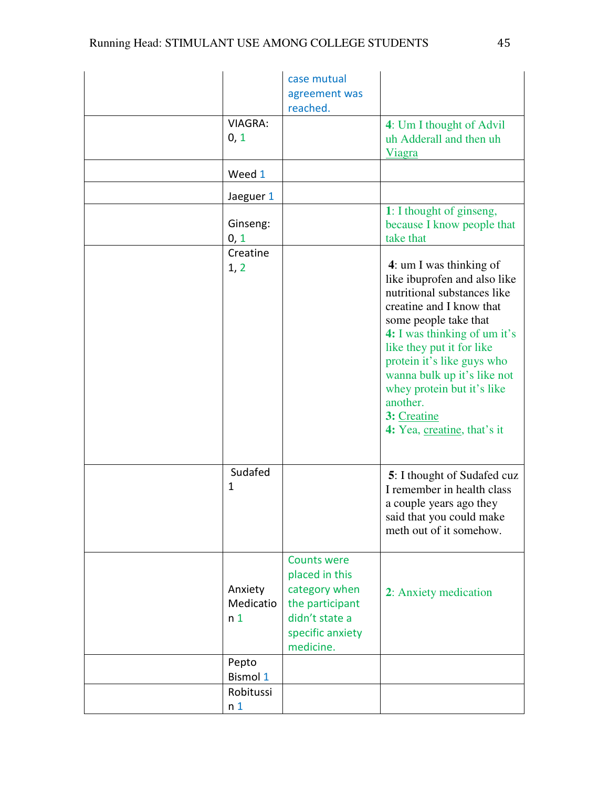|                                        | case mutual<br>agreement was<br>reached.                                                                                    |                                                                                                                                                                                                                                                                                                                                                               |
|----------------------------------------|-----------------------------------------------------------------------------------------------------------------------------|---------------------------------------------------------------------------------------------------------------------------------------------------------------------------------------------------------------------------------------------------------------------------------------------------------------------------------------------------------------|
| <b>VIAGRA:</b><br>0, 1                 |                                                                                                                             | 4: Um I thought of Advil<br>uh Adderall and then uh<br><b>Viagra</b>                                                                                                                                                                                                                                                                                          |
| Weed 1                                 |                                                                                                                             |                                                                                                                                                                                                                                                                                                                                                               |
| Jaeguer 1                              |                                                                                                                             |                                                                                                                                                                                                                                                                                                                                                               |
| Ginseng:<br>0, 1                       |                                                                                                                             | 1: I thought of ginseng,<br>because I know people that<br>take that                                                                                                                                                                                                                                                                                           |
| Creatine<br>1, 2                       |                                                                                                                             | 4: um I was thinking of<br>like ibuprofen and also like<br>nutritional substances like<br>creatine and I know that<br>some people take that<br>4: I was thinking of um it's<br>like they put it for like<br>protein it's like guys who<br>wanna bulk up it's like not<br>whey protein but it's like<br>another.<br>3: Creatine<br>4: Yea, creatine, that's it |
| Sudafed<br>1                           |                                                                                                                             | <b>5</b> : I thought of Sudafed cuz<br>I remember in health class<br>a couple years ago they<br>said that you could make<br>meth out of it somehow.                                                                                                                                                                                                           |
| Anxiety<br>Medicatio<br>n <sub>1</sub> | <b>Counts were</b><br>placed in this<br>category when<br>the participant<br>didn't state a<br>specific anxiety<br>medicine. | 2: Anxiety medication                                                                                                                                                                                                                                                                                                                                         |
| Pepto<br><b>Bismol 1</b>               |                                                                                                                             |                                                                                                                                                                                                                                                                                                                                                               |
| Robitussi                              |                                                                                                                             |                                                                                                                                                                                                                                                                                                                                                               |
| n <sub>1</sub>                         |                                                                                                                             |                                                                                                                                                                                                                                                                                                                                                               |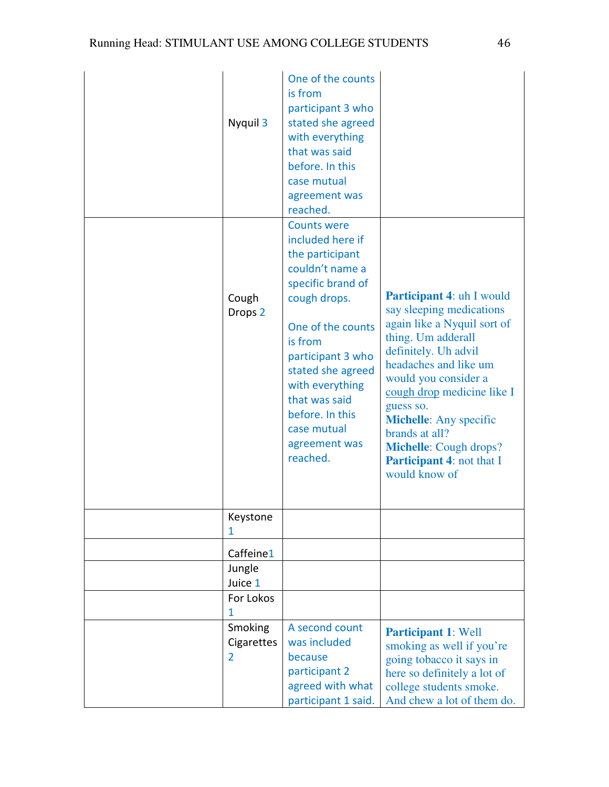| Nyquil 3                    | One of the counts<br>is from<br>participant 3 who<br>stated she agreed<br>with everything<br>that was said<br>before. In this<br>case mutual<br>agreement was<br>reached.                                                                                                                      |                                                                                                                                                                                                                                                                                                                                                                                |
|-----------------------------|------------------------------------------------------------------------------------------------------------------------------------------------------------------------------------------------------------------------------------------------------------------------------------------------|--------------------------------------------------------------------------------------------------------------------------------------------------------------------------------------------------------------------------------------------------------------------------------------------------------------------------------------------------------------------------------|
| Cough<br>Drops <sub>2</sub> | <b>Counts were</b><br>included here if<br>the participant<br>couldn't name a<br>specific brand of<br>cough drops.<br>One of the counts<br>is from<br>participant 3 who<br>stated she agreed<br>with everything<br>that was said<br>before. In this<br>case mutual<br>agreement was<br>reached. | <b>Participant 4: uh I would</b><br>say sleeping medications<br>again like a Nyquil sort of<br>thing. Um adderall<br>definitely. Uh advil<br>headaches and like um<br>would you consider a<br>cough drop medicine like I<br>guess so.<br><b>Michelle:</b> Any specific<br>brands at all?<br><b>Michelle:</b> Cough drops?<br><b>Participant 4: not that I</b><br>would know of |
| Keystone<br>1               |                                                                                                                                                                                                                                                                                                |                                                                                                                                                                                                                                                                                                                                                                                |
| Caffeine1                   |                                                                                                                                                                                                                                                                                                |                                                                                                                                                                                                                                                                                                                                                                                |
| Jungle                      |                                                                                                                                                                                                                                                                                                |                                                                                                                                                                                                                                                                                                                                                                                |
| Juice 1<br>For Lokos        |                                                                                                                                                                                                                                                                                                |                                                                                                                                                                                                                                                                                                                                                                                |
| 1                           |                                                                                                                                                                                                                                                                                                |                                                                                                                                                                                                                                                                                                                                                                                |
| Smoking<br>Cigarettes<br>2  | A second count<br>was included<br>because<br>participant 2<br>agreed with what<br>participant 1 said.                                                                                                                                                                                          | <b>Participant 1: Well</b><br>smoking as well if you're<br>going tobacco it says in<br>here so definitely a lot of<br>college students smoke.<br>And chew a lot of them do.                                                                                                                                                                                                    |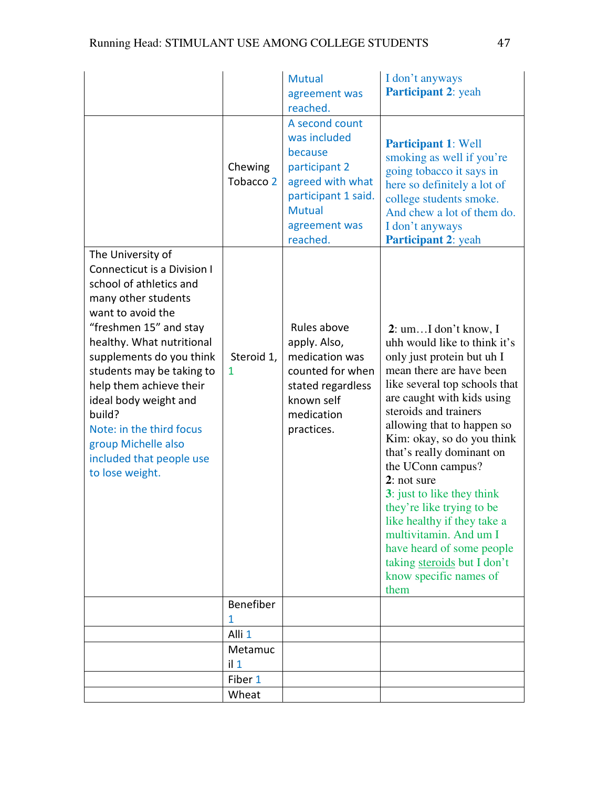|                                                                                                                                                                                                                                                                                                                                                                                                         |                                 | <b>Mutual</b><br>agreement was<br>reached.                                                                                                          | I don't anyways<br>Participant 2: yeah                                                                                                                                                                                                                                                                                                                                                                                                                                                                                                                  |
|---------------------------------------------------------------------------------------------------------------------------------------------------------------------------------------------------------------------------------------------------------------------------------------------------------------------------------------------------------------------------------------------------------|---------------------------------|-----------------------------------------------------------------------------------------------------------------------------------------------------|---------------------------------------------------------------------------------------------------------------------------------------------------------------------------------------------------------------------------------------------------------------------------------------------------------------------------------------------------------------------------------------------------------------------------------------------------------------------------------------------------------------------------------------------------------|
|                                                                                                                                                                                                                                                                                                                                                                                                         | Chewing<br>Tobacco <sub>2</sub> | A second count<br>was included<br>because<br>participant 2<br>agreed with what<br>participant 1 said.<br><b>Mutual</b><br>agreement was<br>reached. | <b>Participant 1: Well</b><br>smoking as well if you're<br>going tobacco it says in<br>here so definitely a lot of<br>college students smoke.<br>And chew a lot of them do.<br>I don't anyways<br>Participant 2: yeah                                                                                                                                                                                                                                                                                                                                   |
| The University of<br>Connecticut is a Division I<br>school of athletics and<br>many other students<br>want to avoid the<br>"freshmen 15" and stay<br>healthy. What nutritional<br>supplements do you think<br>students may be taking to<br>help them achieve their<br>ideal body weight and<br>build?<br>Note: in the third focus<br>group Michelle also<br>included that people use<br>to lose weight. | Steroid 1,<br>1                 | Rules above<br>apply. Also,<br>medication was<br>counted for when<br>stated regardless<br>known self<br>medication<br>practices.                    | $2:$ umI don't know, I<br>uhh would like to think it's<br>only just protein but uh I<br>mean there are have been<br>like several top schools that<br>are caught with kids using<br>steroids and trainers<br>allowing that to happen so<br>Kim: okay, so do you think<br>that's really dominant on<br>the UConn campus?<br>2: not sure<br>3: just to like they think<br>they're like trying to be<br>like healthy if they take a<br>multivitamin. And um I<br>have heard of some people<br>taking steroids but I don't<br>know specific names of<br>them |
|                                                                                                                                                                                                                                                                                                                                                                                                         | Benefiber                       |                                                                                                                                                     |                                                                                                                                                                                                                                                                                                                                                                                                                                                                                                                                                         |
|                                                                                                                                                                                                                                                                                                                                                                                                         | 1<br>Alli <sub>1</sub>          |                                                                                                                                                     |                                                                                                                                                                                                                                                                                                                                                                                                                                                                                                                                                         |
|                                                                                                                                                                                                                                                                                                                                                                                                         | Metamuc                         |                                                                                                                                                     |                                                                                                                                                                                                                                                                                                                                                                                                                                                                                                                                                         |
|                                                                                                                                                                                                                                                                                                                                                                                                         | $i$   1                         |                                                                                                                                                     |                                                                                                                                                                                                                                                                                                                                                                                                                                                                                                                                                         |
|                                                                                                                                                                                                                                                                                                                                                                                                         | Fiber 1                         |                                                                                                                                                     |                                                                                                                                                                                                                                                                                                                                                                                                                                                                                                                                                         |
|                                                                                                                                                                                                                                                                                                                                                                                                         | Wheat                           |                                                                                                                                                     |                                                                                                                                                                                                                                                                                                                                                                                                                                                                                                                                                         |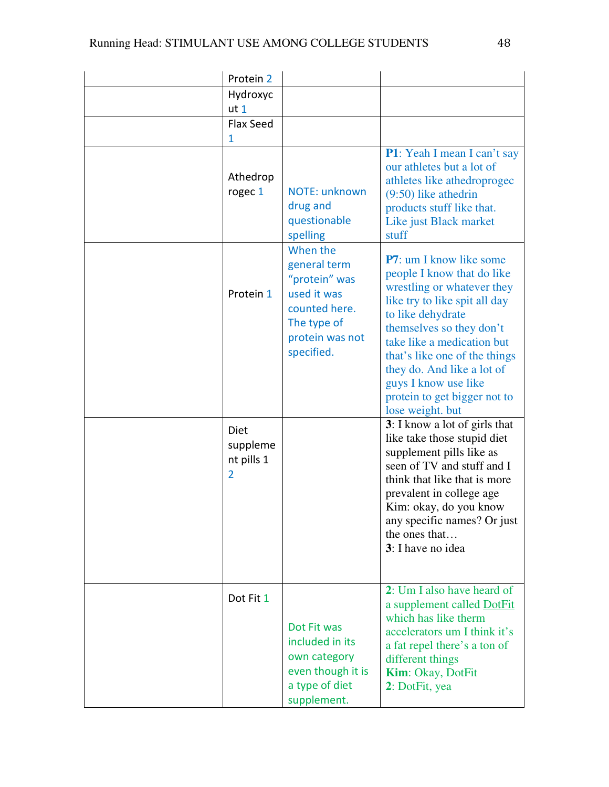| Protein 2                                        |                                                                                                                           |                                                                                                                                                                                                                                                                                                                                                        |
|--------------------------------------------------|---------------------------------------------------------------------------------------------------------------------------|--------------------------------------------------------------------------------------------------------------------------------------------------------------------------------------------------------------------------------------------------------------------------------------------------------------------------------------------------------|
| Hydroxyc                                         |                                                                                                                           |                                                                                                                                                                                                                                                                                                                                                        |
| ut <sub>1</sub>                                  |                                                                                                                           |                                                                                                                                                                                                                                                                                                                                                        |
| Flax Seed                                        |                                                                                                                           |                                                                                                                                                                                                                                                                                                                                                        |
| 1                                                |                                                                                                                           | P1: Yeah I mean I can't say                                                                                                                                                                                                                                                                                                                            |
| Athedrop<br>rogec 1                              | NOTE: unknown<br>drug and<br>questionable<br>spelling                                                                     | our athletes but a lot of<br>athletes like athedroprogec<br>$(9:50)$ like athedrin<br>products stuff like that.<br>Like just Black market<br>stuff                                                                                                                                                                                                     |
| Protein 1                                        | When the<br>general term<br>"protein" was<br>used it was<br>counted here.<br>The type of<br>protein was not<br>specified. | <b>P7</b> : um I know like some<br>people I know that do like<br>wrestling or whatever they<br>like try to like spit all day<br>to like dehydrate<br>themselves so they don't<br>take like a medication but<br>that's like one of the things<br>they do. And like a lot of<br>guys I know use like<br>protein to get bigger not to<br>lose weight. but |
| Diet<br>suppleme<br>nt pills 1<br>$\overline{2}$ |                                                                                                                           | 3: I know a lot of girls that<br>like take those stupid diet<br>supplement pills like as<br>seen of TV and stuff and I<br>think that like that is more<br>prevalent in college age<br>Kim: okay, do you know<br>any specific names? Or just<br>the ones that<br>3: I have no idea                                                                      |
| Dot Fit 1                                        | Dot Fit was<br>included in its<br>own category<br>even though it is<br>a type of diet<br>supplement.                      | 2: Um I also have heard of<br>a supplement called DotFit<br>which has like therm<br>accelerators um I think it's<br>a fat repel there's a ton of<br>different things<br>Kim: Okay, DotFit<br>2: DotFit, yea                                                                                                                                            |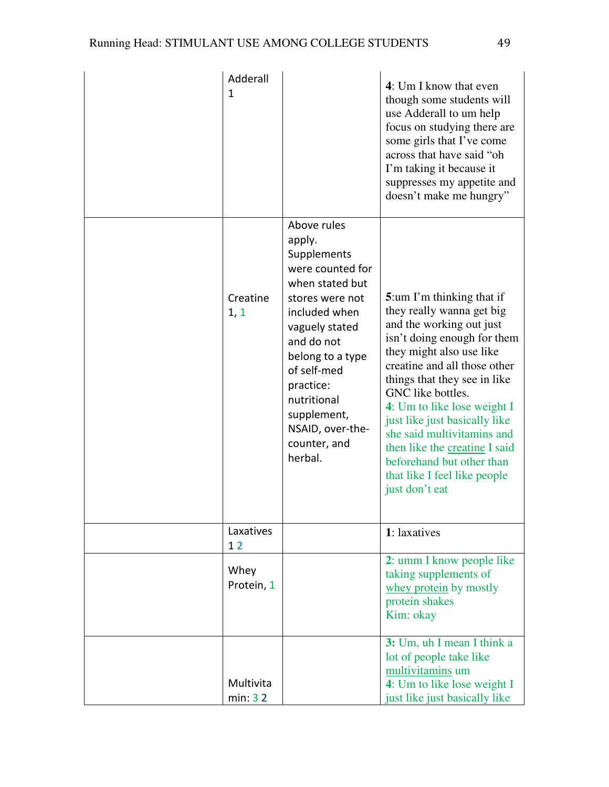| Adderall<br>1        |                                                                                                                                                                                                                                                                              | 4: Um I know that even<br>though some students will<br>use Adderall to um help<br>focus on studying there are<br>some girls that I've come<br>across that have said "oh<br>I'm taking it because it<br>suppresses my appetite and<br>doesn't make me hungry"                                                                                                                                                                                     |
|----------------------|------------------------------------------------------------------------------------------------------------------------------------------------------------------------------------------------------------------------------------------------------------------------------|--------------------------------------------------------------------------------------------------------------------------------------------------------------------------------------------------------------------------------------------------------------------------------------------------------------------------------------------------------------------------------------------------------------------------------------------------|
| Creatine<br>1, 1     | Above rules<br>apply.<br>Supplements<br>were counted for<br>when stated but<br>stores were not<br>included when<br>vaguely stated<br>and do not<br>belong to a type<br>of self-med<br>practice:<br>nutritional<br>supplement,<br>NSAID, over-the-<br>counter, and<br>herbal. | 5:um I'm thinking that if<br>they really wanna get big<br>and the working out just<br>isn't doing enough for them<br>they might also use like<br>creatine and all those other<br>things that they see in like<br>GNC like bottles.<br>4: Um to like lose weight I<br>just like just basically like<br>she said multivitamins and<br>then like the creating I said<br>beforehand but other than<br>that like I feel like people<br>just don't eat |
| Laxatives<br>12      |                                                                                                                                                                                                                                                                              | 1: laxatives                                                                                                                                                                                                                                                                                                                                                                                                                                     |
| Whey<br>Protein, 1   |                                                                                                                                                                                                                                                                              | 2: umm I know people like<br>taking supplements of<br>whey protein by mostly<br>protein shakes<br>Kim: okay                                                                                                                                                                                                                                                                                                                                      |
| Multivita<br>min: 32 |                                                                                                                                                                                                                                                                              | 3: Um, uh I mean I think a<br>lot of people take like<br>multivitamins um<br>4: Um to like lose weight I<br>just like just basically like                                                                                                                                                                                                                                                                                                        |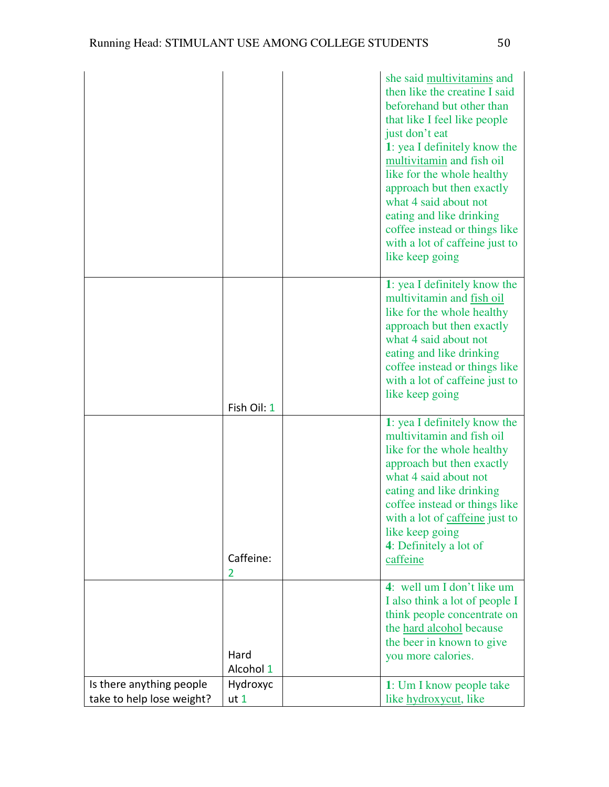|                                                       |                             | she said multivitamins and<br>then like the creatine I said<br>beforehand but other than<br>that like I feel like people<br>just don't eat<br>1: yea I definitely know the<br>multivitamin and fish oil<br>like for the whole healthy<br>approach but then exactly<br>what 4 said about not<br>eating and like drinking<br>coffee instead or things like<br>with a lot of caffeine just to<br>like keep going |
|-------------------------------------------------------|-----------------------------|---------------------------------------------------------------------------------------------------------------------------------------------------------------------------------------------------------------------------------------------------------------------------------------------------------------------------------------------------------------------------------------------------------------|
|                                                       | Fish Oil: 1                 | 1: yea I definitely know the<br>multivitamin and fish oil<br>like for the whole healthy<br>approach but then exactly<br>what 4 said about not<br>eating and like drinking<br>coffee instead or things like<br>with a lot of caffeine just to<br>like keep going                                                                                                                                               |
|                                                       | Caffeine:<br>2              | 1: yea I definitely know the<br>multivitamin and fish oil<br>like for the whole healthy<br>approach but then exactly<br>what 4 said about not<br>eating and like drinking<br>coffee instead or things like<br>with a lot of caffeine just to<br>like keep going<br>4: Definitely a lot of<br>caffeine                                                                                                         |
|                                                       | Hard<br>Alcohol 1           | 4: well um I don't like um<br>I also think a lot of people I<br>think people concentrate on<br>the hard alcohol because<br>the beer in known to give<br>you more calories.                                                                                                                                                                                                                                    |
| Is there anything people<br>take to help lose weight? | Hydroxyc<br>ut <sub>1</sub> | 1: Um I know people take<br>like hydroxycut, like                                                                                                                                                                                                                                                                                                                                                             |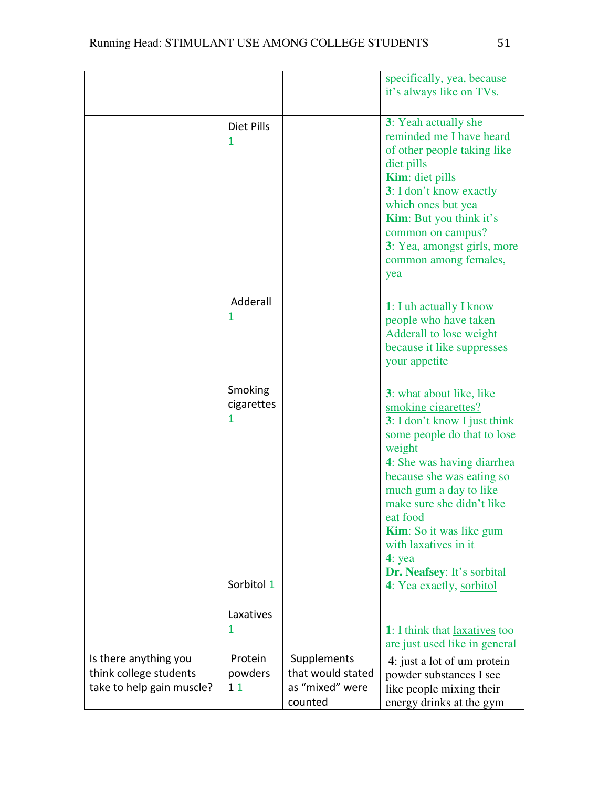|                                                                              |                            |                                                                | specifically, yea, because<br>it's always like on TVs.                                                                                                                                                                                                                                         |
|------------------------------------------------------------------------------|----------------------------|----------------------------------------------------------------|------------------------------------------------------------------------------------------------------------------------------------------------------------------------------------------------------------------------------------------------------------------------------------------------|
|                                                                              | Diet Pills<br>1            |                                                                | 3: Yeah actually she<br>reminded me I have heard<br>of other people taking like<br>diet pills<br><b>Kim:</b> diet pills<br>3: I don't know exactly<br>which ones but yea<br><b>Kim:</b> But you think it's<br>common on campus?<br>3: Yea, amongst girls, more<br>common among females,<br>yea |
|                                                                              | Adderall<br>1              |                                                                | 1: I uh actually I know<br>people who have taken<br>Adderall to lose weight<br>because it like suppresses<br>your appetite                                                                                                                                                                     |
|                                                                              | Smoking<br>cigarettes<br>1 |                                                                | 3: what about like, like<br>smoking cigarettes?<br>3: I don't know I just think<br>some people do that to lose<br>weight                                                                                                                                                                       |
|                                                                              | Sorbitol 1                 |                                                                | 4: She was having diarrhea<br>because she was eating so<br>much gum a day to like<br>make sure she didn't like<br>eat food<br><b>Kim</b> : So it was like gum<br>with laxatives in it<br>$4:$ yea<br>Dr. Neafsey: It's sorbital<br>4: Yea exactly, sorbitol                                    |
|                                                                              | Laxatives<br>1             |                                                                | 1: I think that laxatives too<br>are just used like in general                                                                                                                                                                                                                                 |
| Is there anything you<br>think college students<br>take to help gain muscle? | Protein<br>powders<br>11   | Supplements<br>that would stated<br>as "mixed" were<br>counted | 4: just a lot of um protein<br>powder substances I see<br>like people mixing their<br>energy drinks at the gym                                                                                                                                                                                 |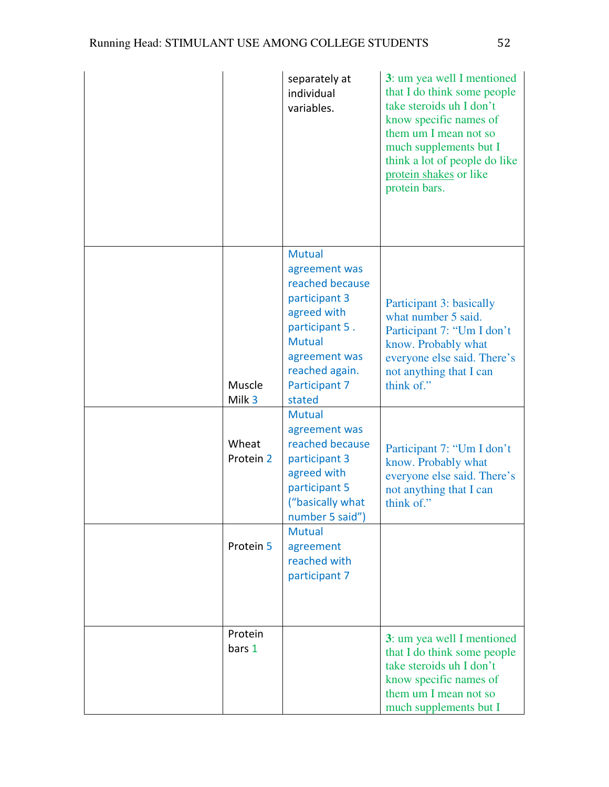|                    | separately at<br>individual<br>variables.                                                                                                        | 3: um yea well I mentioned<br>that I do think some people<br>take steroids uh I don't<br>know specific names of<br>them um I mean not so<br>much supplements but I<br>think a lot of people do like<br>protein shakes or like<br>protein bars. |
|--------------------|--------------------------------------------------------------------------------------------------------------------------------------------------|------------------------------------------------------------------------------------------------------------------------------------------------------------------------------------------------------------------------------------------------|
|                    | <b>Mutual</b><br>agreement was                                                                                                                   |                                                                                                                                                                                                                                                |
| Muscle<br>Milk 3   | reached because<br>participant 3<br>agreed with<br>participant 5.<br><b>Mutual</b><br>agreement was<br>reached again.<br>Participant 7<br>stated | Participant 3: basically<br>what number 5 said.<br>Participant 7: "Um I don't<br>know. Probably what<br>everyone else said. There's<br>not anything that I can<br>think of."                                                                   |
| Wheat<br>Protein 2 | <b>Mutual</b><br>agreement was<br>reached because<br>participant 3<br>agreed with<br>participant 5<br>("basically what<br>number 5 said")        | Participant 7: "Um I don't<br>know. Probably what<br>everyone else said. There's<br>not anything that I can<br>think of."                                                                                                                      |
| Protein 5          | <b>Mutual</b><br>agreement<br>reached with<br>participant 7                                                                                      |                                                                                                                                                                                                                                                |
| Protein<br>bars 1  |                                                                                                                                                  | 3: um yea well I mentioned<br>that I do think some people<br>take steroids uh I don't<br>know specific names of<br>them um I mean not so<br>much supplements but I                                                                             |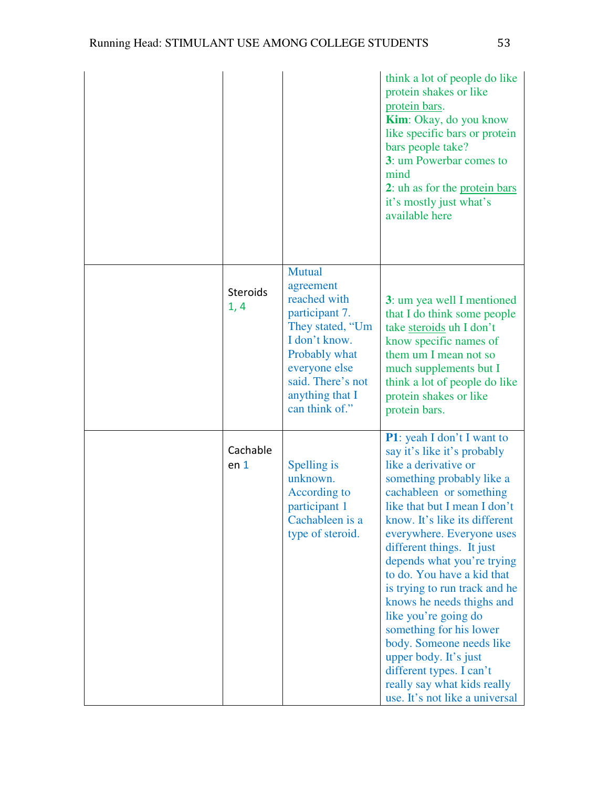|                             |                                                                                                                                                                                        | think a lot of people do like<br>protein shakes or like<br>protein bars.<br><b>Kim:</b> Okay, do you know<br>like specific bars or protein<br>bars people take?<br>3: um Powerbar comes to<br>mind<br>2: uh as for the protein bars<br>it's mostly just what's<br>available here                                                                                                                                                                                                                                                                                                                            |
|-----------------------------|----------------------------------------------------------------------------------------------------------------------------------------------------------------------------------------|-------------------------------------------------------------------------------------------------------------------------------------------------------------------------------------------------------------------------------------------------------------------------------------------------------------------------------------------------------------------------------------------------------------------------------------------------------------------------------------------------------------------------------------------------------------------------------------------------------------|
| <b>Steroids</b><br>1, 4     | Mutual<br>agreement<br>reached with<br>participant 7.<br>They stated, "Um<br>I don't know.<br>Probably what<br>everyone else<br>said. There's not<br>anything that I<br>can think of." | 3: um yea well I mentioned<br>that I do think some people<br>take steroids uh I don't<br>know specific names of<br>them um I mean not so<br>much supplements but I<br>think a lot of people do like<br>protein shakes or like<br>protein bars.                                                                                                                                                                                                                                                                                                                                                              |
| Cachable<br>en <sub>1</sub> | Spelling is<br>unknown.<br>According to<br>participant 1<br>Cachableen is a<br>type of steroid.                                                                                        | <b>P1</b> : yeah I don't I want to<br>say it's like it's probably<br>like a derivative or<br>something probably like a<br>cachableen or something<br>like that but I mean I don't<br>know. It's like its different<br>everywhere. Everyone uses<br>different things. It just<br>depends what you're trying<br>to do. You have a kid that<br>is trying to run track and he<br>knows he needs thighs and<br>like you're going do<br>something for his lower<br>body. Someone needs like<br>upper body. It's just<br>different types. I can't<br>really say what kids really<br>use. It's not like a universal |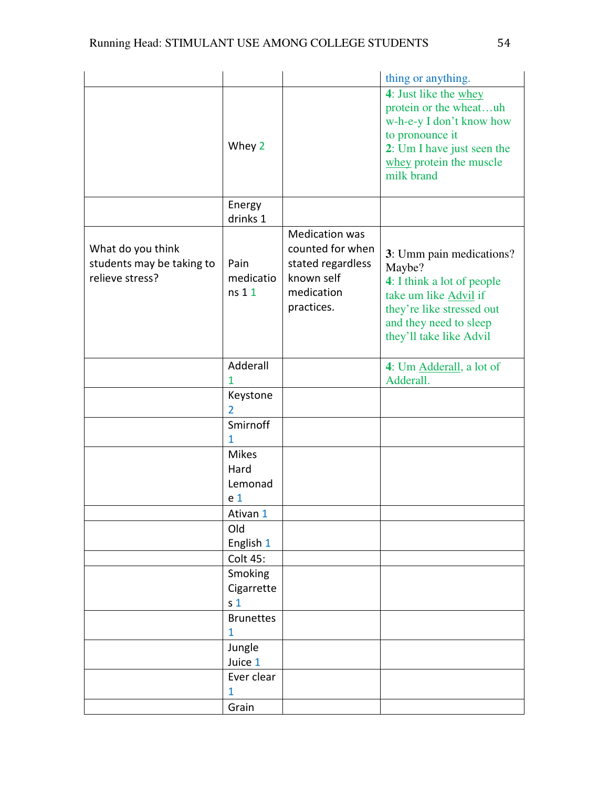|                           |                  |                       | thing or anything.                    |
|---------------------------|------------------|-----------------------|---------------------------------------|
|                           |                  |                       | 4: Just like the whey                 |
|                           |                  |                       | protein or the wheatuh                |
|                           |                  |                       | w-h-e-y I don't know how              |
|                           |                  |                       | to pronounce it                       |
|                           | Whey 2           |                       | 2: Um I have just seen the            |
|                           |                  |                       | whey protein the muscle               |
|                           |                  |                       | milk brand                            |
|                           | Energy           |                       |                                       |
|                           | drinks 1         |                       |                                       |
|                           |                  | <b>Medication was</b> |                                       |
| What do you think         |                  | counted for when      | 3: Umm pain medications?              |
| students may be taking to | Pain             | stated regardless     | Maybe?                                |
| relieve stress?           | medicatio        | known self            | 4: I think a lot of people            |
|                           | ns 1 1           | medication            | take um like Advil if                 |
|                           |                  | practices.            | they're like stressed out             |
|                           |                  |                       | and they need to sleep                |
|                           |                  |                       | they'll take like Advil               |
|                           |                  |                       |                                       |
|                           | Adderall<br>1    |                       | 4: Um Adderall, a lot of<br>Adderall. |
|                           | Keystone         |                       |                                       |
|                           | 2                |                       |                                       |
|                           | Smirnoff         |                       |                                       |
|                           | 1                |                       |                                       |
|                           | <b>Mikes</b>     |                       |                                       |
|                           | Hard             |                       |                                       |
|                           | Lemonad          |                       |                                       |
|                           | e <sub>1</sub>   |                       |                                       |
|                           | Ativan 1         |                       |                                       |
|                           | Old              |                       |                                       |
|                           | English 1        |                       |                                       |
|                           | Colt 45:         |                       |                                       |
|                           | Smoking          |                       |                                       |
|                           | Cigarrette       |                       |                                       |
|                           | s <sub>1</sub>   |                       |                                       |
|                           | <b>Brunettes</b> |                       |                                       |
|                           | 1                |                       |                                       |
|                           | Jungle           |                       |                                       |
|                           | Juice 1          |                       |                                       |
|                           | Ever clear       |                       |                                       |
|                           | 1                |                       |                                       |
|                           | Grain            |                       |                                       |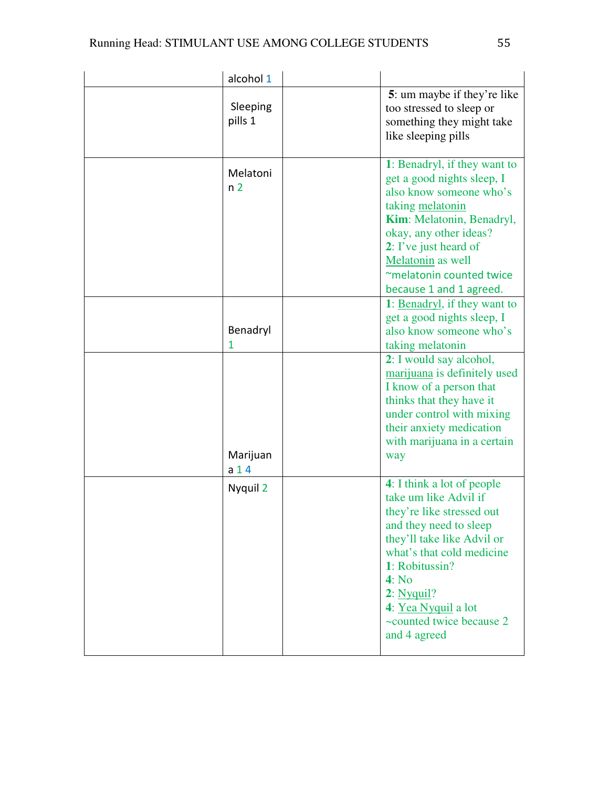| alcohol 1                   |                                                                                                                                                                                                                                                                                   |
|-----------------------------|-----------------------------------------------------------------------------------------------------------------------------------------------------------------------------------------------------------------------------------------------------------------------------------|
| Sleeping<br>pills 1         | 5: um maybe if they're like<br>too stressed to sleep or<br>something they might take<br>like sleeping pills                                                                                                                                                                       |
| Melatoni<br>n <sub>2</sub>  | 1: Benadryl, if they want to<br>get a good nights sleep, I<br>also know someone who's<br>taking melatonin<br>Kim: Melatonin, Benadryl,<br>okay, any other ideas?<br>2: I've just heard of<br>Melatonin as well<br>~melatonin counted twice<br>because 1 and 1 agreed.             |
| Benadryl<br>1               | 1: Benadryl, if they want to<br>get a good nights sleep, I<br>also know someone who's<br>taking melatonin                                                                                                                                                                         |
| Marijuan<br>a <sub>14</sub> | 2: I would say alcohol,<br>marijuana is definitely used<br>I know of a person that<br>thinks that they have it<br>under control with mixing<br>their anxiety medication<br>with marijuana in a certain<br>way                                                                     |
| Nyquil 2                    | 4: I think a lot of people<br>take um like Advil if<br>they're like stressed out<br>and they need to sleep<br>they'll take like Advil or<br>what's that cold medicine<br>1: Robitussin?<br>4: No<br>2: Nyquil?<br>4: Yea Nyquil a lot<br>~counted twice because 2<br>and 4 agreed |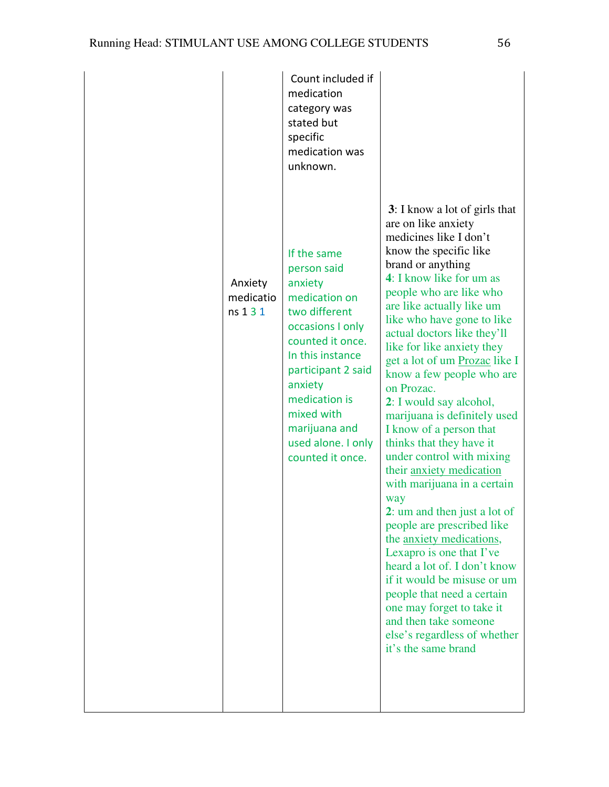|                                  | Count included if<br>medication<br>category was<br>stated but<br>specific<br>medication was<br>unknown.                                                                                                                                                        |                                                                                                                                                                                                                                                                                                                                                                                                                                                                                                                                                                                                                                                                                                                                                                                                                                                                                                                                                  |
|----------------------------------|----------------------------------------------------------------------------------------------------------------------------------------------------------------------------------------------------------------------------------------------------------------|--------------------------------------------------------------------------------------------------------------------------------------------------------------------------------------------------------------------------------------------------------------------------------------------------------------------------------------------------------------------------------------------------------------------------------------------------------------------------------------------------------------------------------------------------------------------------------------------------------------------------------------------------------------------------------------------------------------------------------------------------------------------------------------------------------------------------------------------------------------------------------------------------------------------------------------------------|
| Anxiety<br>medicatio<br>ns 1 3 1 | If the same<br>person said<br>anxiety<br>medication on<br>two different<br>occasions I only<br>counted it once.<br>In this instance<br>participant 2 said<br>anxiety<br>medication is<br>mixed with<br>marijuana and<br>used alone. I only<br>counted it once. | 3: I know a lot of girls that<br>are on like anxiety<br>medicines like I don't<br>know the specific like<br>brand or anything<br>4: I know like for um as<br>people who are like who<br>are like actually like um<br>like who have gone to like<br>actual doctors like they'll<br>like for like anxiety they<br>get a lot of um Prozac like I<br>know a few people who are<br>on Prozac.<br>2: I would say alcohol,<br>marijuana is definitely used<br>I know of a person that<br>thinks that they have it<br>under control with mixing<br>their anxiety medication<br>with marijuana in a certain<br>way<br>2: um and then just a lot of<br>people are prescribed like<br>the <u>anxiety</u> medications,<br>Lexapro is one that I've<br>heard a lot of. I don't know<br>if it would be misuse or um<br>people that need a certain<br>one may forget to take it<br>and then take someone<br>else's regardless of whether<br>it's the same brand |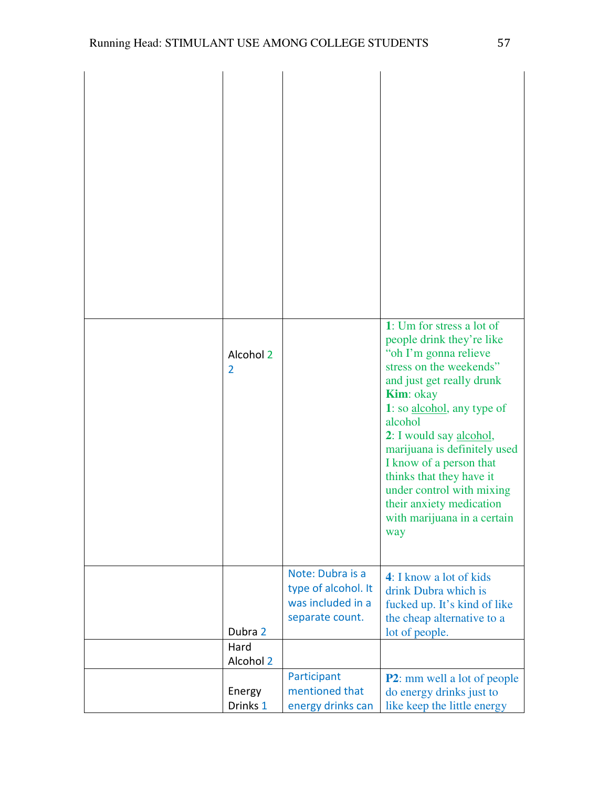| Alcohol 2<br>$\overline{2}$ |                                                                                 | 1: Um for stress a lot of<br>people drink they're like<br>"oh I'm gonna relieve<br>stress on the weekends"<br>and just get really drunk<br><b>Kim</b> : okay<br>1: so alcohol, any type of<br>alcohol<br>2: I would say alcohol,<br>marijuana is definitely used<br>I know of a person that<br>thinks that they have it<br>under control with mixing<br>their anxiety medication<br>with marijuana in a certain<br>way |
|-----------------------------|---------------------------------------------------------------------------------|------------------------------------------------------------------------------------------------------------------------------------------------------------------------------------------------------------------------------------------------------------------------------------------------------------------------------------------------------------------------------------------------------------------------|
| Dubra 2                     | Note: Dubra is a<br>type of alcohol. It<br>was included in a<br>separate count. | 4: I know a lot of kids<br>drink Dubra which is<br>fucked up. It's kind of like<br>the cheap alternative to a<br>lot of people.                                                                                                                                                                                                                                                                                        |
| Hard<br>Alcohol 2           |                                                                                 |                                                                                                                                                                                                                                                                                                                                                                                                                        |
| Energy<br>Drinks 1          | Participant<br>mentioned that<br>energy drinks can                              | <b>P2</b> : mm well a lot of people<br>do energy drinks just to<br>like keep the little energy                                                                                                                                                                                                                                                                                                                         |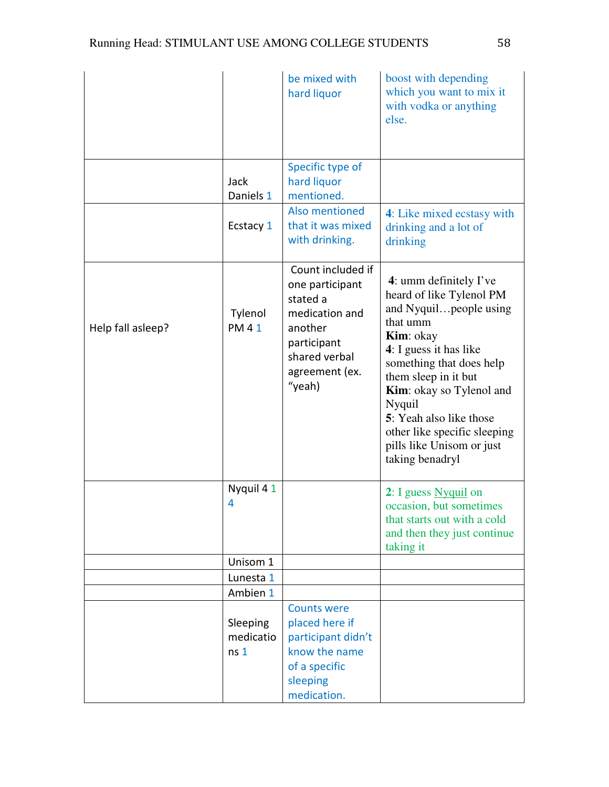|                   |                                          | be mixed with<br>hard liquor                                                                                                              | boost with depending<br>which you want to mix it<br>with vodka or anything<br>else.                                                                                                                                                                                                                                                                |
|-------------------|------------------------------------------|-------------------------------------------------------------------------------------------------------------------------------------------|----------------------------------------------------------------------------------------------------------------------------------------------------------------------------------------------------------------------------------------------------------------------------------------------------------------------------------------------------|
|                   | Jack<br>Daniels 1                        | Specific type of<br>hard liquor<br>mentioned.                                                                                             |                                                                                                                                                                                                                                                                                                                                                    |
|                   | Ecstacy 1                                | Also mentioned<br>that it was mixed<br>with drinking.                                                                                     | 4: Like mixed ecstasy with<br>drinking and a lot of<br>drinking                                                                                                                                                                                                                                                                                    |
| Help fall asleep? | Tylenol<br><b>PM41</b>                   | Count included if<br>one participant<br>stated a<br>medication and<br>another<br>participant<br>shared verbal<br>agreement (ex.<br>"yeah) | 4: umm definitely $\Gamma$ ve<br>heard of like Tylenol PM<br>and Nyquilpeople using<br>that umm<br>Kim: okay<br>4: I guess it has like<br>something that does help<br>them sleep in it but<br><b>Kim:</b> okay so Tylenol and<br>Nyquil<br>5: Yeah also like those<br>other like specific sleeping<br>pills like Unisom or just<br>taking benadryl |
|                   | Nyquil 41<br>4                           |                                                                                                                                           | 2: I guess Nyquil on<br>occasion, but sometimes<br>that starts out with a cold<br>and then they just continue<br>taking it                                                                                                                                                                                                                         |
|                   | Unisom 1                                 |                                                                                                                                           |                                                                                                                                                                                                                                                                                                                                                    |
|                   | Lunesta 1                                |                                                                                                                                           |                                                                                                                                                                                                                                                                                                                                                    |
|                   | Ambien 1                                 |                                                                                                                                           |                                                                                                                                                                                                                                                                                                                                                    |
|                   | Sleeping<br>medicatio<br>ns <sub>1</sub> | <b>Counts were</b><br>placed here if<br>participant didn't<br>know the name<br>of a specific<br>sleeping                                  |                                                                                                                                                                                                                                                                                                                                                    |
|                   |                                          | medication.                                                                                                                               |                                                                                                                                                                                                                                                                                                                                                    |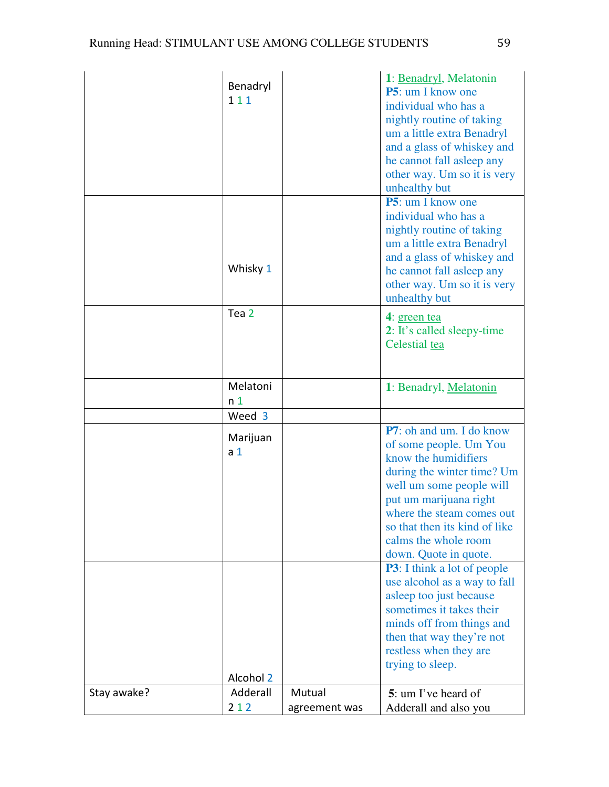|             | Benadryl<br>111            |               | 1: Benadryl, Melatonin<br>P5: um I know one<br>individual who has a<br>nightly routine of taking<br>um a little extra Benadryl<br>and a glass of whiskey and<br>he cannot fall asleep any<br>other way. Um so it is very<br>unhealthy but                                                                                                                                                                   |
|-------------|----------------------------|---------------|-------------------------------------------------------------------------------------------------------------------------------------------------------------------------------------------------------------------------------------------------------------------------------------------------------------------------------------------------------------------------------------------------------------|
|             | Whisky 1                   |               | <b>P5</b> : um I know one<br>individual who has a<br>nightly routine of taking<br>um a little extra Benadryl<br>and a glass of whiskey and<br>he cannot fall asleep any<br>other way. Um so it is very<br>unhealthy but                                                                                                                                                                                     |
|             | Tea 2                      |               | 4: green tea<br>2: It's called sleepy-time<br>Celestial tea                                                                                                                                                                                                                                                                                                                                                 |
|             | Melatoni<br>n <sub>1</sub> |               | 1: Benadryl, Melatonin                                                                                                                                                                                                                                                                                                                                                                                      |
|             | Weed 3                     |               |                                                                                                                                                                                                                                                                                                                                                                                                             |
|             | Marijuan<br>a <sub>1</sub> |               | P7: oh and um. I do know<br>of some people. Um You<br>know the humidifiers<br>during the winter time? Um<br>well um some people will<br>put um marijuana right<br>where the steam comes out<br>so that then its kind of like<br>calms the whole room<br>down. Quote in quote.<br><b>P3</b> : I think a lot of people<br>use alcohol as a way to fall<br>asleep too just because<br>sometimes it takes their |
|             | Alcohol 2                  |               | minds off from things and<br>then that way they're not<br>restless when they are<br>trying to sleep.                                                                                                                                                                                                                                                                                                        |
| Stay awake? | Adderall                   | Mutual        | 5: um I've heard of                                                                                                                                                                                                                                                                                                                                                                                         |
|             | 212                        | agreement was | Adderall and also you                                                                                                                                                                                                                                                                                                                                                                                       |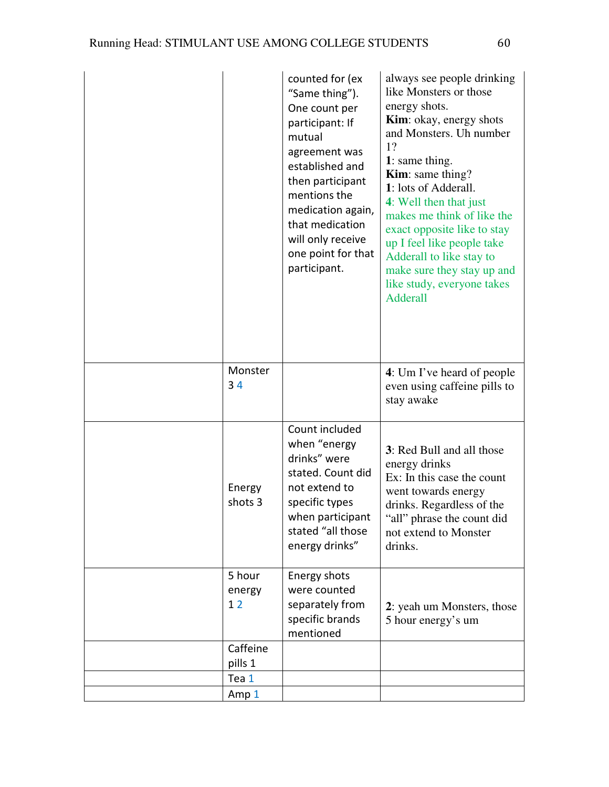|                        | counted for (ex<br>"Same thing").<br>One count per<br>participant: If<br>mutual<br>agreement was<br>established and<br>then participant<br>mentions the<br>medication again,<br>that medication<br>will only receive<br>one point for that<br>participant. | always see people drinking<br>like Monsters or those<br>energy shots.<br><b>Kim</b> : okay, energy shots<br>and Monsters. Uh number<br>1?<br>1: same thing.<br><b>Kim</b> : same thing?<br>1: lots of Adderall.<br>4: Well then that just<br>makes me think of like the<br>exact opposite like to stay<br>up I feel like people take<br>Adderall to like stay to<br>make sure they stay up and<br>like study, everyone takes<br><b>Adderall</b> |
|------------------------|------------------------------------------------------------------------------------------------------------------------------------------------------------------------------------------------------------------------------------------------------------|-------------------------------------------------------------------------------------------------------------------------------------------------------------------------------------------------------------------------------------------------------------------------------------------------------------------------------------------------------------------------------------------------------------------------------------------------|
| Monster<br>34          |                                                                                                                                                                                                                                                            | 4: Um I've heard of people<br>even using caffeine pills to<br>stay awake                                                                                                                                                                                                                                                                                                                                                                        |
| Energy<br>shots 3      | Count included<br>when "energy<br>drinks" were<br>stated. Count did<br>not extend to<br>specific types<br>when participant<br>stated "all those<br>energy drinks"                                                                                          | 3: Red Bull and all those<br>energy drinks<br>Ex: In this case the count<br>went towards energy<br>drinks. Regardless of the<br>"all" phrase the count did<br>not extend to Monster<br>drinks.                                                                                                                                                                                                                                                  |
| 5 hour<br>energy<br>12 | Energy shots<br>were counted<br>separately from<br>specific brands<br>mentioned                                                                                                                                                                            | 2: yeah um Monsters, those<br>5 hour energy's um                                                                                                                                                                                                                                                                                                                                                                                                |
| Caffeine<br>pills 1    |                                                                                                                                                                                                                                                            |                                                                                                                                                                                                                                                                                                                                                                                                                                                 |
| Tea 1                  |                                                                                                                                                                                                                                                            |                                                                                                                                                                                                                                                                                                                                                                                                                                                 |
| Amp 1                  |                                                                                                                                                                                                                                                            |                                                                                                                                                                                                                                                                                                                                                                                                                                                 |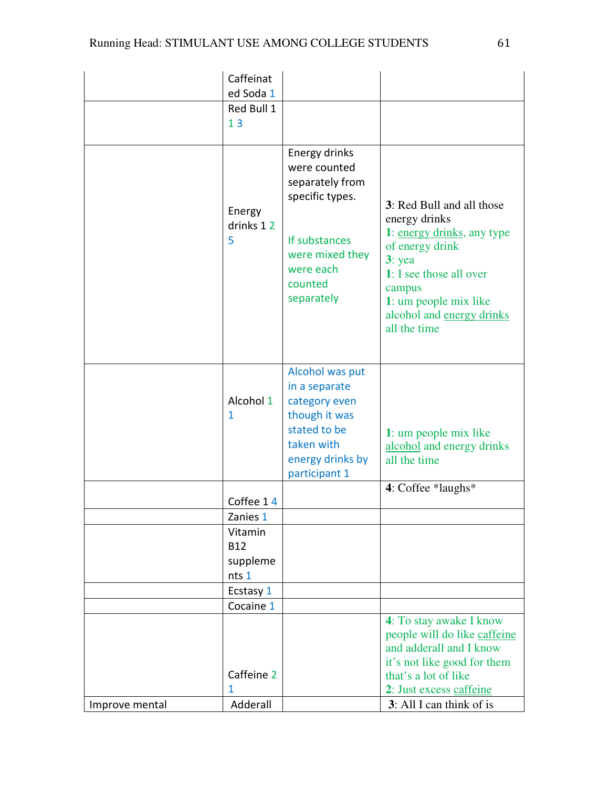|                | Caffeinat                                  |                                                                                                                                               |                                                                                                                                                                                                                    |
|----------------|--------------------------------------------|-----------------------------------------------------------------------------------------------------------------------------------------------|--------------------------------------------------------------------------------------------------------------------------------------------------------------------------------------------------------------------|
|                | ed Soda 1<br>Red Bull 1                    |                                                                                                                                               |                                                                                                                                                                                                                    |
|                | 13                                         |                                                                                                                                               |                                                                                                                                                                                                                    |
|                | Energy<br>drinks 12<br>5                   | Energy drinks<br>were counted<br>separately from<br>specific types.<br>If substances<br>were mixed they<br>were each<br>counted<br>separately | 3: Red Bull and all those<br>energy drinks<br>1: energy drinks, any type<br>of energy drink<br>$3:$ yea<br>1: I see those all over<br>campus<br>1: um people mix like<br>alcohol and energy drinks<br>all the time |
|                | Alcohol 1<br>1                             | Alcohol was put<br>in a separate<br>category even<br>though it was<br>stated to be<br>taken with<br>energy drinks by<br>participant 1         | 1: um people mix like<br>alcohol and energy drinks<br>all the time                                                                                                                                                 |
|                | Coffee 14                                  |                                                                                                                                               | 4: Coffee *laughs*                                                                                                                                                                                                 |
|                | Zanies 1                                   |                                                                                                                                               |                                                                                                                                                                                                                    |
|                | Vitamin<br><b>B12</b><br>suppleme<br>nts 1 |                                                                                                                                               |                                                                                                                                                                                                                    |
|                | Ecstasy 1                                  |                                                                                                                                               |                                                                                                                                                                                                                    |
|                | Cocaine 1                                  |                                                                                                                                               |                                                                                                                                                                                                                    |
|                | Caffeine 2<br>1                            |                                                                                                                                               | 4: To stay awake I know<br>people will do like caffeine<br>and adderall and I know<br>it's not like good for them<br>that's a lot of like<br>2: Just excess caffeine                                               |
| Improve mental | Adderall                                   |                                                                                                                                               | 3: All I can think of is                                                                                                                                                                                           |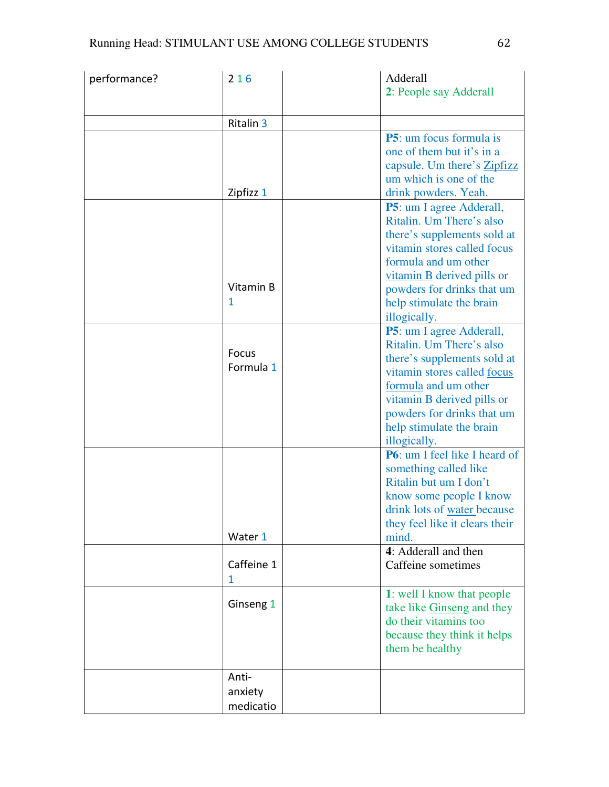| performance? | 216              | Adderall                                                     |
|--------------|------------------|--------------------------------------------------------------|
|              |                  | 2: People say Adderall                                       |
|              | <b>Ritalin 3</b> |                                                              |
|              |                  | <b>P5</b> : um focus formula is                              |
|              |                  | one of them but it's in a                                    |
|              |                  | capsule. Um there's <b>Zipfizz</b><br>um which is one of the |
|              | Zipfizz 1        | drink powders. Yeah.                                         |
|              |                  | <b>P5</b> : um I agree Adderall,                             |
|              |                  | Ritalin. Um There's also                                     |
|              |                  | there's supplements sold at                                  |
|              |                  | vitamin stores called focus<br>formula and um other          |
|              |                  | vitamin B derived pills or                                   |
|              | Vitamin B        | powders for drinks that um                                   |
|              | 1                | help stimulate the brain                                     |
|              |                  | illogically.                                                 |
|              |                  | P5: um I agree Adderall,<br>Ritalin. Um There's also         |
|              | Focus            | there's supplements sold at                                  |
|              | Formula 1        | vitamin stores called focus                                  |
|              |                  | formula and um other                                         |
|              |                  | vitamin B derived pills or<br>powders for drinks that um     |
|              |                  | help stimulate the brain                                     |
|              |                  | illogically.                                                 |
|              |                  | <b>P6</b> : um I feel like I heard of                        |
|              |                  | something called like<br>Ritalin but um I don't              |
|              |                  | know some people I know                                      |
|              |                  | drink lots of water because                                  |
|              |                  | they feel like it clears their                               |
|              | Water 1          | mind.                                                        |
|              | Caffeine 1       | 4: Adderall and then<br>Caffeine sometimes                   |
|              | 1                |                                                              |
|              |                  | 1: well I know that people                                   |
|              | Ginseng 1        | take like Ginseng and they                                   |
|              |                  | do their vitamins too<br>because they think it helps         |
|              |                  | them be healthy                                              |
|              |                  |                                                              |
|              | Anti-            |                                                              |
|              | anxiety          |                                                              |
|              | medicatio        |                                                              |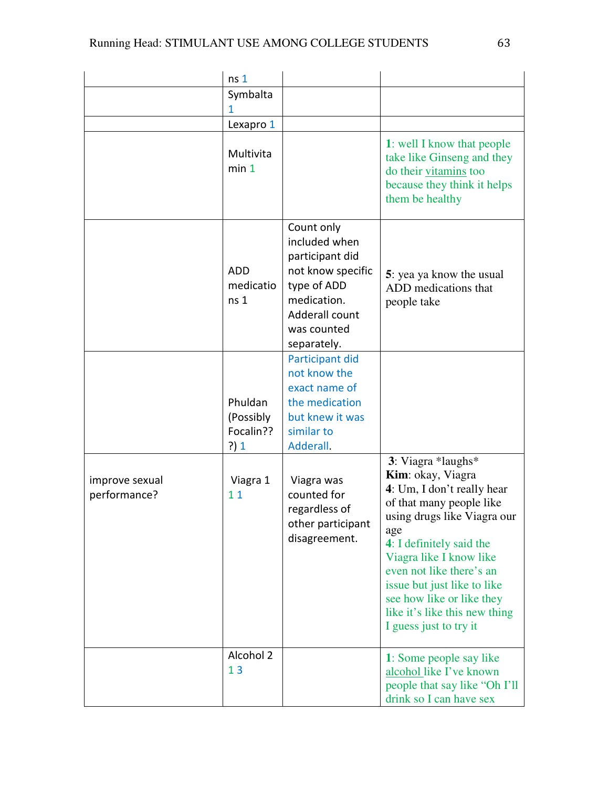|                                | ns <sub>1</sub>                           |                                                                                                                                                   |                                                                                                                                                                                                                                                                                                                                                   |
|--------------------------------|-------------------------------------------|---------------------------------------------------------------------------------------------------------------------------------------------------|---------------------------------------------------------------------------------------------------------------------------------------------------------------------------------------------------------------------------------------------------------------------------------------------------------------------------------------------------|
|                                | Symbalta<br>1                             |                                                                                                                                                   |                                                                                                                                                                                                                                                                                                                                                   |
|                                | Lexapro 1                                 |                                                                                                                                                   |                                                                                                                                                                                                                                                                                                                                                   |
|                                | Multivita<br>min 1                        |                                                                                                                                                   | 1: well I know that people<br>take like Ginseng and they<br>do their vitamins too<br>because they think it helps<br>them be healthy                                                                                                                                                                                                               |
|                                | ADD<br>medicatio<br>ns <sub>1</sub>       | Count only<br>included when<br>participant did<br>not know specific<br>type of ADD<br>medication.<br>Adderall count<br>was counted<br>separately. | 5: yea ya know the usual<br>ADD medications that<br>people take                                                                                                                                                                                                                                                                                   |
|                                | Phuldan<br>(Possibly<br>Focalin??<br>?) 1 | Participant did<br>not know the<br>exact name of<br>the medication<br>but knew it was<br>similar to<br>Adderall.                                  |                                                                                                                                                                                                                                                                                                                                                   |
| improve sexual<br>performance? | Viagra 1<br>11                            | Viagra was<br>counted for<br>regardless of<br>other participant<br>disagreement.                                                                  | 3: Viagra *laughs*<br>Kim: okay, Viagra<br>4: Um, I don't really hear<br>of that many people like<br>using drugs like Viagra our<br>age<br>4: I definitely said the<br>Viagra like I know like<br>even not like there's an<br>issue but just like to like<br>see how like or like they<br>like it's like this new thing<br>I guess just to try it |
|                                | Alcohol 2<br>13                           |                                                                                                                                                   | 1: Some people say like<br>alcohol like I've known<br>people that say like "Oh I'll<br>drink so I can have sex                                                                                                                                                                                                                                    |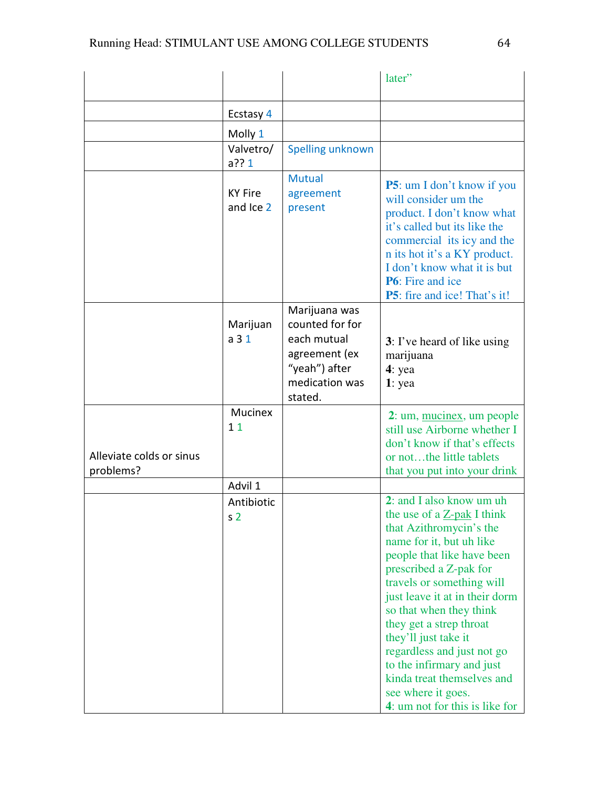|                                       |                                         |                                                                                                                | later"                                                                                                                                                                                                                                                                                                                                                                                                                                                              |
|---------------------------------------|-----------------------------------------|----------------------------------------------------------------------------------------------------------------|---------------------------------------------------------------------------------------------------------------------------------------------------------------------------------------------------------------------------------------------------------------------------------------------------------------------------------------------------------------------------------------------------------------------------------------------------------------------|
|                                       |                                         |                                                                                                                |                                                                                                                                                                                                                                                                                                                                                                                                                                                                     |
|                                       | Ecstasy 4                               |                                                                                                                |                                                                                                                                                                                                                                                                                                                                                                                                                                                                     |
|                                       | Molly 1                                 |                                                                                                                |                                                                                                                                                                                                                                                                                                                                                                                                                                                                     |
|                                       | Valvetro/                               | Spelling unknown                                                                                               |                                                                                                                                                                                                                                                                                                                                                                                                                                                                     |
|                                       | $a$ ?? 1<br><b>KY Fire</b><br>and Ice 2 | <b>Mutual</b><br>agreement<br>present                                                                          | <b>P5</b> : um I don't know if you<br>will consider um the<br>product. I don't know what<br>it's called but its like the<br>commercial its icy and the<br>n its hot it's a KY product.<br>I don't know what it is but<br><b>P6</b> : Fire and ice<br><b>P5</b> : fire and ice! That's it!                                                                                                                                                                           |
|                                       | Marijuan<br>a <sub>31</sub>             | Marijuana was<br>counted for for<br>each mutual<br>agreement (ex<br>"yeah") after<br>medication was<br>stated. | 3: I've heard of like using<br>marijuana<br>$4:$ yea<br>$1:$ yea                                                                                                                                                                                                                                                                                                                                                                                                    |
| Alleviate colds or sinus<br>problems? | Mucinex<br>11                           |                                                                                                                | 2: um, mucinex, um people<br>still use Airborne whether I<br>don't know if that's effects<br>or notthe little tablets<br>that you put into your drink                                                                                                                                                                                                                                                                                                               |
|                                       | Advil 1                                 |                                                                                                                |                                                                                                                                                                                                                                                                                                                                                                                                                                                                     |
|                                       | Antibiotic<br>s <sub>2</sub>            |                                                                                                                | 2: and I also know um uh<br>the use of a Z-pak I think<br>that Azithromycin's the<br>name for it, but uh like<br>people that like have been<br>prescribed a Z-pak for<br>travels or something will<br>just leave it at in their dorm<br>so that when they think<br>they get a strep throat<br>they'll just take it<br>regardless and just not go<br>to the infirmary and just<br>kinda treat themselves and<br>see where it goes.<br>4: um not for this is like for |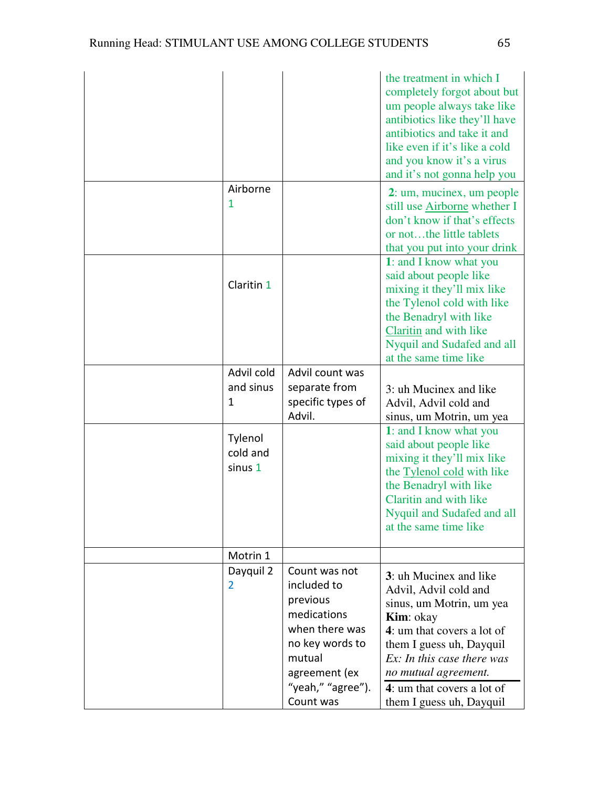|                                |                                                                                                                                                           | the treatment in which I<br>completely forgot about but<br>um people always take like<br>antibiotics like they'll have<br>antibiotics and take it and<br>like even if it's like a cold<br>and you know it's a virus<br>and it's not gonna help you                                       |
|--------------------------------|-----------------------------------------------------------------------------------------------------------------------------------------------------------|------------------------------------------------------------------------------------------------------------------------------------------------------------------------------------------------------------------------------------------------------------------------------------------|
| Airborne<br>1                  |                                                                                                                                                           | 2: um, mucinex, um people<br>still use Airborne whether I<br>don't know if that's effects<br>or notthe little tablets<br>that you put into your drink                                                                                                                                    |
| Claritin 1                     |                                                                                                                                                           | 1: and I know what you<br>said about people like<br>mixing it they'll mix like<br>the Tylenol cold with like<br>the Benadryl with like<br>Claritin and with like<br>Nyquil and Sudafed and all<br>at the same time like                                                                  |
| Advil cold<br>and sinus<br>1   | Advil count was<br>separate from<br>specific types of<br>Advil.                                                                                           | 3: uh Mucinex and like<br>Advil, Advil cold and<br>sinus, um Motrin, um yea                                                                                                                                                                                                              |
| Tylenol<br>cold and<br>sinus 1 |                                                                                                                                                           | 1: and I know what you<br>said about people like<br>mixing it they'll mix like<br>the Tylenol cold with like<br>the Benadryl with like<br>Claritin and with like<br>Nyquil and Sudafed and all<br>at the same time like                                                                  |
| Motrin 1                       |                                                                                                                                                           |                                                                                                                                                                                                                                                                                          |
| Dayquil 2<br>2                 | Count was not<br>included to<br>previous<br>medications<br>when there was<br>no key words to<br>mutual<br>agreement (ex<br>"yeah," "agree").<br>Count was | 3: uh Mucinex and like<br>Advil, Advil cold and<br>sinus, um Motrin, um yea<br><b>Kim</b> : okay<br>4: um that covers a lot of<br>them I guess uh, Dayquil<br>Ex: In this case there was<br>no mutual agreement.<br>$\overline{4}$ : um that covers a lot of<br>them I guess uh, Dayquil |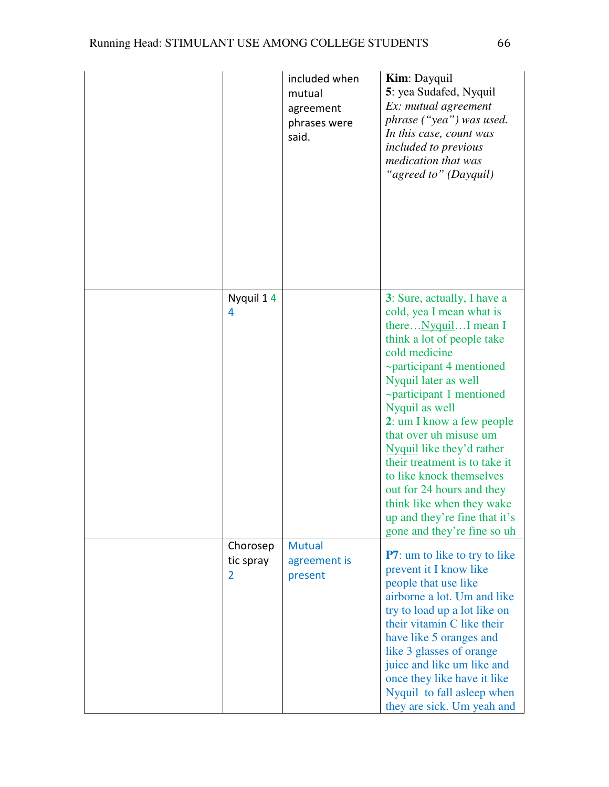|                                         | included when<br>mutual<br>agreement<br>phrases were<br>said. | <b>Kim:</b> Dayquil<br>5: yea Sudafed, Nyquil<br>Ex: mutual agreement<br>phrase ("yea") was used.<br>In this case, count was<br><i>included to previous</i><br>medication that was<br>"agreed to" (Dayquil)                                                                                                                                                                                                                                                                                                        |
|-----------------------------------------|---------------------------------------------------------------|--------------------------------------------------------------------------------------------------------------------------------------------------------------------------------------------------------------------------------------------------------------------------------------------------------------------------------------------------------------------------------------------------------------------------------------------------------------------------------------------------------------------|
| Nyquil 14<br>4                          |                                                               | 3: Sure, actually, I have a<br>cold, yea I mean what is<br>there Nyquil I mean I<br>think a lot of people take<br>cold medicine<br>~participant 4 mentioned<br>Nyquil later as well<br>$\sim$ participant 1 mentioned<br>Nyquil as well<br>2: um I know a few people<br>that over uh misuse um<br>Nyquil like they'd rather<br>their treatment is to take it<br>to like knock themselves<br>out for 24 hours and they<br>think like when they wake<br>up and they're fine that it's<br>gone and they're fine so uh |
| Chorosep<br>tic spray<br>$\overline{2}$ | <b>Mutual</b><br>agreement is<br>present                      | <b>P7</b> : um to like to try to like<br>prevent it I know like<br>people that use like<br>airborne a lot. Um and like<br>try to load up a lot like on<br>their vitamin C like their<br>have like 5 oranges and<br>like 3 glasses of orange<br>juice and like um like and<br>once they like have it like<br>Nyquil to fall asleep when<br>they are sick. Um yeah and                                                                                                                                               |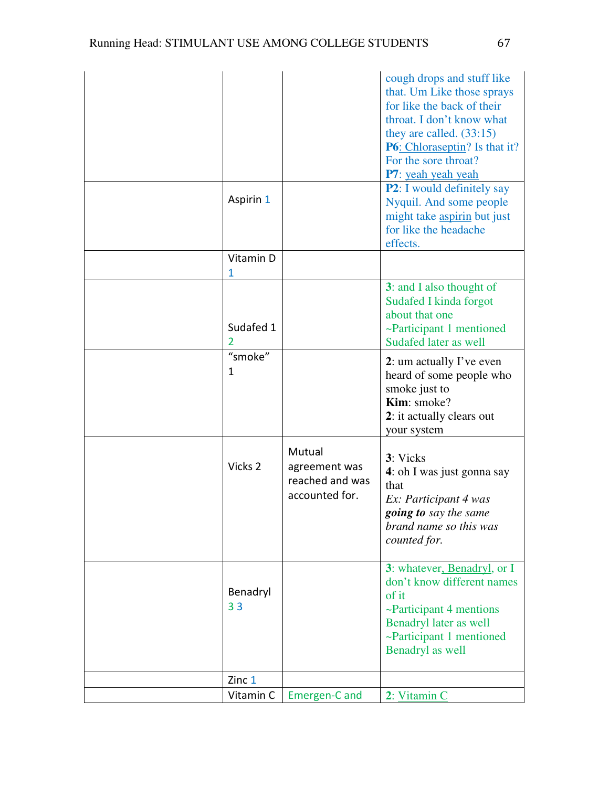|                            |                                                              | cough drops and stuff like<br>that. Um Like those sprays<br>for like the back of their<br>throat. I don't know what<br>they are called. $(33:15)$<br><b>P6</b> : Chloraseptin? Is that it?<br>For the sore throat?<br>P7: yeah yeah yeah<br><b>P2</b> : I would definitely say |
|----------------------------|--------------------------------------------------------------|--------------------------------------------------------------------------------------------------------------------------------------------------------------------------------------------------------------------------------------------------------------------------------|
| Aspirin 1                  |                                                              | Nyquil. And some people<br>might take aspirin but just<br>for like the headache<br>effects.                                                                                                                                                                                    |
| Vitamin D<br>1             |                                                              |                                                                                                                                                                                                                                                                                |
| Sudafed 1<br>2             |                                                              | 3: and I also thought of<br>Sudafed I kinda forgot<br>about that one<br>~Participant 1 mentioned<br>Sudafed later as well                                                                                                                                                      |
| "smoke"<br>1               |                                                              | 2: um actually I've even<br>heard of some people who<br>smoke just to<br>Kim: smoke?<br>2: it actually clears out<br>your system                                                                                                                                               |
| Vicks 2                    | Mutual<br>agreement was<br>reached and was<br>accounted for. | 3: Vicks<br>4: oh I was just gonna say<br>that<br>Ex: Participant 4 was<br>going to say the same<br>brand name so this was<br>counted for.                                                                                                                                     |
| Benadryl<br>3 <sub>3</sub> |                                                              | 3: whatever, Benadryl, or I<br>don't know different names<br>of it<br>~Participant 4 mentions<br>Benadryl later as well<br>~Participant 1 mentioned<br>Benadryl as well                                                                                                        |
| Zinc 1                     |                                                              |                                                                                                                                                                                                                                                                                |
| Vitamin C                  | Emergen-C and                                                | 2: Vitamin C                                                                                                                                                                                                                                                                   |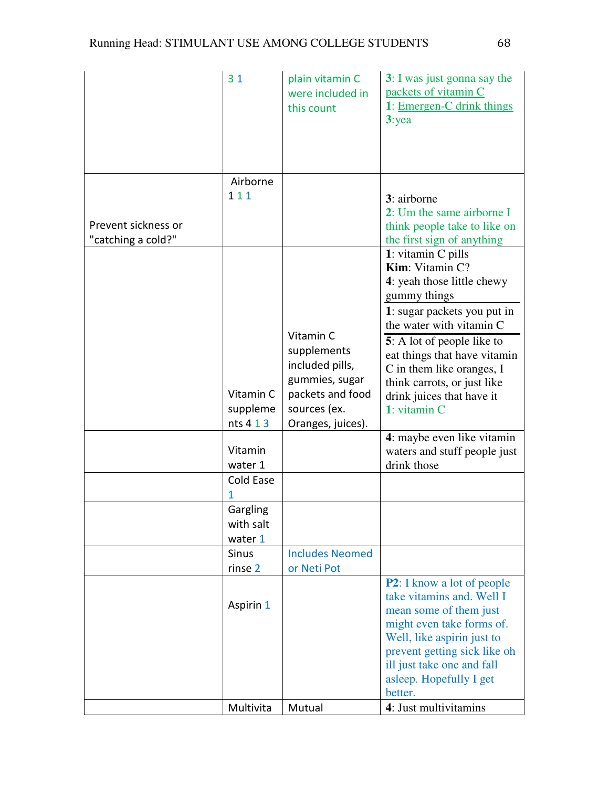|                                           | 31                                 | plain vitamin C<br>were included in<br>this count                                                                      | 3: I was just gonna say the<br>packets of vitamin C<br>1: Emergen-C drink things<br>3:yea                                                                                                                                                                                                                             |
|-------------------------------------------|------------------------------------|------------------------------------------------------------------------------------------------------------------------|-----------------------------------------------------------------------------------------------------------------------------------------------------------------------------------------------------------------------------------------------------------------------------------------------------------------------|
| Prevent sickness or<br>"catching a cold?" | Airborne<br>111                    |                                                                                                                        | 3: airborne<br>2: Um the same airborne I<br>think people take to like on<br>the first sign of anything                                                                                                                                                                                                                |
|                                           | Vitamin C<br>suppleme<br>nts 4 1 3 | Vitamin C<br>supplements<br>included pills,<br>gummies, sugar<br>packets and food<br>sources (ex.<br>Oranges, juices). | 1: vitamin C pills<br>Kim: Vitamin C?<br>4: yeah those little chewy<br>gummy things<br>1: sugar packets you put in<br>the water with vitamin C<br>5: A lot of people like to<br>eat things that have vitamin<br>C in them like oranges, I<br>think carrots, or just like<br>drink juices that have it<br>1: vitamin C |
|                                           | Vitamin<br>water 1                 |                                                                                                                        | 4: maybe even like vitamin<br>waters and stuff people just<br>drink those                                                                                                                                                                                                                                             |
|                                           | Cold Ease<br>1                     |                                                                                                                        |                                                                                                                                                                                                                                                                                                                       |
|                                           | Gargling<br>with salt<br>water 1   |                                                                                                                        |                                                                                                                                                                                                                                                                                                                       |
|                                           | <b>Sinus</b><br>rinse 2            | <b>Includes Neomed</b><br>or Neti Pot                                                                                  |                                                                                                                                                                                                                                                                                                                       |
|                                           | Aspirin 1                          |                                                                                                                        | <b>P2</b> : I know a lot of people<br>take vitamins and. Well I<br>mean some of them just<br>might even take forms of.<br>Well, like aspirin just to<br>prevent getting sick like oh<br>ill just take one and fall<br>asleep. Hopefully I get<br>better.                                                              |
|                                           | Multivita                          | Mutual                                                                                                                 | 4: Just multivitamins                                                                                                                                                                                                                                                                                                 |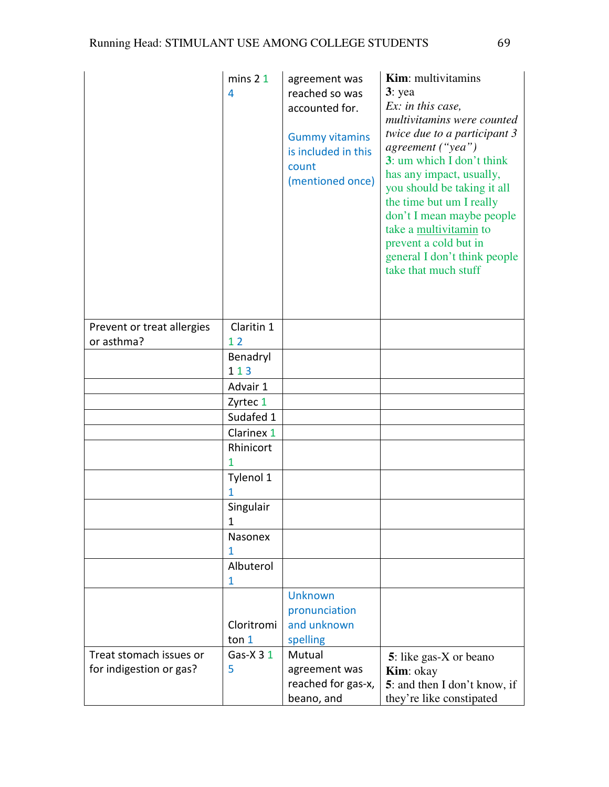|                            | mins <sub>21</sub><br>4 | agreement was<br>reached so was<br>accounted for.<br><b>Gummy vitamins</b><br>is included in this<br>count<br>(mentioned once) | <b>Kim:</b> multivitamins<br>$3:$ yea<br>$Ex:$ in this case,<br>multivitamins were counted<br>twice due to a participant 3<br>agreement ("yea")<br>3: um which I don't think<br>has any impact, usually,<br>you should be taking it all<br>the time but um I really<br>don't I mean maybe people<br>take a multivitamin to<br>prevent a cold but in<br>general I don't think people<br>take that much stuff |
|----------------------------|-------------------------|--------------------------------------------------------------------------------------------------------------------------------|-------------------------------------------------------------------------------------------------------------------------------------------------------------------------------------------------------------------------------------------------------------------------------------------------------------------------------------------------------------------------------------------------------------|
| Prevent or treat allergies | Claritin 1              |                                                                                                                                |                                                                                                                                                                                                                                                                                                                                                                                                             |
| or asthma?                 | 12                      |                                                                                                                                |                                                                                                                                                                                                                                                                                                                                                                                                             |
|                            | Benadryl                |                                                                                                                                |                                                                                                                                                                                                                                                                                                                                                                                                             |
|                            | 113                     |                                                                                                                                |                                                                                                                                                                                                                                                                                                                                                                                                             |
|                            | Advair 1                |                                                                                                                                |                                                                                                                                                                                                                                                                                                                                                                                                             |
|                            | Zyrtec 1                |                                                                                                                                |                                                                                                                                                                                                                                                                                                                                                                                                             |
|                            | Sudafed 1               |                                                                                                                                |                                                                                                                                                                                                                                                                                                                                                                                                             |
|                            | Clarinex 1              |                                                                                                                                |                                                                                                                                                                                                                                                                                                                                                                                                             |
|                            | Rhinicort               |                                                                                                                                |                                                                                                                                                                                                                                                                                                                                                                                                             |
|                            | 1                       |                                                                                                                                |                                                                                                                                                                                                                                                                                                                                                                                                             |
|                            | Tylenol 1               |                                                                                                                                |                                                                                                                                                                                                                                                                                                                                                                                                             |
|                            | 1                       |                                                                                                                                |                                                                                                                                                                                                                                                                                                                                                                                                             |
|                            | Singulair               |                                                                                                                                |                                                                                                                                                                                                                                                                                                                                                                                                             |
|                            | 1                       |                                                                                                                                |                                                                                                                                                                                                                                                                                                                                                                                                             |
|                            | Nasonex                 |                                                                                                                                |                                                                                                                                                                                                                                                                                                                                                                                                             |
|                            | 1                       |                                                                                                                                |                                                                                                                                                                                                                                                                                                                                                                                                             |
|                            | Albuterol               |                                                                                                                                |                                                                                                                                                                                                                                                                                                                                                                                                             |
|                            | 1                       | <b>Unknown</b>                                                                                                                 |                                                                                                                                                                                                                                                                                                                                                                                                             |
|                            |                         | pronunciation                                                                                                                  |                                                                                                                                                                                                                                                                                                                                                                                                             |
|                            | Cloritromi              | and unknown                                                                                                                    |                                                                                                                                                                                                                                                                                                                                                                                                             |
|                            | ton 1                   | spelling                                                                                                                       |                                                                                                                                                                                                                                                                                                                                                                                                             |
| Treat stomach issues or    | Gas- $X$ 3 1            | Mutual                                                                                                                         | 5: like gas-X or beano                                                                                                                                                                                                                                                                                                                                                                                      |
| for indigestion or gas?    | 5                       | agreement was<br>reached for gas-x,<br>beano, and                                                                              | <b>Kim</b> : okay<br>5: and then I don't know, if<br>they're like constipated                                                                                                                                                                                                                                                                                                                               |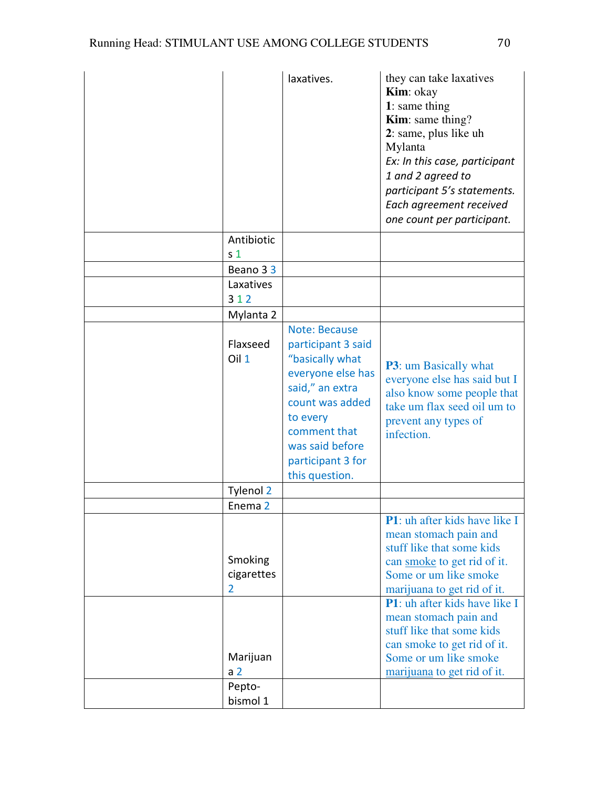|                                      | laxatives.                                                                                                                                                                                                     | they can take laxatives<br>Kim: okay<br>1: same thing<br><b>Kim</b> : same thing?<br>2: same, plus like uh<br>Mylanta<br>Ex: In this case, participant<br>1 and 2 agreed to<br>participant 5's statements.<br>Each agreement received<br>one count per participant. |
|--------------------------------------|----------------------------------------------------------------------------------------------------------------------------------------------------------------------------------------------------------------|---------------------------------------------------------------------------------------------------------------------------------------------------------------------------------------------------------------------------------------------------------------------|
| Antibiotic                           |                                                                                                                                                                                                                |                                                                                                                                                                                                                                                                     |
| s <sub>1</sub>                       |                                                                                                                                                                                                                |                                                                                                                                                                                                                                                                     |
| Beano 33<br>Laxatives                |                                                                                                                                                                                                                |                                                                                                                                                                                                                                                                     |
| 312                                  |                                                                                                                                                                                                                |                                                                                                                                                                                                                                                                     |
| Mylanta 2                            |                                                                                                                                                                                                                |                                                                                                                                                                                                                                                                     |
| Flaxseed<br>Oil 1                    | <b>Note: Because</b><br>participant 3 said<br>"basically what<br>everyone else has<br>said," an extra<br>count was added<br>to every<br>comment that<br>was said before<br>participant 3 for<br>this question. | <b>P3</b> : um Basically what<br>everyone else has said but I<br>also know some people that<br>take um flax seed oil um to<br>prevent any types of<br>infection.                                                                                                    |
| Tylenol 2                            |                                                                                                                                                                                                                |                                                                                                                                                                                                                                                                     |
| Enema <sub>2</sub>                   |                                                                                                                                                                                                                | <b>P1</b> : uh after kids have like I                                                                                                                                                                                                                               |
| Smoking<br>cigarettes<br>2           |                                                                                                                                                                                                                | mean stomach pain and<br>stuff like that some kids<br>can smoke to get rid of it.<br>Some or um like smoke<br>marijuana to get rid of it.<br><b>P1</b> : uh after kids have like I<br>mean stomach pain and                                                         |
| Marijuan<br>a <sub>2</sub><br>Pepto- |                                                                                                                                                                                                                | stuff like that some kids<br>can smoke to get rid of it.<br>Some or um like smoke<br>marijuana to get rid of it.                                                                                                                                                    |
| bismol 1                             |                                                                                                                                                                                                                |                                                                                                                                                                                                                                                                     |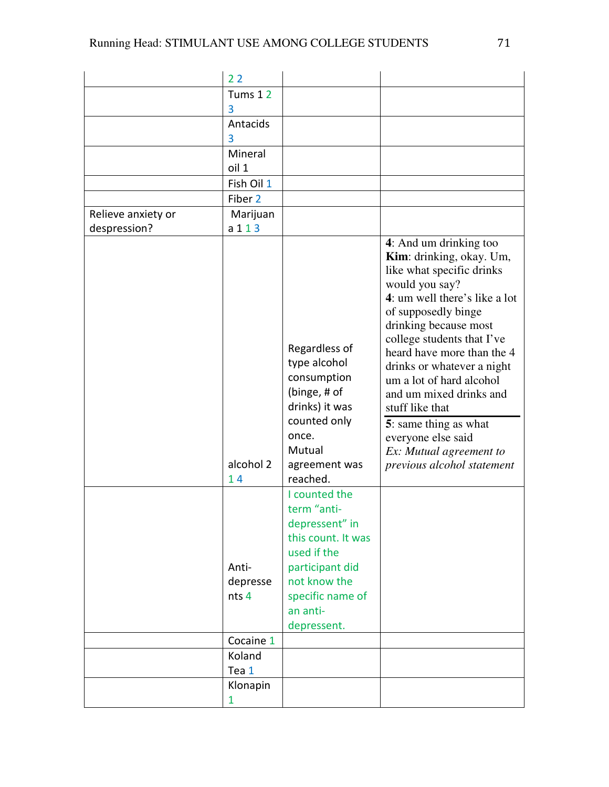|                    | 22                         |                                                                                                                                                                       |                                                                                                                                                                                                                                                                                                                                                                                                                                                                |
|--------------------|----------------------------|-----------------------------------------------------------------------------------------------------------------------------------------------------------------------|----------------------------------------------------------------------------------------------------------------------------------------------------------------------------------------------------------------------------------------------------------------------------------------------------------------------------------------------------------------------------------------------------------------------------------------------------------------|
|                    | Tums 12                    |                                                                                                                                                                       |                                                                                                                                                                                                                                                                                                                                                                                                                                                                |
|                    | 3                          |                                                                                                                                                                       |                                                                                                                                                                                                                                                                                                                                                                                                                                                                |
|                    | Antacids                   |                                                                                                                                                                       |                                                                                                                                                                                                                                                                                                                                                                                                                                                                |
|                    | 3                          |                                                                                                                                                                       |                                                                                                                                                                                                                                                                                                                                                                                                                                                                |
|                    | Mineral                    |                                                                                                                                                                       |                                                                                                                                                                                                                                                                                                                                                                                                                                                                |
|                    | oil 1                      |                                                                                                                                                                       |                                                                                                                                                                                                                                                                                                                                                                                                                                                                |
|                    | Fish Oil 1                 |                                                                                                                                                                       |                                                                                                                                                                                                                                                                                                                                                                                                                                                                |
|                    | Fiber 2                    |                                                                                                                                                                       |                                                                                                                                                                                                                                                                                                                                                                                                                                                                |
| Relieve anxiety or | Marijuan                   |                                                                                                                                                                       |                                                                                                                                                                                                                                                                                                                                                                                                                                                                |
| despression?       | a 1 1 3                    |                                                                                                                                                                       |                                                                                                                                                                                                                                                                                                                                                                                                                                                                |
|                    | alcohol 2<br>14            | Regardless of<br>type alcohol<br>consumption<br>(binge, # of<br>drinks) it was<br>counted only<br>once.<br>Mutual<br>agreement was<br>reached.                        | 4: And um drinking too<br>Kim: drinking, okay. Um,<br>like what specific drinks<br>would you say?<br>4: um well there's like a lot<br>of supposedly binge<br>drinking because most<br>college students that I've<br>heard have more than the 4<br>drinks or whatever a night<br>um a lot of hard alcohol<br>and um mixed drinks and<br>stuff like that<br>5: same thing as what<br>everyone else said<br>Ex: Mutual agreement to<br>previous alcohol statement |
|                    | Anti-<br>depresse<br>nts 4 | I counted the<br>term "anti-<br>depressent" in<br>this count. It was<br>used if the<br>participant did<br>not know the<br>specific name of<br>an anti-<br>depressent. |                                                                                                                                                                                                                                                                                                                                                                                                                                                                |
|                    | Cocaine 1                  |                                                                                                                                                                       |                                                                                                                                                                                                                                                                                                                                                                                                                                                                |
|                    | Koland                     |                                                                                                                                                                       |                                                                                                                                                                                                                                                                                                                                                                                                                                                                |
|                    | Tea 1                      |                                                                                                                                                                       |                                                                                                                                                                                                                                                                                                                                                                                                                                                                |
|                    | Klonapin                   |                                                                                                                                                                       |                                                                                                                                                                                                                                                                                                                                                                                                                                                                |
|                    | 1                          |                                                                                                                                                                       |                                                                                                                                                                                                                                                                                                                                                                                                                                                                |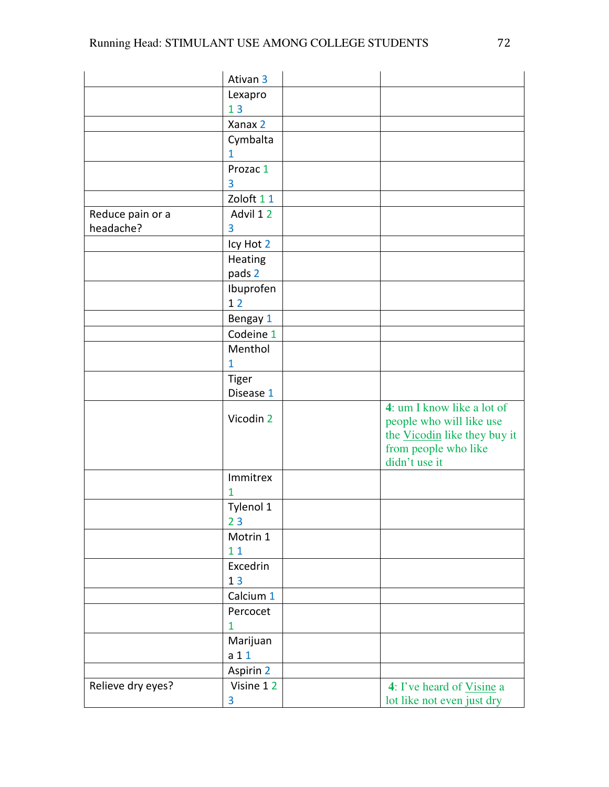|                   | Ativan <sub>3</sub> |                                                                                                                                 |
|-------------------|---------------------|---------------------------------------------------------------------------------------------------------------------------------|
|                   | Lexapro             |                                                                                                                                 |
|                   | 13                  |                                                                                                                                 |
|                   | Xanax 2             |                                                                                                                                 |
|                   | Cymbalta            |                                                                                                                                 |
|                   | $\mathbf{1}$        |                                                                                                                                 |
|                   | Prozac 1            |                                                                                                                                 |
|                   | 3                   |                                                                                                                                 |
|                   | Zoloft 11           |                                                                                                                                 |
| Reduce pain or a  | Advil 12            |                                                                                                                                 |
| headache?         | 3                   |                                                                                                                                 |
|                   | Icy Hot 2           |                                                                                                                                 |
|                   | Heating             |                                                                                                                                 |
|                   | pads 2              |                                                                                                                                 |
|                   | Ibuprofen           |                                                                                                                                 |
|                   | 12                  |                                                                                                                                 |
|                   | Bengay 1            |                                                                                                                                 |
|                   | Codeine 1           |                                                                                                                                 |
|                   | Menthol             |                                                                                                                                 |
|                   | 1                   |                                                                                                                                 |
|                   | <b>Tiger</b>        |                                                                                                                                 |
|                   | Disease 1           |                                                                                                                                 |
|                   | Vicodin 2           | 4: um I know like a lot of<br>people who will like use<br>the Vicodin like they buy it<br>from people who like<br>didn't use it |
|                   | Immitrex<br>1       |                                                                                                                                 |
|                   | Tylenol 1<br>23     |                                                                                                                                 |
|                   | Motrin 1            |                                                                                                                                 |
|                   | 11                  |                                                                                                                                 |
|                   | Excedrin            |                                                                                                                                 |
|                   | 13                  |                                                                                                                                 |
|                   | Calcium 1           |                                                                                                                                 |
|                   | Percocet            |                                                                                                                                 |
|                   | 1                   |                                                                                                                                 |
|                   | Marijuan            |                                                                                                                                 |
|                   | a <sub>1</sub> 1    |                                                                                                                                 |
|                   | Aspirin 2           |                                                                                                                                 |
| Relieve dry eyes? | Visine 12           | 4: I've heard of Visine a                                                                                                       |
|                   | 3                   | lot like not even just dry                                                                                                      |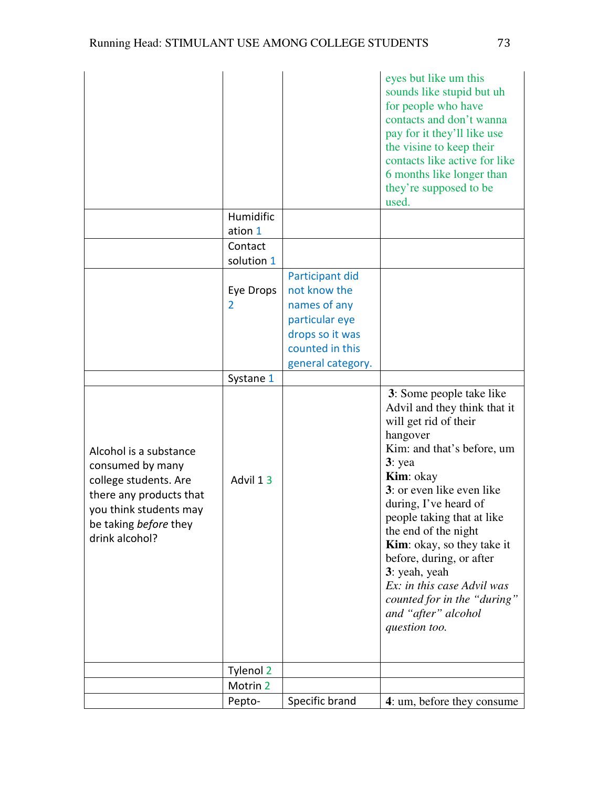|                                                                                                                                                                     |                      |                                                                                                                              | eyes but like um this<br>sounds like stupid but uh<br>for people who have<br>contacts and don't wanna<br>pay for it they'll like use<br>the visine to keep their<br>contacts like active for like<br>6 months like longer than<br>they're supposed to be<br>used.                                                                                                                                                                                                |
|---------------------------------------------------------------------------------------------------------------------------------------------------------------------|----------------------|------------------------------------------------------------------------------------------------------------------------------|------------------------------------------------------------------------------------------------------------------------------------------------------------------------------------------------------------------------------------------------------------------------------------------------------------------------------------------------------------------------------------------------------------------------------------------------------------------|
|                                                                                                                                                                     | Humidific<br>ation 1 |                                                                                                                              |                                                                                                                                                                                                                                                                                                                                                                                                                                                                  |
|                                                                                                                                                                     | Contact              |                                                                                                                              |                                                                                                                                                                                                                                                                                                                                                                                                                                                                  |
|                                                                                                                                                                     | solution 1           |                                                                                                                              |                                                                                                                                                                                                                                                                                                                                                                                                                                                                  |
|                                                                                                                                                                     | Eye Drops<br>2       | Participant did<br>not know the<br>names of any<br>particular eye<br>drops so it was<br>counted in this<br>general category. |                                                                                                                                                                                                                                                                                                                                                                                                                                                                  |
|                                                                                                                                                                     | Systane 1            |                                                                                                                              |                                                                                                                                                                                                                                                                                                                                                                                                                                                                  |
| Alcohol is a substance<br>consumed by many<br>college students. Are<br>there any products that<br>you think students may<br>be taking before they<br>drink alcohol? | Advil 13             |                                                                                                                              | 3: Some people take like<br>Advil and they think that it<br>will get rid of their<br>hangover<br>Kim: and that's before, um<br>$3:$ yea<br><b>Kim</b> : okay<br>3: or even like even like<br>during, I've heard of<br>people taking that at like<br>the end of the night<br><b>Kim</b> : okay, so they take it<br>before, during, or after<br>3: yeah, yeah<br>Ex: in this case Advil was<br>counted for in the "during"<br>and "after" alcohol<br>question too. |
|                                                                                                                                                                     | Tylenol 2            |                                                                                                                              |                                                                                                                                                                                                                                                                                                                                                                                                                                                                  |
|                                                                                                                                                                     | Motrin 2<br>Pepto-   | Specific brand                                                                                                               | 4: um, before they consume                                                                                                                                                                                                                                                                                                                                                                                                                                       |
|                                                                                                                                                                     |                      |                                                                                                                              |                                                                                                                                                                                                                                                                                                                                                                                                                                                                  |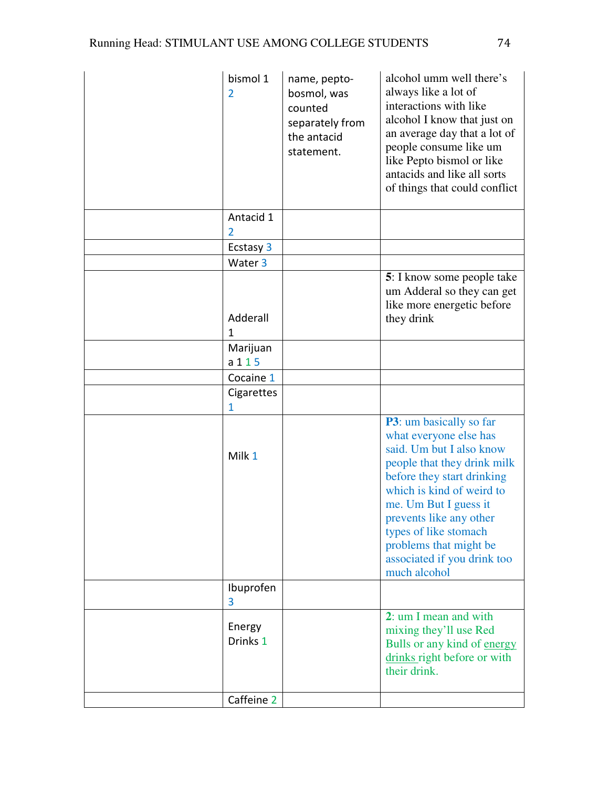| bismol 1<br>$\overline{2}$ | name, pepto-<br>bosmol, was<br>counted<br>separately from<br>the antacid<br>statement. | alcohol umm well there's<br>always like a lot of<br>interactions with like<br>alcohol I know that just on<br>an average day that a lot of<br>people consume like um<br>like Pepto bismol or like<br>antacids and like all sorts<br>of things that could conflict                                                              |
|----------------------------|----------------------------------------------------------------------------------------|-------------------------------------------------------------------------------------------------------------------------------------------------------------------------------------------------------------------------------------------------------------------------------------------------------------------------------|
| Antacid 1<br>2             |                                                                                        |                                                                                                                                                                                                                                                                                                                               |
| Ecstasy 3                  |                                                                                        |                                                                                                                                                                                                                                                                                                                               |
| Water 3                    |                                                                                        |                                                                                                                                                                                                                                                                                                                               |
| Adderall                   |                                                                                        | <b>5</b> : I know some people take<br>um Adderal so they can get<br>like more energetic before<br>they drink                                                                                                                                                                                                                  |
| 1                          |                                                                                        |                                                                                                                                                                                                                                                                                                                               |
| Marijuan<br>a 1 1 5        |                                                                                        |                                                                                                                                                                                                                                                                                                                               |
| Cocaine 1                  |                                                                                        |                                                                                                                                                                                                                                                                                                                               |
| Cigarettes<br>1            |                                                                                        |                                                                                                                                                                                                                                                                                                                               |
| Milk 1                     |                                                                                        | P3: um basically so far<br>what everyone else has<br>said. Um but I also know<br>people that they drink milk<br>before they start drinking<br>which is kind of weird to<br>me. Um But I guess it<br>prevents like any other<br>types of like stomach<br>problems that might be<br>associated if you drink too<br>much alcohol |
| Ibuprofen<br>3             |                                                                                        |                                                                                                                                                                                                                                                                                                                               |
| Energy<br>Drinks 1         |                                                                                        | 2: um I mean and with<br>mixing they'll use Red<br>Bulls or any kind of energy<br>drinks right before or with<br>their drink.                                                                                                                                                                                                 |
| Caffeine 2                 |                                                                                        |                                                                                                                                                                                                                                                                                                                               |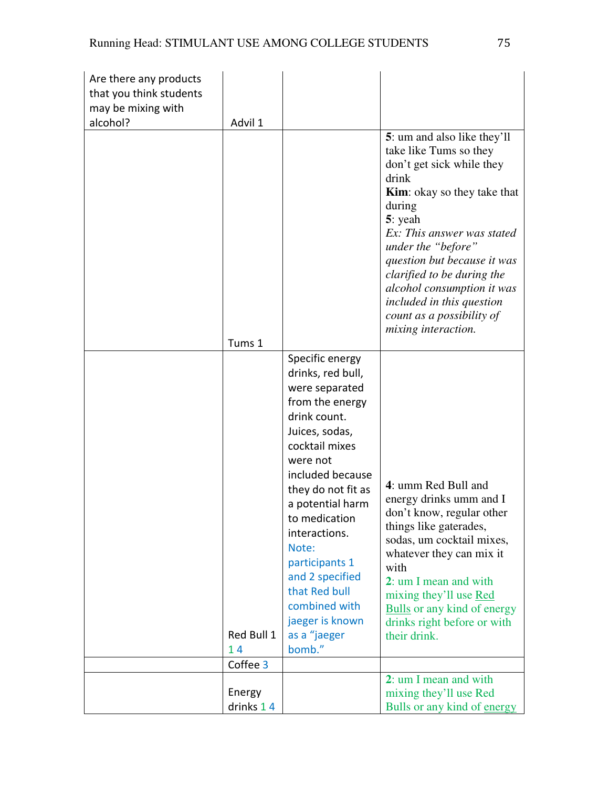| Are there any products<br>that you think students |                              |                                                                                                                                                                                                                                                                                                                                                                        |                                                                                                                                                                                                                                                                                                                                                                                         |
|---------------------------------------------------|------------------------------|------------------------------------------------------------------------------------------------------------------------------------------------------------------------------------------------------------------------------------------------------------------------------------------------------------------------------------------------------------------------|-----------------------------------------------------------------------------------------------------------------------------------------------------------------------------------------------------------------------------------------------------------------------------------------------------------------------------------------------------------------------------------------|
| may be mixing with<br>alcohol?                    | Advil 1                      |                                                                                                                                                                                                                                                                                                                                                                        |                                                                                                                                                                                                                                                                                                                                                                                         |
|                                                   | Tums 1                       |                                                                                                                                                                                                                                                                                                                                                                        | 5: um and also like they'll<br>take like Tums so they<br>don't get sick while they<br>drink<br><b>Kim</b> : okay so they take that<br>during<br>5: yeah<br>Ex: This answer was stated<br>under the "before"<br>question but because it was<br>clarified to be during the<br>alcohol consumption it was<br>included in this question<br>count as a possibility of<br>mixing interaction. |
|                                                   | Red Bull 1<br>14<br>Coffee 3 | Specific energy<br>drinks, red bull,<br>were separated<br>from the energy<br>drink count.<br>Juices, sodas,<br>cocktail mixes<br>were not<br>included because<br>they do not fit as<br>a potential harm<br>to medication<br>interactions.<br>Note:<br>participants 1<br>and 2 specified<br>that Red bull<br>combined with<br>jaeger is known<br>as a "jaeger<br>bomb." | 4: umm Red Bull and<br>energy drinks umm and I<br>don't know, regular other<br>things like gaterades,<br>sodas, um cocktail mixes,<br>whatever they can mix it<br>with<br>2: um I mean and with<br>mixing they'll use Red<br><b>Bulls</b> or any kind of energy<br>drinks right before or with<br>their drink.                                                                          |
|                                                   |                              |                                                                                                                                                                                                                                                                                                                                                                        | 2: um I mean and with                                                                                                                                                                                                                                                                                                                                                                   |
|                                                   | Energy<br>drinks 14          |                                                                                                                                                                                                                                                                                                                                                                        | mixing they'll use Red<br>Bulls or any kind of energy                                                                                                                                                                                                                                                                                                                                   |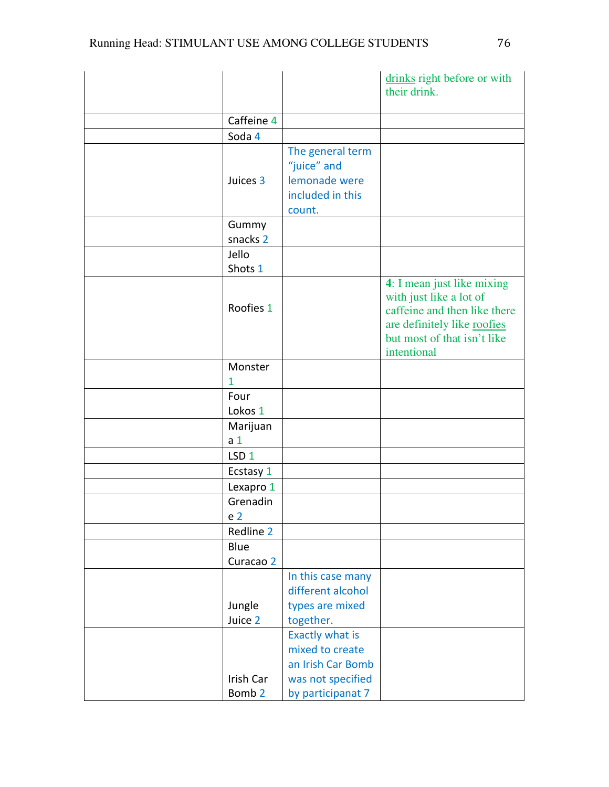|   |                                |                                                                                                   | drinks right before or with<br>their drink.                                                                                                                        |
|---|--------------------------------|---------------------------------------------------------------------------------------------------|--------------------------------------------------------------------------------------------------------------------------------------------------------------------|
|   |                                |                                                                                                   |                                                                                                                                                                    |
|   | Caffeine 4                     |                                                                                                   |                                                                                                                                                                    |
|   | Soda 4                         |                                                                                                   |                                                                                                                                                                    |
|   | Juices 3                       | The general term<br>"juice" and<br>lemonade were<br>included in this<br>count.                    |                                                                                                                                                                    |
|   | Gummy                          |                                                                                                   |                                                                                                                                                                    |
|   | snacks 2                       |                                                                                                   |                                                                                                                                                                    |
|   | Jello<br>Shots 1               |                                                                                                   |                                                                                                                                                                    |
|   | Roofies 1                      |                                                                                                   | 4: I mean just like mixing<br>with just like a lot of<br>caffeine and then like there<br>are definitely like roofies<br>but most of that isn't like<br>intentional |
| 1 | Monster                        |                                                                                                   |                                                                                                                                                                    |
|   | Four<br>Lokos 1                |                                                                                                   |                                                                                                                                                                    |
|   | Marijuan                       |                                                                                                   |                                                                                                                                                                    |
|   | a <sub>1</sub>                 |                                                                                                   |                                                                                                                                                                    |
|   | LSD <sub>1</sub>               |                                                                                                   |                                                                                                                                                                    |
|   | Ecstasy 1                      |                                                                                                   |                                                                                                                                                                    |
|   | Lexapro 1                      |                                                                                                   |                                                                                                                                                                    |
|   | Grenadin                       |                                                                                                   |                                                                                                                                                                    |
|   | e <sub>2</sub>                 |                                                                                                   |                                                                                                                                                                    |
|   | Redline 2                      |                                                                                                   |                                                                                                                                                                    |
|   | Blue<br>Curacao 2              |                                                                                                   |                                                                                                                                                                    |
|   | Jungle<br>Juice 2              | In this case many<br>different alcohol<br>types are mixed<br>together.                            |                                                                                                                                                                    |
|   | Irish Car<br>Bomb <sub>2</sub> | Exactly what is<br>mixed to create<br>an Irish Car Bomb<br>was not specified<br>by participanat 7 |                                                                                                                                                                    |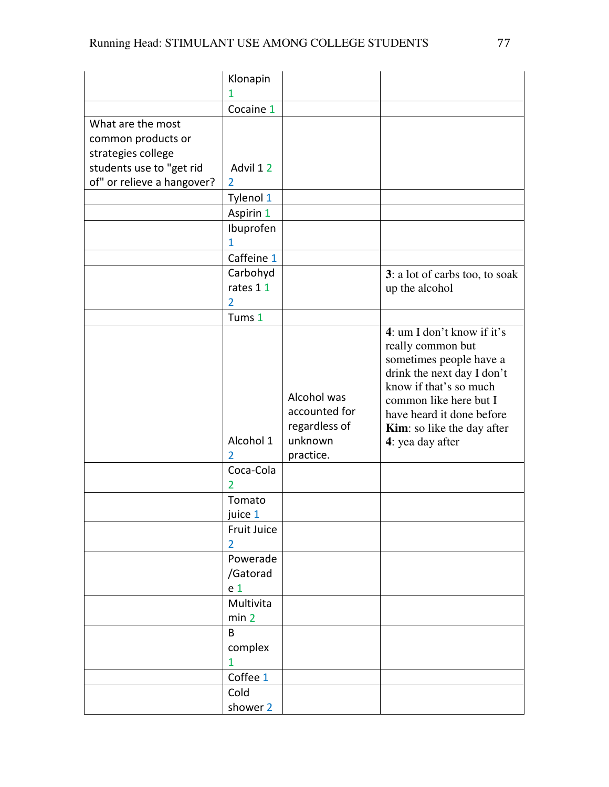|                                                               | Klonapin                               |                                                                       |                                                                                                                                                                                                                                                    |
|---------------------------------------------------------------|----------------------------------------|-----------------------------------------------------------------------|----------------------------------------------------------------------------------------------------------------------------------------------------------------------------------------------------------------------------------------------------|
|                                                               | 1                                      |                                                                       |                                                                                                                                                                                                                                                    |
|                                                               | Cocaine 1                              |                                                                       |                                                                                                                                                                                                                                                    |
| What are the most<br>common products or<br>strategies college |                                        |                                                                       |                                                                                                                                                                                                                                                    |
| students use to "get rid                                      | Advil 12                               |                                                                       |                                                                                                                                                                                                                                                    |
| of" or relieve a hangover?                                    | $\overline{2}$                         |                                                                       |                                                                                                                                                                                                                                                    |
|                                                               | Tylenol 1                              |                                                                       |                                                                                                                                                                                                                                                    |
|                                                               | Aspirin 1                              |                                                                       |                                                                                                                                                                                                                                                    |
|                                                               | Ibuprofen<br>1                         |                                                                       |                                                                                                                                                                                                                                                    |
|                                                               | Caffeine 1                             |                                                                       |                                                                                                                                                                                                                                                    |
|                                                               | Carbohyd<br>rates 11<br>$\overline{2}$ |                                                                       | 3: a lot of carbs too, to soak<br>up the alcohol                                                                                                                                                                                                   |
|                                                               | Tums 1                                 |                                                                       |                                                                                                                                                                                                                                                    |
|                                                               | Alcohol 1<br>2                         | Alcohol was<br>accounted for<br>regardless of<br>unknown<br>practice. | 4: um I don't know if it's<br>really common but<br>sometimes people have a<br>drink the next day I don't<br>know if that's so much<br>common like here but I<br>have heard it done before<br><b>Kim:</b> so like the day after<br>4: yea day after |
|                                                               | Coca-Cola<br>$\overline{2}$            |                                                                       |                                                                                                                                                                                                                                                    |
|                                                               | Tomato<br>juice 1                      |                                                                       |                                                                                                                                                                                                                                                    |
|                                                               | Fruit Juice<br>$\overline{2}$          |                                                                       |                                                                                                                                                                                                                                                    |
|                                                               | Powerade<br>/Gatorad<br>e <sub>1</sub> |                                                                       |                                                                                                                                                                                                                                                    |
|                                                               | Multivita<br>min 2                     |                                                                       |                                                                                                                                                                                                                                                    |
|                                                               | B<br>complex<br>1                      |                                                                       |                                                                                                                                                                                                                                                    |
|                                                               | Coffee 1                               |                                                                       |                                                                                                                                                                                                                                                    |
|                                                               | Cold                                   |                                                                       |                                                                                                                                                                                                                                                    |
|                                                               | shower 2                               |                                                                       |                                                                                                                                                                                                                                                    |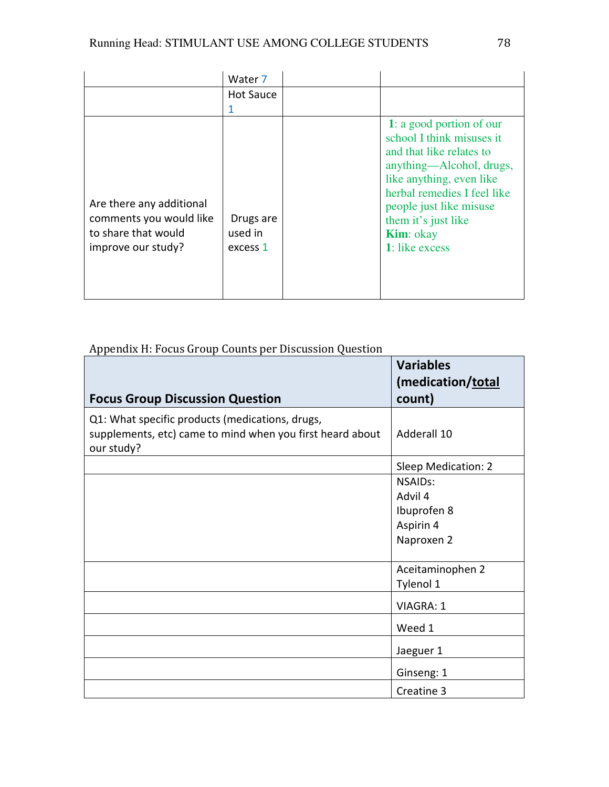|                                                                                                  | Water 7                          |                                                                                                                                                                                                                                                                   |
|--------------------------------------------------------------------------------------------------|----------------------------------|-------------------------------------------------------------------------------------------------------------------------------------------------------------------------------------------------------------------------------------------------------------------|
|                                                                                                  | Hot Sauce                        |                                                                                                                                                                                                                                                                   |
| Are there any additional<br>comments you would like<br>to share that would<br>improve our study? | Drugs are<br>used in<br>excess 1 | 1: a good portion of our<br>school I think misuses it<br>and that like relates to<br>anything—Alcohol, drugs,<br>like anything, even like<br>herbal remedies I feel like<br>people just like misuse<br>them it's just like<br><b>Kim</b> : okay<br>1: like excess |

# Appendix H: Focus Group Counts per Discussion Question

| <b>Focus Group Discussion Question</b>                                                                                     | <b>Variables</b><br>(medication/total<br>count) |
|----------------------------------------------------------------------------------------------------------------------------|-------------------------------------------------|
| Q1: What specific products (medications, drugs,<br>supplements, etc) came to mind when you first heard about<br>our study? | Adderall 10                                     |
|                                                                                                                            | Sleep Medication: 2                             |
|                                                                                                                            | <b>NSAIDs:</b><br>Advil 4                       |
|                                                                                                                            | Ibuprofen 8                                     |
|                                                                                                                            | Aspirin 4                                       |
|                                                                                                                            | Naproxen 2                                      |
|                                                                                                                            | Aceitaminophen 2                                |
|                                                                                                                            | Tylenol 1                                       |
|                                                                                                                            | <b>VIAGRA: 1</b>                                |
|                                                                                                                            | Weed 1                                          |
|                                                                                                                            | Jaeguer 1                                       |
|                                                                                                                            | Ginseng: 1                                      |
|                                                                                                                            | Creatine 3                                      |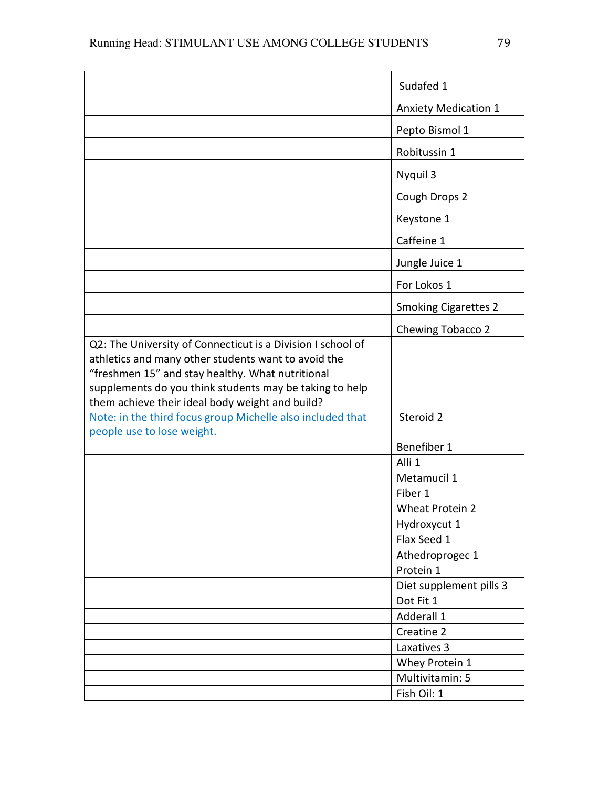|                                                                                                                                                                                                                                                                                                                                                                                  | Sudafed 1                   |
|----------------------------------------------------------------------------------------------------------------------------------------------------------------------------------------------------------------------------------------------------------------------------------------------------------------------------------------------------------------------------------|-----------------------------|
|                                                                                                                                                                                                                                                                                                                                                                                  | <b>Anxiety Medication 1</b> |
|                                                                                                                                                                                                                                                                                                                                                                                  | Pepto Bismol 1              |
|                                                                                                                                                                                                                                                                                                                                                                                  | Robitussin 1                |
|                                                                                                                                                                                                                                                                                                                                                                                  | Nyquil 3                    |
|                                                                                                                                                                                                                                                                                                                                                                                  | Cough Drops 2               |
|                                                                                                                                                                                                                                                                                                                                                                                  | Keystone 1                  |
|                                                                                                                                                                                                                                                                                                                                                                                  | Caffeine 1                  |
|                                                                                                                                                                                                                                                                                                                                                                                  | Jungle Juice 1              |
|                                                                                                                                                                                                                                                                                                                                                                                  | For Lokos 1                 |
|                                                                                                                                                                                                                                                                                                                                                                                  | <b>Smoking Cigarettes 2</b> |
|                                                                                                                                                                                                                                                                                                                                                                                  | Chewing Tobacco 2           |
| Q2: The University of Connecticut is a Division I school of<br>athletics and many other students want to avoid the<br>"freshmen 15" and stay healthy. What nutritional<br>supplements do you think students may be taking to help<br>them achieve their ideal body weight and build?<br>Note: in the third focus group Michelle also included that<br>people use to lose weight. | Steroid 2                   |
|                                                                                                                                                                                                                                                                                                                                                                                  | Benefiber 1                 |
|                                                                                                                                                                                                                                                                                                                                                                                  | Alli <sub>1</sub>           |
|                                                                                                                                                                                                                                                                                                                                                                                  | Metamucil 1                 |
|                                                                                                                                                                                                                                                                                                                                                                                  | Fiber 1                     |
|                                                                                                                                                                                                                                                                                                                                                                                  | <b>Wheat Protein 2</b>      |
|                                                                                                                                                                                                                                                                                                                                                                                  | Hydroxycut 1                |
|                                                                                                                                                                                                                                                                                                                                                                                  | Flax Seed 1                 |
|                                                                                                                                                                                                                                                                                                                                                                                  | Athedroprogec 1             |
|                                                                                                                                                                                                                                                                                                                                                                                  | Protein 1                   |
|                                                                                                                                                                                                                                                                                                                                                                                  | Diet supplement pills 3     |
|                                                                                                                                                                                                                                                                                                                                                                                  | Dot Fit 1                   |
|                                                                                                                                                                                                                                                                                                                                                                                  | Adderall 1                  |
|                                                                                                                                                                                                                                                                                                                                                                                  | Creatine 2                  |
|                                                                                                                                                                                                                                                                                                                                                                                  | Laxatives 3                 |
|                                                                                                                                                                                                                                                                                                                                                                                  | Whey Protein 1              |
|                                                                                                                                                                                                                                                                                                                                                                                  | Multivitamin: 5             |
|                                                                                                                                                                                                                                                                                                                                                                                  | Fish Oil: 1                 |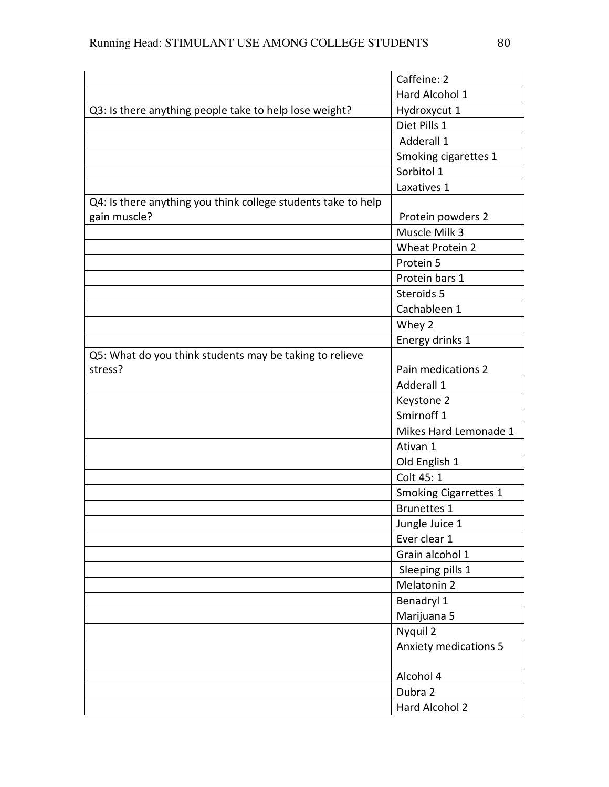|                                                               | Caffeine: 2                  |
|---------------------------------------------------------------|------------------------------|
|                                                               | Hard Alcohol 1               |
| Q3: Is there anything people take to help lose weight?        | Hydroxycut 1                 |
|                                                               | Diet Pills 1                 |
|                                                               | Adderall 1                   |
|                                                               | Smoking cigarettes 1         |
|                                                               | Sorbitol 1                   |
|                                                               | Laxatives 1                  |
| Q4: Is there anything you think college students take to help |                              |
| gain muscle?                                                  | Protein powders 2            |
|                                                               | Muscle Milk 3                |
|                                                               | <b>Wheat Protein 2</b>       |
|                                                               | Protein 5                    |
|                                                               | Protein bars 1               |
|                                                               | Steroids 5                   |
|                                                               | Cachableen 1                 |
|                                                               | Whey 2                       |
|                                                               | Energy drinks 1              |
| Q5: What do you think students may be taking to relieve       |                              |
| stress?                                                       | Pain medications 2           |
|                                                               | Adderall 1                   |
|                                                               | Keystone 2                   |
|                                                               | Smirnoff <sub>1</sub>        |
|                                                               | Mikes Hard Lemonade 1        |
|                                                               | Ativan 1                     |
|                                                               | Old English 1                |
|                                                               | Colt 45: 1                   |
|                                                               | <b>Smoking Cigarrettes 1</b> |
|                                                               | <b>Brunettes 1</b>           |
|                                                               | Jungle Juice 1               |
|                                                               | Ever clear 1                 |
|                                                               | Grain alcohol 1              |
|                                                               | Sleeping pills 1             |
|                                                               | Melatonin 2                  |
|                                                               | Benadryl 1                   |
|                                                               | Marijuana 5                  |
|                                                               | Nyquil 2                     |
|                                                               | <b>Anxiety medications 5</b> |
|                                                               | Alcohol 4                    |
|                                                               | Dubra 2                      |
|                                                               | Hard Alcohol 2               |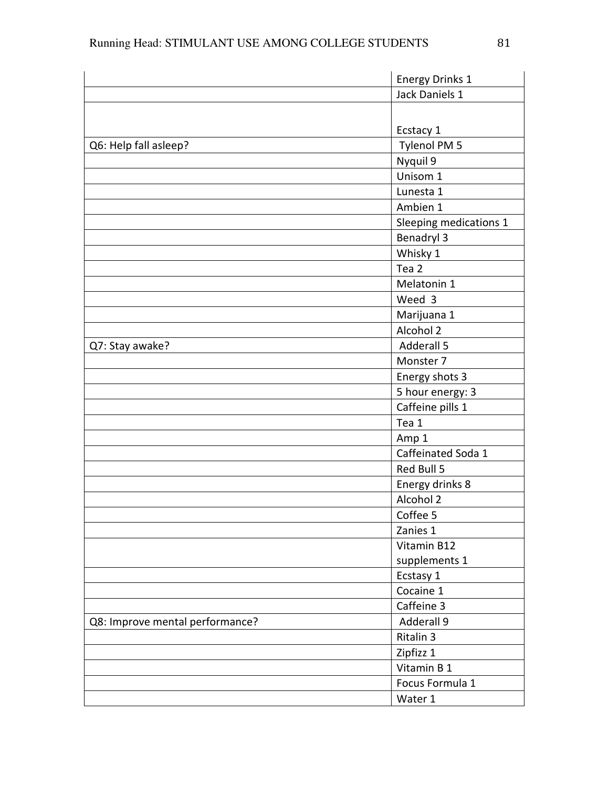|                                 | <b>Energy Drinks 1</b> |
|---------------------------------|------------------------|
|                                 | Jack Daniels 1         |
|                                 |                        |
|                                 | Ecstacy 1              |
| Q6: Help fall asleep?           | Tylenol PM 5           |
|                                 | Nyquil 9               |
|                                 | Unisom 1               |
|                                 | Lunesta 1              |
|                                 | Ambien 1               |
|                                 | Sleeping medications 1 |
|                                 | Benadryl 3             |
|                                 | Whisky 1               |
|                                 | Tea <sub>2</sub>       |
|                                 | Melatonin 1            |
|                                 | Weed 3                 |
|                                 | Marijuana 1            |
|                                 | Alcohol 2              |
| Q7: Stay awake?                 | Adderall 5             |
|                                 | Monster 7              |
|                                 | Energy shots 3         |
|                                 | 5 hour energy: 3       |
|                                 | Caffeine pills 1       |
|                                 | Tea 1                  |
|                                 | Amp 1                  |
|                                 | Caffeinated Soda 1     |
|                                 | Red Bull 5             |
|                                 | Energy drinks 8        |
|                                 | Alcohol 2              |
|                                 | Coffee 5               |
|                                 | Zanies 1               |
|                                 | Vitamin B12            |
|                                 | supplements 1          |
|                                 | Ecstasy 1              |
|                                 | Cocaine 1              |
|                                 | Caffeine 3             |
| Q8: Improve mental performance? | Adderall 9             |
|                                 | Ritalin 3              |
|                                 | Zipfizz 1              |
|                                 | Vitamin B 1            |
|                                 | Focus Formula 1        |
|                                 | Water 1                |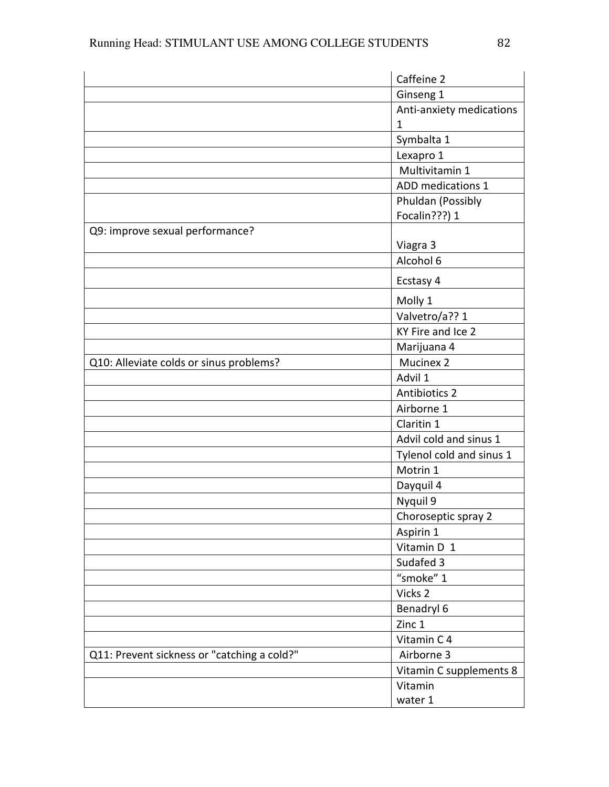|                                             | Caffeine 2               |
|---------------------------------------------|--------------------------|
|                                             | Ginseng 1                |
|                                             | Anti-anxiety medications |
|                                             | 1                        |
|                                             | Symbalta 1               |
|                                             | Lexapro 1                |
|                                             | Multivitamin 1           |
|                                             | ADD medications 1        |
|                                             | Phuldan (Possibly        |
|                                             | Focalin???) 1            |
| Q9: improve sexual performance?             |                          |
|                                             | Viagra 3                 |
|                                             | Alcohol 6                |
|                                             | Ecstasy 4                |
|                                             | Molly 1                  |
|                                             | Valvetro/a?? 1           |
|                                             | KY Fire and Ice 2        |
|                                             | Marijuana 4              |
| Q10: Alleviate colds or sinus problems?     | Mucinex 2                |
|                                             | Advil 1                  |
|                                             | Antibiotics 2            |
|                                             | Airborne 1               |
|                                             | Claritin 1               |
|                                             | Advil cold and sinus 1   |
|                                             | Tylenol cold and sinus 1 |
|                                             | Motrin 1                 |
|                                             | Dayquil 4                |
|                                             | Nyquil 9                 |
|                                             | Choroseptic spray 2      |
|                                             | Aspirin 1                |
|                                             | Vitamin D 1              |
|                                             | Sudafed 3                |
|                                             | "smoke" 1                |
|                                             | Vicks 2                  |
|                                             | Benadryl 6               |
|                                             | Zinc 1                   |
|                                             | Vitamin C 4              |
| Q11: Prevent sickness or "catching a cold?" | Airborne 3               |
|                                             | Vitamin C supplements 8  |
|                                             | Vitamin                  |
|                                             | water 1                  |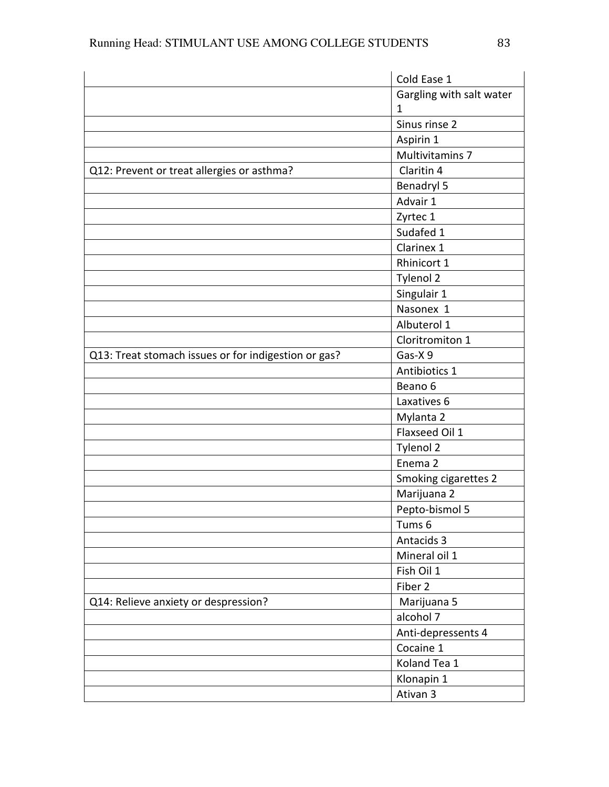|                                                      | Cold Ease 1              |
|------------------------------------------------------|--------------------------|
|                                                      | Gargling with salt water |
|                                                      | 1                        |
|                                                      | Sinus rinse 2            |
|                                                      | Aspirin 1                |
|                                                      | Multivitamins 7          |
| Q12: Prevent or treat allergies or asthma?           | Claritin 4               |
|                                                      | Benadryl 5               |
|                                                      | Advair 1                 |
|                                                      | Zyrtec 1                 |
|                                                      | Sudafed 1                |
|                                                      | Clarinex 1               |
|                                                      | Rhinicort 1              |
|                                                      | Tylenol 2                |
|                                                      | Singulair 1              |
|                                                      | Nasonex 1                |
|                                                      | Albuterol 1              |
|                                                      | Cloritromiton 1          |
| Q13: Treat stomach issues or for indigestion or gas? | Gas-X9                   |
|                                                      | Antibiotics 1            |
|                                                      | Beano 6                  |
|                                                      | Laxatives 6              |
|                                                      | Mylanta 2                |
|                                                      | Flaxseed Oil 1           |
|                                                      | Tylenol 2                |
|                                                      | Enema 2                  |
|                                                      | Smoking cigarettes 2     |
|                                                      | Marijuana 2              |
|                                                      | Pepto-bismol 5           |
|                                                      | Tums 6                   |
|                                                      | Antacids 3               |
|                                                      | Mineral oil 1            |
|                                                      | Fish Oil 1               |
|                                                      | Fiber 2                  |
| Q14: Relieve anxiety or despression?                 | Marijuana 5              |
|                                                      | alcohol 7                |
|                                                      | Anti-depressents 4       |
|                                                      | Cocaine 1                |
|                                                      | Koland Tea 1             |
|                                                      | Klonapin 1               |
|                                                      | Ativan 3                 |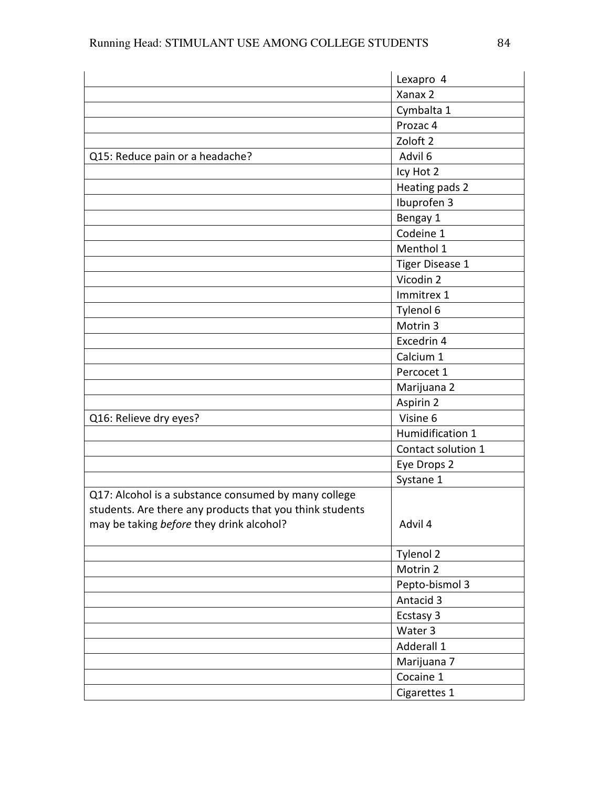|                                                          | Lexapro 4           |
|----------------------------------------------------------|---------------------|
|                                                          | Xanax 2             |
|                                                          | Cymbalta 1          |
|                                                          | Prozac 4            |
|                                                          | Zoloft <sub>2</sub> |
| Q15: Reduce pain or a headache?                          | Advil 6             |
|                                                          | Icy Hot 2           |
|                                                          | Heating pads 2      |
|                                                          | Ibuprofen 3         |
|                                                          | Bengay 1            |
|                                                          | Codeine 1           |
|                                                          | Menthol 1           |
|                                                          | Tiger Disease 1     |
|                                                          | Vicodin 2           |
|                                                          | Immitrex 1          |
|                                                          | Tylenol 6           |
|                                                          | Motrin 3            |
|                                                          | Excedrin 4          |
|                                                          | Calcium 1           |
|                                                          | Percocet 1          |
|                                                          | Marijuana 2         |
|                                                          | Aspirin 2           |
| Q16: Relieve dry eyes?                                   | Visine 6            |
|                                                          | Humidification 1    |
|                                                          | Contact solution 1  |
|                                                          | Eye Drops 2         |
|                                                          | Systane 1           |
| Q17: Alcohol is a substance consumed by many college     |                     |
| students. Are there any products that you think students |                     |
| may be taking before they drink alcohol?                 | Advil 4             |
|                                                          |                     |
|                                                          | Tylenol 2           |
|                                                          | Motrin 2            |
|                                                          | Pepto-bismol 3      |
|                                                          | Antacid 3           |
|                                                          | Ecstasy 3           |
|                                                          | Water 3             |
|                                                          | Adderall 1          |
|                                                          | Marijuana 7         |
|                                                          | Cocaine 1           |
|                                                          | Cigarettes 1        |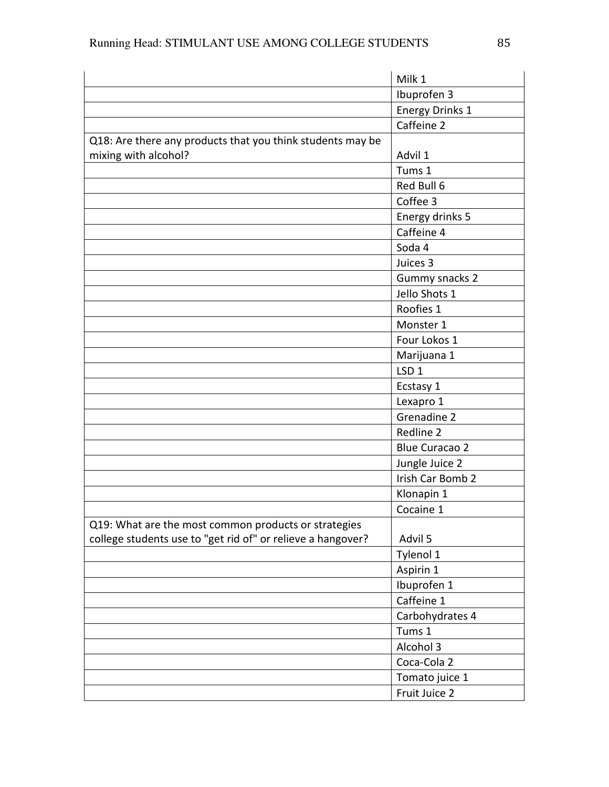|                                                             | Milk 1                 |
|-------------------------------------------------------------|------------------------|
|                                                             | Ibuprofen 3            |
|                                                             | <b>Energy Drinks 1</b> |
|                                                             | Caffeine 2             |
| Q18: Are there any products that you think students may be  |                        |
| mixing with alcohol?                                        | Advil 1                |
|                                                             | Tums 1                 |
|                                                             | Red Bull 6             |
|                                                             | Coffee 3               |
|                                                             | Energy drinks 5        |
|                                                             | Caffeine 4             |
|                                                             | Soda 4                 |
|                                                             | Juices 3               |
|                                                             | Gummy snacks 2         |
|                                                             | Jello Shots 1          |
|                                                             | Roofies 1              |
|                                                             | Monster 1              |
|                                                             | Four Lokos 1           |
|                                                             | Marijuana 1            |
|                                                             | LSD <sub>1</sub>       |
|                                                             | Ecstasy 1              |
|                                                             | Lexapro 1              |
|                                                             | Grenadine 2            |
|                                                             | Redline 2              |
|                                                             | <b>Blue Curacao 2</b>  |
|                                                             | Jungle Juice 2         |
|                                                             | Irish Car Bomb 2       |
|                                                             | Klonapin 1             |
|                                                             | Cocaine 1              |
| Q19: What are the most common products or strategies        |                        |
| college students use to "get rid of" or relieve a hangover? | Advil 5                |
|                                                             | Tylenol 1              |
|                                                             | Aspirin 1              |
|                                                             | Ibuprofen 1            |
|                                                             | Caffeine 1             |
|                                                             | Carbohydrates 4        |
|                                                             | Tums 1                 |
|                                                             | Alcohol 3              |
|                                                             | Coca-Cola 2            |
|                                                             | Tomato juice 1         |
|                                                             | Fruit Juice 2          |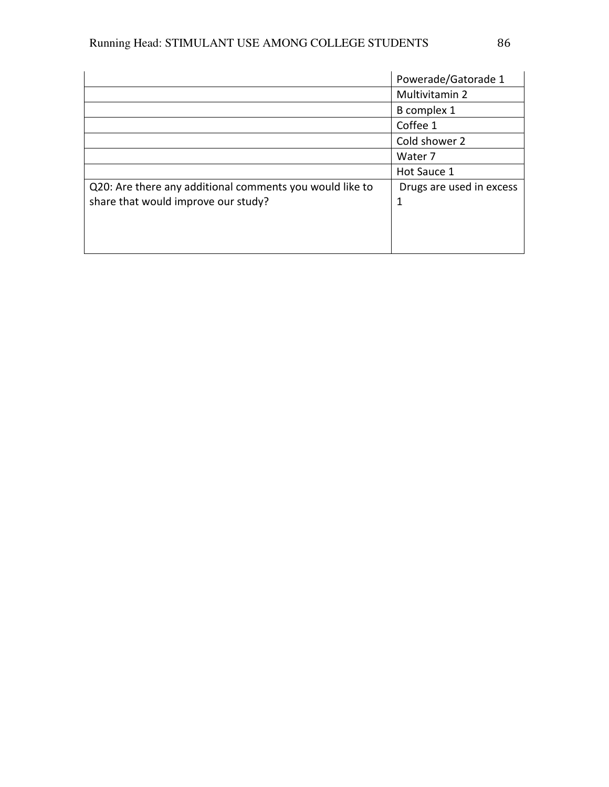|                                                          | Powerade/Gatorade 1      |
|----------------------------------------------------------|--------------------------|
|                                                          | Multivitamin 2           |
|                                                          | B complex 1              |
|                                                          | Coffee 1                 |
|                                                          | Cold shower 2            |
|                                                          | Water 7                  |
|                                                          | Hot Sauce 1              |
| Q20: Are there any additional comments you would like to | Drugs are used in excess |
| share that would improve our study?                      | 1                        |
|                                                          |                          |
|                                                          |                          |
|                                                          |                          |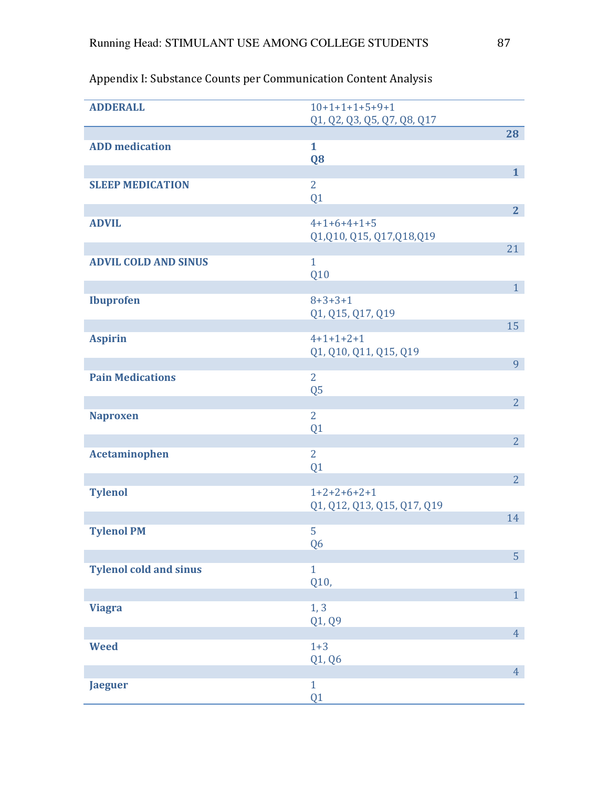| <b>ADDERALL</b>               | $10+1+1+1+5+9+1$                             |                |
|-------------------------------|----------------------------------------------|----------------|
|                               | Q1, Q2, Q3, Q5, Q7, Q8, Q17                  | 28             |
| <b>ADD</b> medication         | $\mathbf{1}$<br>Q <sub>8</sub>               |                |
|                               |                                              | 1              |
| <b>SLEEP MEDICATION</b>       | $\overline{2}$<br>Q1                         |                |
|                               |                                              | 2 <sub>1</sub> |
| <b>ADVIL</b>                  | $4+1+6+4+1+5$<br>Q1, Q10, Q15, Q17, Q18, Q19 |                |
| <b>ADVIL COLD AND SINUS</b>   | $\mathbf{1}$                                 | 21             |
|                               | Q10                                          |                |
|                               |                                              | 1 <sup>1</sup> |
| <b>Ibuprofen</b>              | $8 + 3 + 3 + 1$<br>Q1, Q15, Q17, Q19         |                |
|                               |                                              | 15             |
| <b>Aspirin</b>                | $4+1+1+2+1$                                  |                |
|                               | Q1, Q10, Q11, Q15, Q19                       |                |
| <b>Pain Medications</b>       | $\overline{2}$                               | 9              |
|                               | Q <sub>5</sub>                               |                |
|                               |                                              | 2 <sup>1</sup> |
| <b>Naproxen</b>               | $\overline{2}$                               |                |
|                               | Q <sub>1</sub>                               | 2 <sup>1</sup> |
| <b>Acetaminophen</b>          | $\overline{2}$                               |                |
|                               | Q1                                           |                |
|                               |                                              | 2 <sup>1</sup> |
| <b>Tylenol</b>                | $1+2+2+6+2+1$<br>Q1, Q12, Q13, Q15, Q17, Q19 |                |
|                               |                                              | 14             |
| <b>Tylenol PM</b>             | 5                                            |                |
|                               | Q <sub>6</sub>                               |                |
| <b>Tylenol cold and sinus</b> | $\mathbf{1}$                                 | 5              |
|                               | Q10,                                         |                |
|                               |                                              | 1 <sup>1</sup> |
| <b>Viagra</b>                 | 1, 3                                         |                |
|                               | Q1, Q9                                       | 4 <sup>1</sup> |
| <b>Weed</b>                   | $1 + 3$                                      |                |
|                               | Q1, Q6                                       |                |
|                               |                                              | 4 <sup>1</sup> |
| <b>Jaeguer</b>                | $\mathbf{1}$<br>Q1                           |                |

# Appendix I: Substance Counts per Communication Content Analysis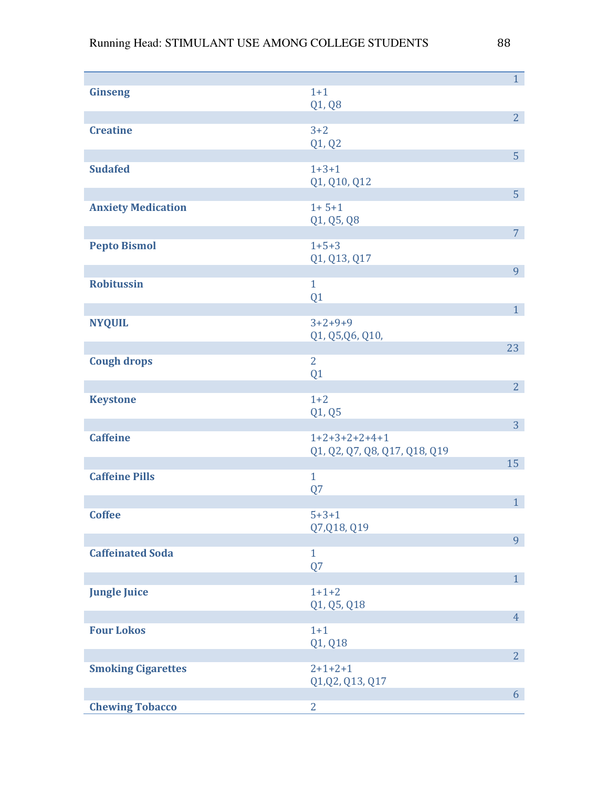|                           |                                                  | 1 <sup>1</sup> |
|---------------------------|--------------------------------------------------|----------------|
| <b>Ginseng</b>            | $1 + 1$                                          |                |
|                           | Q1, Q8                                           | 2 <sup>1</sup> |
| <b>Creatine</b>           | $3 + 2$                                          |                |
|                           | Q1, Q2                                           |                |
|                           |                                                  | 5 <sup>1</sup> |
| <b>Sudafed</b>            | $1 + 3 + 1$<br>Q1, Q10, Q12                      |                |
|                           |                                                  | 5 <sup>1</sup> |
| <b>Anxiety Medication</b> | $1 + 5 + 1$                                      |                |
|                           | Q1, Q5, Q8                                       |                |
| <b>Pepto Bismol</b>       | $1 + 5 + 3$                                      | 7 <sup>7</sup> |
|                           | Q1, Q13, Q17                                     |                |
|                           |                                                  | 9              |
| <b>Robitussin</b>         | $\mathbf{1}$                                     |                |
|                           | Q1                                               | 1 <sup>1</sup> |
| <b>NYQUIL</b>             | $3+2+9+9$                                        |                |
|                           | Q1, Q5, Q6, Q10,                                 |                |
|                           |                                                  | 23             |
| <b>Cough drops</b>        | $\overline{2}$                                   |                |
|                           | Q1                                               | 2 <sup>1</sup> |
| <b>Keystone</b>           | $1 + 2$                                          |                |
|                           | Q1, Q5                                           |                |
|                           |                                                  | 3 <sup>1</sup> |
| <b>Caffeine</b>           | $1+2+3+2+2+4+1$<br>Q1, Q2, Q7, Q8, Q17, Q18, Q19 |                |
|                           |                                                  | 15             |
| <b>Caffeine Pills</b>     | $\mathbf{1}$                                     |                |
|                           | Q7                                               |                |
| <b>Coffee</b>             | $5 + 3 + 1$                                      | 1              |
|                           | Q7, Q18, Q19                                     |                |
|                           |                                                  | 9              |
| <b>Caffeinated Soda</b>   | $\mathbf{1}$                                     |                |
|                           | Q7                                               | 1              |
| <b>Jungle Juice</b>       | $1+1+2$                                          |                |
|                           | Q1, Q5, Q18                                      |                |
|                           |                                                  | 4 <sup>1</sup> |
| <b>Four Lokos</b>         | $1+1$                                            |                |
|                           | Q1, Q18                                          | 2 <sup>1</sup> |
| <b>Smoking Cigarettes</b> | $2+1+2+1$                                        |                |
|                           | Q1, Q2, Q13, Q17                                 |                |
|                           |                                                  | 6              |
| <b>Chewing Tobacco</b>    | $\overline{2}$                                   |                |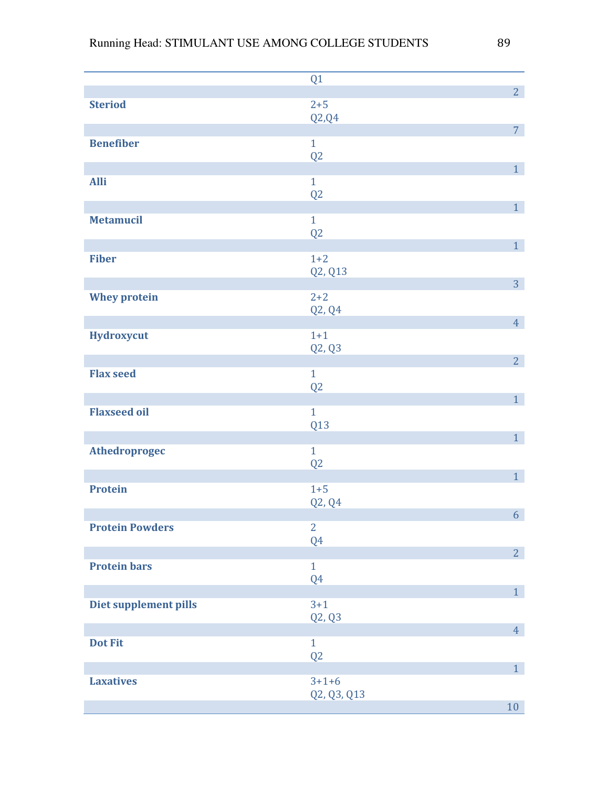|                        | Q1             |                |
|------------------------|----------------|----------------|
|                        |                | 2 <sup>1</sup> |
| <b>Steriod</b>         | $2 + 5$        |                |
|                        | Q2,Q4          |                |
|                        |                | 7 <sup>1</sup> |
| <b>Benefiber</b>       | $\mathbf{1}$   |                |
|                        | Q2             |                |
|                        |                | 1 <sup>1</sup> |
| <b>Alli</b>            | $\mathbf{1}$   |                |
|                        | Q2             |                |
|                        |                | $\overline{1}$ |
| <b>Metamucil</b>       | $\mathbf{1}$   |                |
|                        | Q2             |                |
|                        |                | 1 <sup>1</sup> |
| <b>Fiber</b>           | $1 + 2$        |                |
|                        | Q2, Q13        |                |
|                        |                | 3 <sup>1</sup> |
| <b>Whey protein</b>    | $2 + 2$        |                |
|                        | Q2, Q4         |                |
|                        |                | 4 <sup>1</sup> |
| Hydroxycut             | $1 + 1$        |                |
|                        |                |                |
|                        | Q2, Q3         | $\overline{2}$ |
| <b>Flax seed</b>       | $\mathbf{1}$   |                |
|                        |                |                |
|                        | Q2             |                |
|                        | $\mathbf{1}$   | 1 <sub>1</sub> |
| <b>Flaxseed oil</b>    |                |                |
|                        | Q13            |                |
|                        |                | 1 <sup>1</sup> |
| Athedroprogec          | $\mathbf{1}$   |                |
|                        | Q2             |                |
|                        |                | $\overline{1}$ |
| <b>Protein</b>         | $1 + 5$        |                |
|                        | Q2, Q4         |                |
|                        |                | 6 <sup>1</sup> |
| <b>Protein Powders</b> | $\overline{2}$ |                |
|                        | Q4             |                |
|                        |                | $\overline{2}$ |
| <b>Protein bars</b>    | $\mathbf{1}$   |                |
|                        | Q4             |                |
|                        |                | 1 <sup>1</sup> |
| Diet supplement pills  | $3 + 1$        |                |
|                        | Q2, Q3         |                |
|                        |                | 4 <sup>1</sup> |
| <b>Dot Fit</b>         | $\mathbf{1}$   |                |
|                        | Q2             |                |
|                        |                | 1 <sup>1</sup> |
| <b>Laxatives</b>       | $3+1+6$        |                |
|                        | Q2, Q3, Q13    |                |
|                        |                | 10             |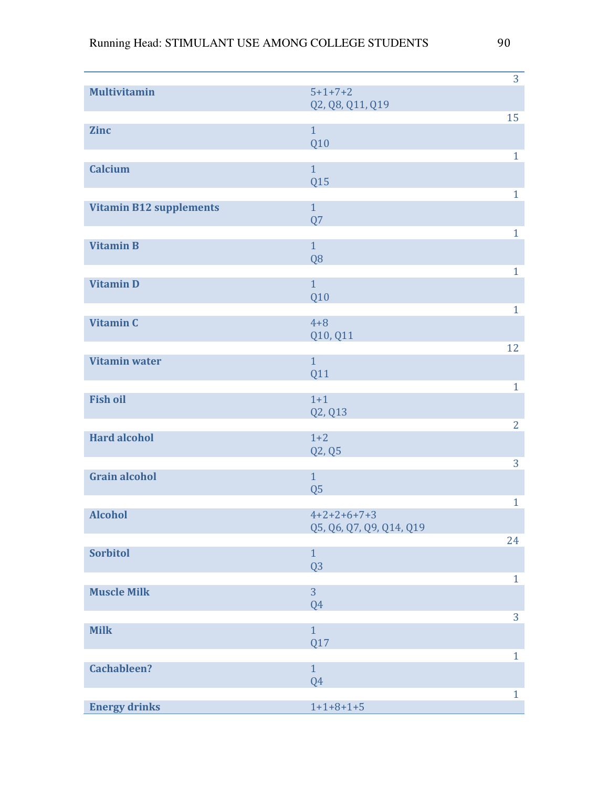|                                |                                           | 3              |
|--------------------------------|-------------------------------------------|----------------|
| <b>Multivitamin</b>            | $5 + 1 + 7 + 2$<br>Q2, Q8, Q11, Q19       |                |
|                                |                                           | 15             |
| <b>Zinc</b>                    | $\mathbf{1}$                              |                |
|                                | Q10                                       |                |
|                                | $\mathbf{1}$                              | $\mathbf{1}$   |
| <b>Calcium</b>                 | Q15                                       |                |
|                                |                                           | $\mathbf{1}$   |
| <b>Vitamin B12 supplements</b> | $\mathbf{1}$                              |                |
|                                | Q7                                        |                |
|                                | $\overline{1}$                            | $\mathbf{1}$   |
| <b>Vitamin B</b>               | Q <sub>8</sub>                            |                |
|                                |                                           | $\mathbf{1}$   |
| <b>Vitamin D</b>               | $\mathbf{1}$                              |                |
|                                | Q10                                       |                |
|                                |                                           | $\mathbf{1}$   |
| <b>Vitamin C</b>               | $4 + 8$                                   |                |
|                                | Q10, Q11                                  | 12             |
| <b>Vitamin water</b>           | $\mathbf{1}$                              |                |
|                                | <b>Q11</b>                                |                |
|                                |                                           | $\mathbf{1}$   |
| <b>Fish oil</b>                | $1+1$                                     |                |
|                                | Q2, Q13                                   |                |
| <b>Hard alcohol</b>            | $1+2$                                     | $\overline{2}$ |
|                                | Q2, Q5                                    |                |
|                                |                                           | 3              |
| <b>Grain alcohol</b>           | $\mathbf{1}$                              |                |
|                                | Q <sub>5</sub>                            |                |
|                                |                                           | $\mathbf{1}$   |
| <b>Alcohol</b>                 | $4+2+2+6+7+3$<br>Q5, Q6, Q7, Q9, Q14, Q19 |                |
|                                |                                           | 24             |
| <b>Sorbitol</b>                | $\mathbf{1}$                              |                |
|                                | Q <sub>3</sub>                            |                |
|                                |                                           | $\mathbf{1}$   |
| <b>Muscle Milk</b>             | $\overline{3}$                            |                |
|                                | Q <sub>4</sub>                            | 3              |
| <b>Milk</b>                    | $\overline{1}$                            |                |
|                                | Q17                                       |                |
|                                |                                           | $\mathbf{1}$   |
| <b>Cachableen?</b>             | $\overline{1}$                            |                |
|                                | Q4                                        |                |
| <b>Energy drinks</b>           | $1+1+8+1+5$                               | $\mathbf{1}$   |
|                                |                                           |                |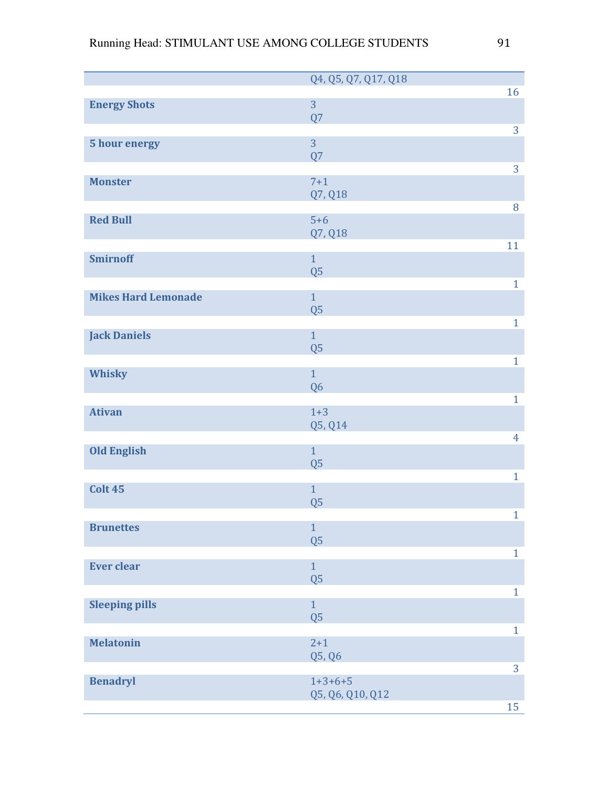|                            | Q4, Q5, Q7, Q17, Q18 |                |
|----------------------------|----------------------|----------------|
|                            |                      | 16             |
| <b>Energy Shots</b>        | 3                    |                |
|                            | Q7                   |                |
|                            | $\overline{3}$       | 3              |
| 5 hour energy              | Q7                   |                |
|                            |                      | 3              |
| <b>Monster</b>             | $7 + 1$              |                |
|                            | Q7, Q18              |                |
|                            |                      | $\, 8$         |
| <b>Red Bull</b>            | $5+6$                |                |
|                            | Q7, Q18              |                |
|                            | $\mathbf{1}$         | 11             |
| <b>Smirnoff</b>            | Q <sub>5</sub>       |                |
|                            |                      | $\mathbf{1}$   |
| <b>Mikes Hard Lemonade</b> | $\mathbf{1}$         |                |
|                            | Q <sub>5</sub>       |                |
|                            |                      | $\mathbf{1}$   |
| <b>Jack Daniels</b>        | $\mathbf{1}$         |                |
|                            | Q <sub>5</sub>       |                |
|                            |                      | $\mathbf{1}$   |
| Whisky                     | $\overline{1}$       |                |
|                            | Q <sub>6</sub>       |                |
| <b>Ativan</b>              | $1 + 3$              | $\mathbf{1}$   |
|                            | Q5, Q14              |                |
|                            |                      | $\overline{4}$ |
| <b>Old English</b>         | $\mathbf{1}$         |                |
|                            | Q <sub>5</sub>       |                |
|                            |                      | $\mathbf{1}$   |
| Colt 45                    | $\mathbf{1}$         |                |
|                            | Q <sub>5</sub>       |                |
| <b>Brunettes</b>           | $\mathbf{1}$         | $\mathbf{1}$   |
|                            | $\overline{Q5}$      |                |
|                            |                      | $\mathbf{1}$   |
| <b>Ever clear</b>          | $\mathbf{1}$         |                |
|                            | $\overline{Q5}$      |                |
|                            |                      | $\mathbf{1}$   |
| <b>Sleeping pills</b>      | $\mathbf{1}$         |                |
|                            | Q <sub>5</sub>       |                |
|                            |                      | $\mathbf{1}$   |
| <b>Melatonin</b>           | $2 + 1$              |                |
|                            | Q5, Q6               | 3              |
| <b>Benadryl</b>            | $1+3+6+5$            |                |
|                            | Q5, Q6, Q10, Q12     |                |
|                            |                      | 15             |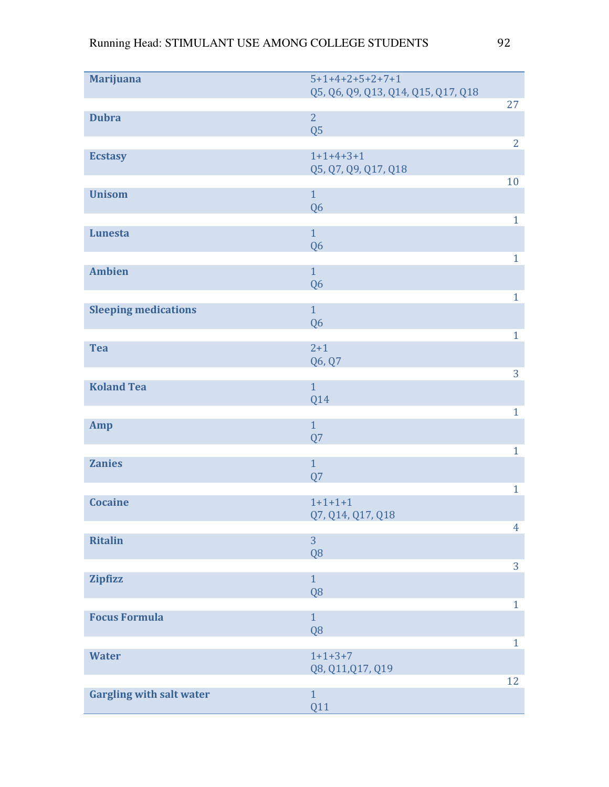| <b>Marijuana</b>                | $5+1+4+2+5+2+7+1$                   |                |
|---------------------------------|-------------------------------------|----------------|
|                                 | Q5, Q6, Q9, Q13, Q14, Q15, Q17, Q18 | 27             |
| <b>Dubra</b>                    | $\overline{2}$                      |                |
|                                 | Q <sub>5</sub>                      |                |
|                                 | $1+1+4+3+1$                         | $\overline{2}$ |
| <b>Ecstasy</b>                  | Q5, Q7, Q9, Q17, Q18                |                |
|                                 |                                     | 10             |
| <b>Unisom</b>                   | $\mathbf{1}$                        |                |
|                                 | Q <sub>6</sub>                      | $\mathbf{1}$   |
| <b>Lunesta</b>                  | $\mathbf{1}$                        |                |
|                                 | Q <sub>6</sub>                      |                |
| <b>Ambien</b>                   | $\mathbf{1}$                        | $\mathbf{1}$   |
|                                 | Q <sub>6</sub>                      |                |
|                                 |                                     | $\mathbf{1}$   |
| <b>Sleeping medications</b>     | $\overline{1}$                      |                |
|                                 | Q <sub>6</sub>                      | $\mathbf{1}$   |
| <b>Tea</b>                      | $2 + 1$                             |                |
|                                 | Q6, Q7                              |                |
| <b>Koland Tea</b>               | $\overline{1}$                      | 3              |
|                                 | Q14                                 |                |
|                                 |                                     | $\mathbf{1}$   |
| Amp                             | $\mathbf{1}$<br>Q7                  |                |
|                                 |                                     | $\mathbf{1}$   |
| <b>Zanies</b>                   | $\mathbf{1}$                        |                |
|                                 | Q7                                  |                |
| <b>Cocaine</b>                  | $1+1+1+1$                           | $\mathbf{1}$   |
|                                 | Q7, Q14, Q17, Q18                   |                |
|                                 | $\overline{3}$                      | $\overline{4}$ |
| <b>Ritalin</b>                  | Q <sub>8</sub>                      |                |
|                                 |                                     | 3              |
| <b>Zipfizz</b>                  | $\overline{1}$                      |                |
|                                 | Q <sub>8</sub>                      | $\mathbf{1}$   |
| <b>Focus Formula</b>            | $\overline{1}$                      |                |
|                                 | Q <sub>8</sub>                      |                |
| <b>Water</b>                    | $1+1+3+7$                           | $\mathbf{1}$   |
|                                 | Q8, Q11, Q17, Q19                   |                |
|                                 |                                     | 12             |
| <b>Gargling with salt water</b> | $\mathbf{1}$                        |                |
|                                 | Q11                                 |                |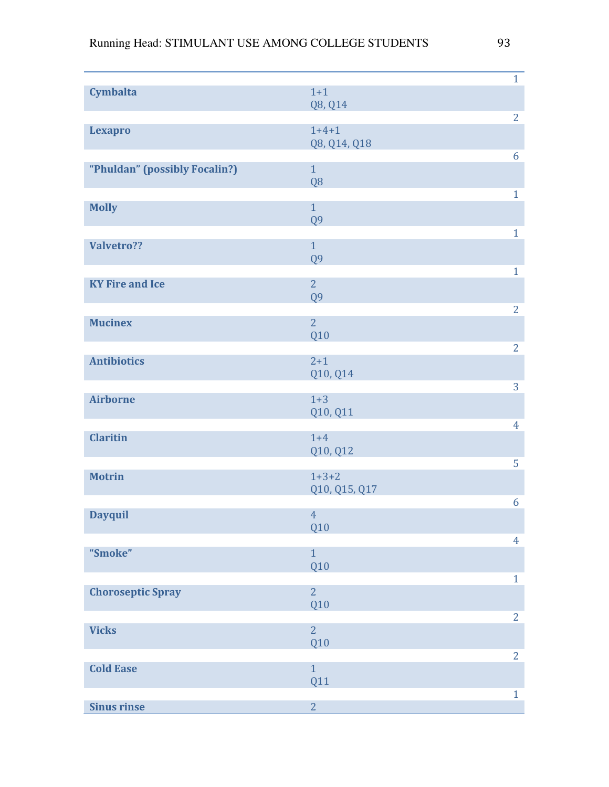|                               |                       | $\mathbf{1}$   |
|-------------------------------|-----------------------|----------------|
| <b>Cymbalta</b>               | $1+1$                 |                |
|                               | Q8, Q14               | $\overline{2}$ |
| <b>Lexapro</b>                | $1 + 4 + 1$           |                |
|                               | Q8, Q14, Q18          |                |
|                               |                       | 6              |
| "Phuldan" (possibly Focalin?) | $\mathbf{1}$          |                |
|                               | Q <sub>8</sub>        | $\mathbf{1}$   |
| <b>Molly</b>                  | $\mathbf{1}$          |                |
|                               | Q <sub>9</sub>        |                |
|                               |                       | $\mathbf{1}$   |
| Valvetro??                    | $\mathbf{1}$          |                |
|                               | Q <sub>9</sub>        | $\mathbf{1}$   |
| <b>KY Fire and Ice</b>        | $\overline{2}$        |                |
|                               | Q <sub>9</sub>        |                |
|                               |                       | $\overline{2}$ |
| <b>Mucinex</b>                | $\overline{2}$        |                |
|                               | Q10                   |                |
| <b>Antibiotics</b>            | $2 + 1$               | $\overline{2}$ |
|                               | Q10, Q14              |                |
|                               |                       | 3              |
| <b>Airborne</b>               | $1 + 3$               |                |
|                               | Q10, Q11              |                |
| <b>Claritin</b>               | $1+4$                 | $\overline{4}$ |
|                               | Q10, Q12              |                |
|                               |                       | 5              |
| <b>Motrin</b>                 | $1+3+2$               |                |
|                               | Q10, Q15, Q17         |                |
|                               |                       | 6              |
| <b>Dayquil</b>                | $\overline{4}$<br>Q10 |                |
|                               |                       | $\overline{4}$ |
| "Smoke"                       | $\mathbf{1}$          |                |
|                               | Q10                   |                |
|                               | $\overline{2}$        | $\mathbf{1}$   |
| <b>Choroseptic Spray</b>      | Q10                   |                |
|                               |                       | $\overline{2}$ |
| <b>Vicks</b>                  | $\overline{2}$        |                |
|                               | Q10                   |                |
|                               | $\mathbf{1}$          | $\overline{2}$ |
| <b>Cold Ease</b>              | <b>Q11</b>            |                |
|                               |                       | $\mathbf{1}$   |
| <b>Sinus rinse</b>            | $\overline{2}$        |                |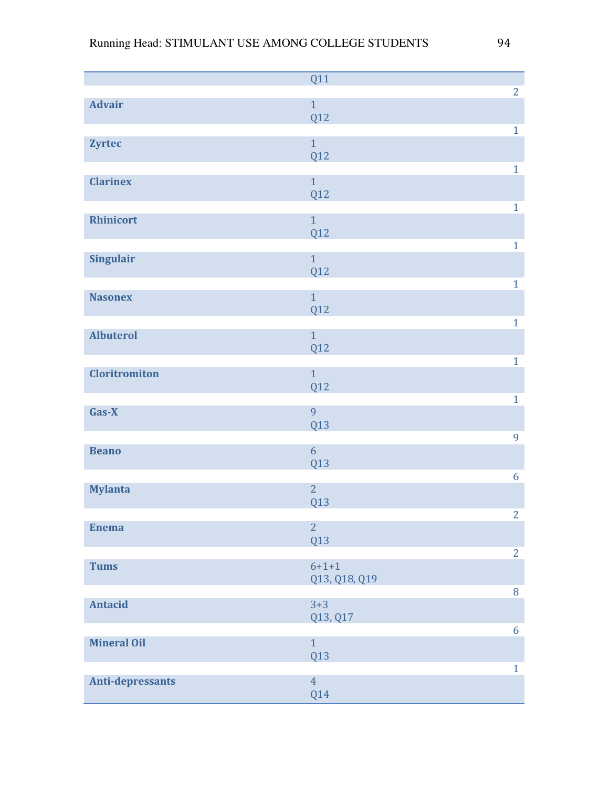|                      | <b>Q11</b>          |                  |
|----------------------|---------------------|------------------|
|                      |                     | $\overline{2}$   |
| <b>Advair</b>        | $\mathbf{1}$        |                  |
|                      | Q12                 |                  |
|                      | $\mathbf{1}$        | $\mathbf{1}$     |
| <b>Zyrtec</b>        | <b>Q12</b>          |                  |
|                      |                     | $\mathbf{1}$     |
| <b>Clarinex</b>      | $\mathbf{1}$        |                  |
|                      | <b>Q12</b>          |                  |
|                      |                     | $\mathbf{1}$     |
| <b>Rhinicort</b>     | $\overline{1}$      |                  |
|                      | <b>Q12</b>          |                  |
|                      |                     | $\mathbf{1}$     |
| <b>Singulair</b>     | $\mathbf{1}$<br>Q12 |                  |
|                      |                     | $\mathbf{1}$     |
| <b>Nasonex</b>       | $\mathbf{1}$        |                  |
|                      | Q12                 |                  |
|                      |                     | $\mathbf{1}$     |
| <b>Albuterol</b>     | $\mathbf{1}$        |                  |
|                      | <b>Q12</b>          |                  |
|                      |                     | $\mathbf{1}$     |
| <b>Cloritromiton</b> | $\mathbf{1}$        |                  |
|                      | <b>Q12</b>          | $\mathbf{1}$     |
| Gas-X                | 9                   |                  |
|                      | Q13                 |                  |
|                      |                     | $\overline{9}$   |
| <b>Beano</b>         | 6                   |                  |
|                      | <b>Q13</b>          |                  |
|                      |                     | $\boldsymbol{6}$ |
| <b>Mylanta</b>       | $\overline{2}$      |                  |
|                      | <b>Q13</b>          | $\overline{2}$   |
| <b>Enema</b>         | $\overline{2}$      |                  |
|                      | Q13                 |                  |
|                      |                     | $\overline{2}$   |
| <b>Tums</b>          | $6 + 1 + 1$         |                  |
|                      | Q13, Q18, Q19       |                  |
|                      |                     | $\, 8$           |
| <b>Antacid</b>       | $3 + 3$             |                  |
|                      | Q13, Q17            | 6                |
| <b>Mineral Oil</b>   | $\overline{1}$      |                  |
|                      | Q13                 |                  |
|                      |                     | $\mathbf{1}$     |
| Anti-depressants     | $\overline{4}$      |                  |
|                      | Q14                 |                  |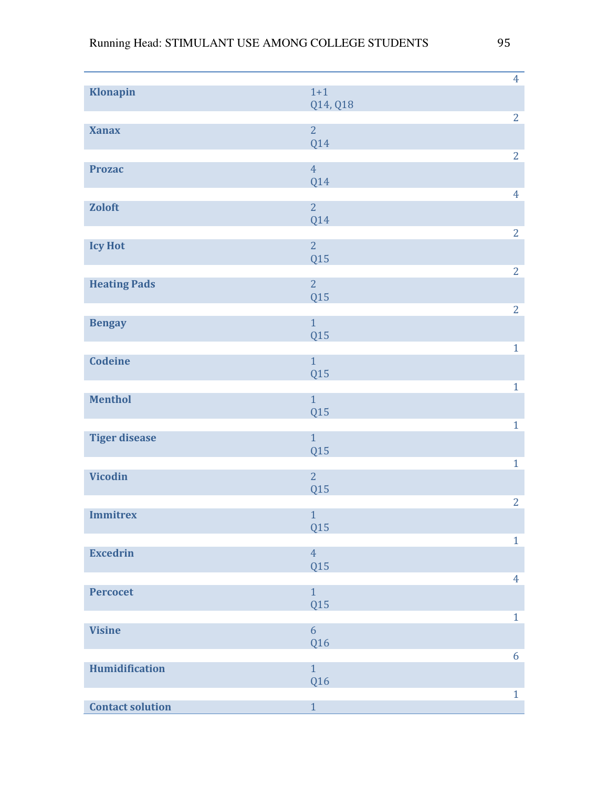| Klonapin                | $1+1$                 | $\overline{4}$ |
|-------------------------|-----------------------|----------------|
|                         | Q14, Q18              |                |
|                         |                       | $\overline{2}$ |
| <b>Xanax</b>            | $\overline{2}$<br>Q14 |                |
|                         |                       | $\overline{2}$ |
| <b>Prozac</b>           | $\overline{4}$        |                |
|                         | Q14                   |                |
| <b>Zoloft</b>           | $\overline{2}$        | $\overline{4}$ |
|                         | Q14                   |                |
|                         |                       | $\overline{2}$ |
| <b>Icy Hot</b>          | $\overline{2}$<br>Q15 |                |
|                         |                       | $\overline{2}$ |
| <b>Heating Pads</b>     | $\overline{2}$        |                |
|                         | Q15                   |                |
| <b>Bengay</b>           | $\mathbf{1}$          | $\overline{2}$ |
|                         | Q15                   |                |
|                         |                       | $\mathbf{1}$   |
| <b>Codeine</b>          | $\overline{1}$<br>Q15 |                |
|                         |                       | $\mathbf{1}$   |
| <b>Menthol</b>          | $\overline{1}$        |                |
|                         | Q15                   |                |
| <b>Tiger disease</b>    | $\overline{1}$        | $\mathbf{1}$   |
|                         | Q15                   |                |
|                         |                       | $\mathbf{1}$   |
| <b>Vicodin</b>          | $\overline{2}$        |                |
|                         | Q15                   | $\overline{2}$ |
| <b>Immitrex</b>         | $\mathbf{1}$          |                |
|                         | Q15                   |                |
| <b>Excedrin</b>         | $\overline{4}$        | $\mathbf{1}$   |
|                         | Q15                   |                |
|                         |                       | $\overline{4}$ |
| <b>Percocet</b>         | $\mathbf{1}$<br>Q15   |                |
|                         |                       | $\mathbf{1}$   |
| <b>Visine</b>           | $\overline{6}$        |                |
|                         | Q16                   |                |
| Humidification          | $\mathbf{1}$          | 6              |
|                         | Q16                   |                |
|                         |                       | $\mathbf{1}$   |
| <b>Contact solution</b> | $1\,$                 |                |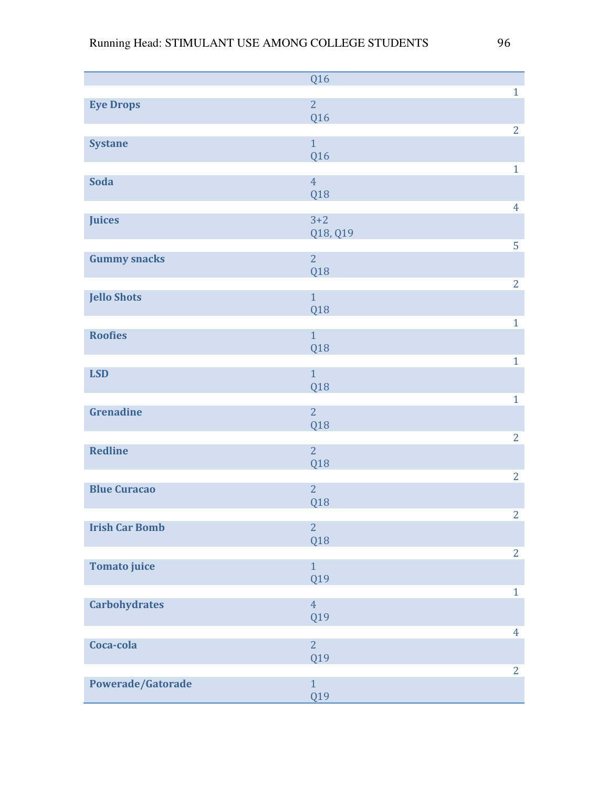|                       | Q16            |                |
|-----------------------|----------------|----------------|
|                       |                | $\mathbf{1}$   |
| <b>Eye Drops</b>      | $\overline{2}$ |                |
|                       | Q16            |                |
|                       |                | $\overline{2}$ |
| <b>Systane</b>        | $\overline{1}$ |                |
|                       | Q16            |                |
|                       |                | $\mathbf{1}$   |
| <b>Soda</b>           | $\overline{4}$ |                |
|                       | Q18            | $\overline{4}$ |
|                       | $3 + 2$        |                |
| Juices                | Q18, Q19       |                |
|                       |                | 5              |
| <b>Gummy snacks</b>   | $\overline{2}$ |                |
|                       | Q18            |                |
|                       |                | $\overline{2}$ |
| <b>Jello Shots</b>    | $\mathbf{1}$   |                |
|                       | Q18            |                |
|                       |                | $\mathbf{1}$   |
| <b>Roofies</b>        | $\mathbf{1}$   |                |
|                       | Q18            |                |
|                       |                | $\mathbf{1}$   |
| <b>LSD</b>            | $\overline{1}$ |                |
|                       | Q18            |                |
|                       |                | $\mathbf{1}$   |
| <b>Grenadine</b>      | $\overline{2}$ |                |
|                       | Q18            |                |
|                       |                | $\overline{2}$ |
| <b>Redline</b>        | $\overline{2}$ |                |
|                       | Q18            |                |
|                       |                | $\overline{2}$ |
| <b>Blue Curacao</b>   | $\overline{2}$ |                |
|                       | Q18            | $\overline{2}$ |
| <b>Irish Car Bomb</b> | $\overline{2}$ |                |
|                       | Q18            |                |
|                       |                | $\overline{2}$ |
| <b>Tomato juice</b>   | $\overline{1}$ |                |
|                       | Q19            |                |
|                       |                | $\mathbf{1}$   |
| <b>Carbohydrates</b>  | $\overline{4}$ |                |
|                       | Q19            |                |
|                       |                | $\overline{4}$ |
| Coca-cola             | $\overline{2}$ |                |
|                       | Q19            |                |
|                       |                | $\overline{2}$ |
| Powerade/Gatorade     | $\mathbf{1}$   |                |
|                       | Q19            |                |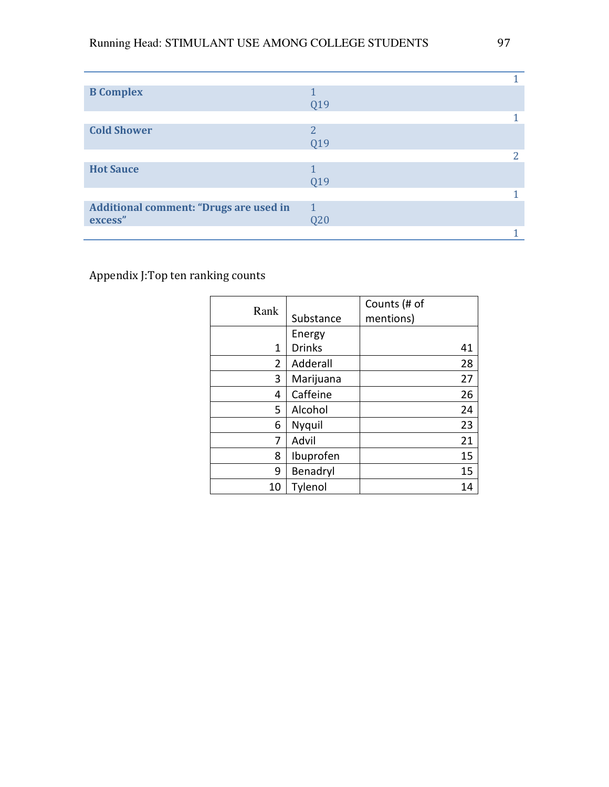| <b>B</b> Complex                              |              |  |
|-----------------------------------------------|--------------|--|
|                                               | Q19          |  |
|                                               |              |  |
| <b>Cold Shower</b>                            | 2            |  |
|                                               | Q19          |  |
|                                               |              |  |
| <b>Hot Sauce</b>                              |              |  |
|                                               | Q19          |  |
|                                               |              |  |
| <b>Additional comment: "Drugs are used in</b> | $\mathbf{1}$ |  |
| excess"                                       | Q20          |  |
|                                               |              |  |

Appendix J:Top ten ranking counts

| Rank |               | Counts (# of |
|------|---------------|--------------|
|      | Substance     | mentions)    |
|      | Energy        |              |
| 1    | <b>Drinks</b> | 41           |
| 2    | Adderall      | 28           |
| 3    | Marijuana     | 27           |
| 4    | Caffeine      | 26           |
| 5    | Alcohol       | 24           |
| 6    | Nyquil        | 23           |
| 7    | Advil         | 21           |
| 8    | Ibuprofen     | 15           |
| 9    | Benadryl      | 15           |
| 10   | Tylenol       | 14           |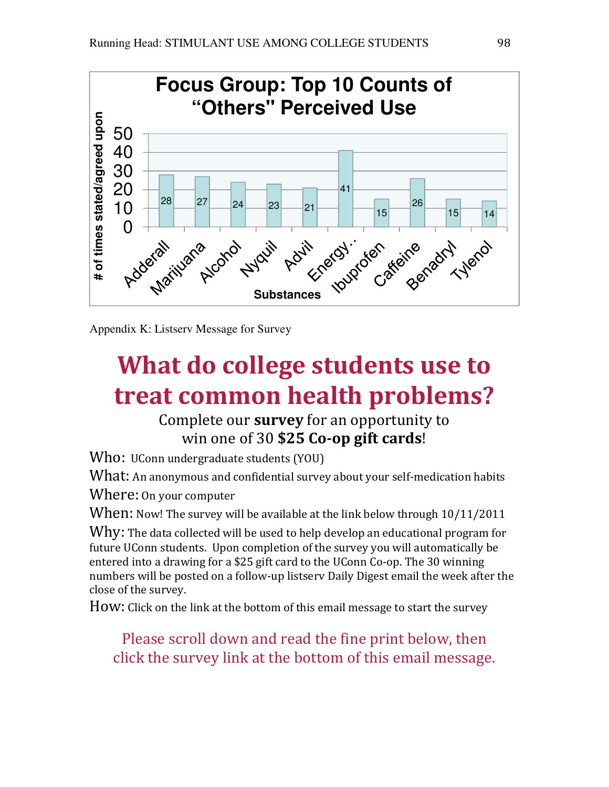

Appendix K: Listserv Message for Survey

# What do college students use to treat common health problems?

# Complete our survey for an opportunity to win one of 30 \$25 Co-op gift cards!

Who: UConn undergraduate students (YOU)

What: An anonymous and confidential survey about your self-medication habits

Where: On your computer

When: Now! The survey will be available at the link below through  $10/11/2011$ 

Why: The data collected will be used to help develop an educational program for future UConn students. Upon completion of the survey you will automatically be entered into a drawing for a \$25 gift card to the UConn Co-op. The 30 winning numbers will be posted on a follow-up listserv Daily Digest email the week after the close of the survey.

How: Click on the link at the bottom of this email message to start the survey

Please scroll down and read the fine print below, then click the survey link at the bottom of this email message.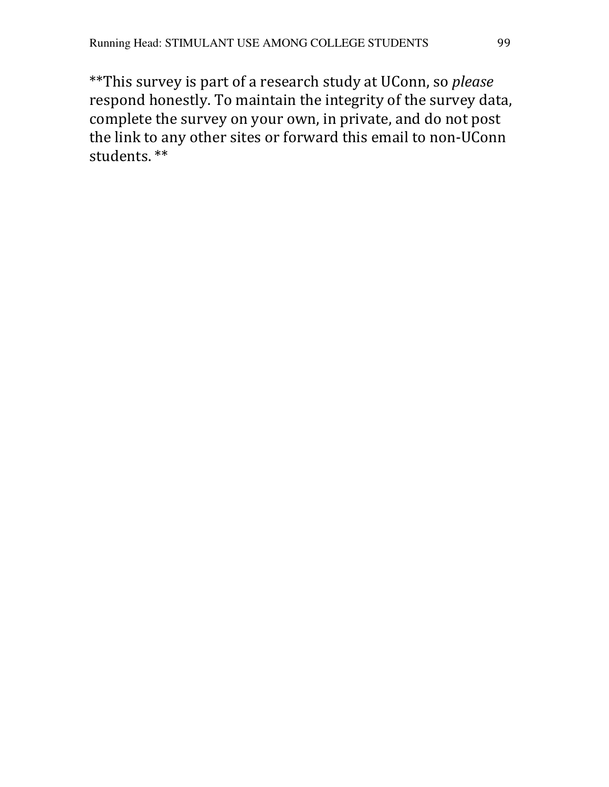\*\*This survey is part of a research study at UConn, so please respond honestly. To maintain the integrity of the survey data, complete the survey on your own, in private, and do not post the link to any other sites or forward this email to non-UConn students. \*\*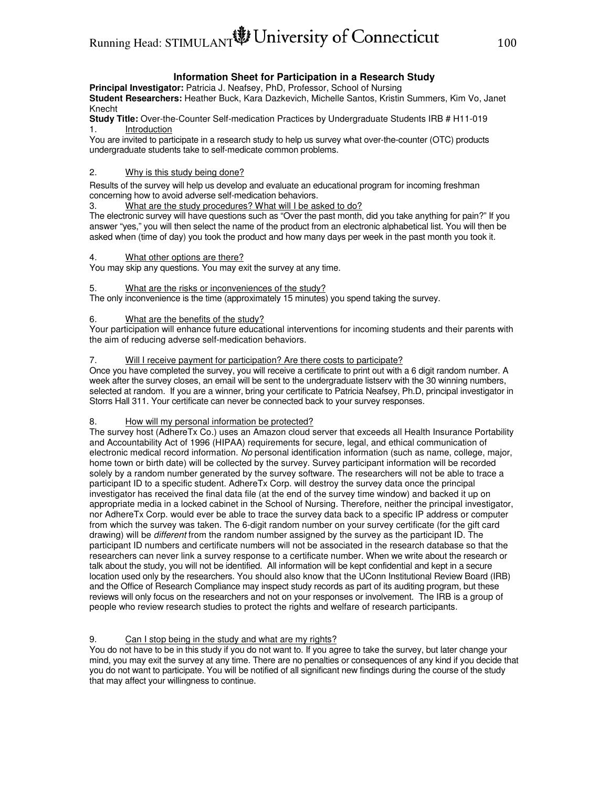# Running Head: STIMULANT UNIVERSIty of Connecticut 100

#### **Information Sheet for Participation in a Research Study**

**Principal Investigator:** Patricia J. Neafsey, PhD, Professor, School of Nursing **Student Researchers:** Heather Buck, Kara Dazkevich, Michelle Santos, Kristin Summers, Kim Vo, Janet Knecht

**Study Title:** Over-the-Counter Self-medication Practices by Undergraduate Students IRB # H11-019 1. Introduction

You are invited to participate in a research study to help us survey what over-the-counter (OTC) products undergraduate students take to self-medicate common problems.

#### 2. Why is this study being done?

Results of the survey will help us develop and evaluate an educational program for incoming freshman concerning how to avoid adverse self-medication behaviors.

3. What are the study procedures? What will I be asked to do?

The electronic survey will have questions such as "Over the past month, did you take anything for pain?" If you answer "yes," you will then select the name of the product from an electronic alphabetical list. You will then be asked when (time of day) you took the product and how many days per week in the past month you took it.

#### 4. What other options are there?

You may skip any questions. You may exit the survey at any time.

#### 5. What are the risks or inconveniences of the study?

The only inconvenience is the time (approximately 15 minutes) you spend taking the survey.

#### 6. What are the benefits of the study?

Your participation will enhance future educational interventions for incoming students and their parents with the aim of reducing adverse self-medication behaviors.

#### 7. Will I receive payment for participation? Are there costs to participate?

Once you have completed the survey, you will receive a certificate to print out with a 6 digit random number. A week after the survey closes, an email will be sent to the undergraduate listserv with the 30 winning numbers, selected at random. If you are a winner, bring your certificate to Patricia Neafsey, Ph.D, principal investigator in Storrs Hall 311. Your certificate can never be connected back to your survey responses.

#### 8. How will my personal information be protected?

The survey host (AdhereTx Co.) uses an Amazon cloud server that exceeds all Health Insurance Portability and Accountability Act of 1996 (HIPAA) requirements for secure, legal, and ethical communication of electronic medical record information. No personal identification information (such as name, college, major, home town or birth date) will be collected by the survey. Survey participant information will be recorded solely by a random number generated by the survey software. The researchers will not be able to trace a participant ID to a specific student. AdhereTx Corp. will destroy the survey data once the principal investigator has received the final data file (at the end of the survey time window) and backed it up on appropriate media in a locked cabinet in the School of Nursing. Therefore, neither the principal investigator, nor AdhereTx Corp. would ever be able to trace the survey data back to a specific IP address or computer from which the survey was taken. The 6-digit random number on your survey certificate (for the gift card drawing) will be *different* from the random number assigned by the survey as the participant ID. The participant ID numbers and certificate numbers will not be associated in the research database so that the researchers can never link a survey response to a certificate number. When we write about the research or talk about the study, you will not be identified. All information will be kept confidential and kept in a secure location used only by the researchers. You should also know that the UConn Institutional Review Board (IRB) and the Office of Research Compliance may inspect study records as part of its auditing program, but these reviews will only focus on the researchers and not on your responses or involvement. The IRB is a group of people who review research studies to protect the rights and welfare of research participants.

#### 9. Can I stop being in the study and what are my rights?

You do not have to be in this study if you do not want to. If you agree to take the survey, but later change your mind, you may exit the survey at any time. There are no penalties or consequences of any kind if you decide that you do not want to participate. You will be notified of all significant new findings during the course of the study that may affect your willingness to continue.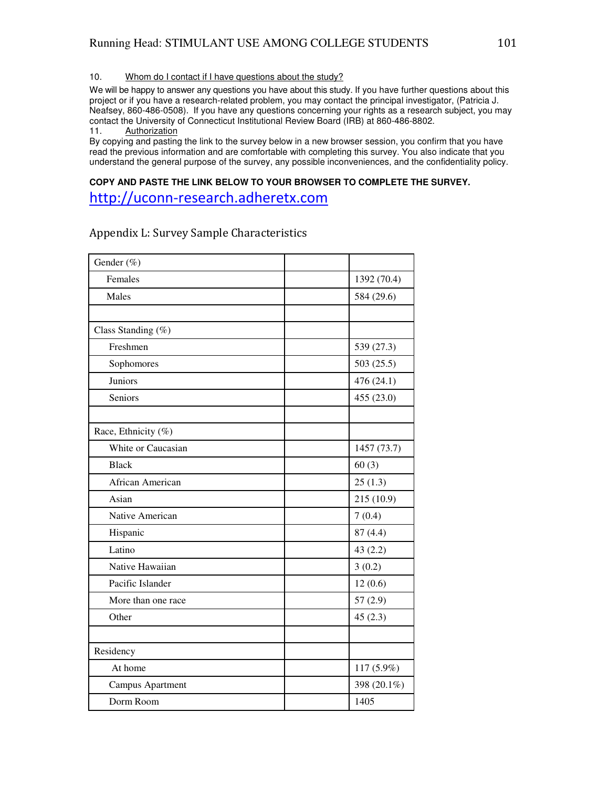10. Whom do I contact if I have questions about the study?

We will be happy to answer any questions you have about this study. If you have further questions about this project or if you have a research-related problem, you may contact the principal investigator, (Patricia J. Neafsey, 860-486-0508). If you have any questions concerning your rights as a research subject, you may contact the University of Connecticut Institutional Review Board (IRB) at 860-486-8802.

**Authorization** 

By copying and pasting the link to the survey below in a new browser session, you confirm that you have read the previous information and are comfortable with completing this survey. You also indicate that you understand the general purpose of the survey, any possible inconveniences, and the confidentiality policy.

### **COPY AND PASTE THE LINK BELOW TO YOUR BROWSER TO COMPLETE THE SURVEY.**

http://uconn-research.adheretx.com

| Gender (%)          |             |
|---------------------|-------------|
| Females             | 1392 (70.4) |
| Males               | 584 (29.6)  |
|                     |             |
| Class Standing (%)  |             |
| Freshmen            | 539 (27.3)  |
| Sophomores          | 503 (25.5)  |
| Juniors             | 476 (24.1)  |
| Seniors             | 455 (23.0)  |
|                     |             |
| Race, Ethnicity (%) |             |
| White or Caucasian  | 1457 (73.7) |
| <b>Black</b>        | 60(3)       |
| African American    | 25(1.3)     |
| Asian               | 215 (10.9)  |
| Native American     | 7(0.4)      |
| Hispanic            | 87(4.4)     |
| Latino              | 43(2.2)     |
| Native Hawaiian     | 3(0.2)      |
| Pacific Islander    | 12(0.6)     |
| More than one race  | 57(2.9)     |
| Other               | 45(2.3)     |
|                     |             |
| Residency           |             |
| At home             | 117 (5.9%)  |
| Campus Apartment    | 398 (20.1%) |
| Dorm Room           | 1405        |

### Appendix L: Survey Sample Characteristics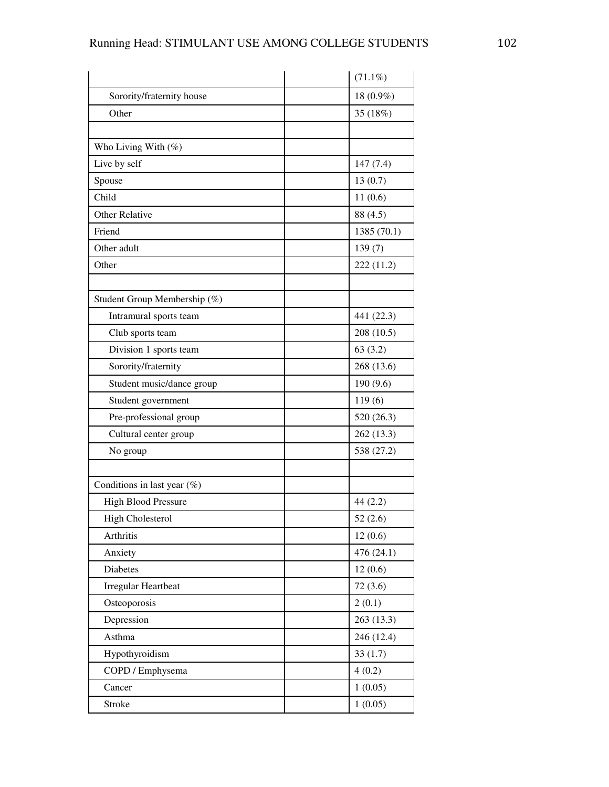|                                | $(71.1\%)$  |
|--------------------------------|-------------|
| Sorority/fraternity house      | 18 (0.9%)   |
| Other                          | 35 (18%)    |
|                                |             |
| Who Living With (%)            |             |
| Live by self                   | 147(7.4)    |
| Spouse                         | 13(0.7)     |
| Child                          | 11(0.6)     |
| Other Relative                 | 88 (4.5)    |
| Friend                         | 1385 (70.1) |
| Other adult                    | 139(7)      |
| Other                          | 222 (11.2)  |
|                                |             |
| Student Group Membership (%)   |             |
| Intramural sports team         | 441 (22.3)  |
| Club sports team               | 208 (10.5)  |
| Division 1 sports team         | 63(3.2)     |
| Sorority/fraternity            | 268 (13.6)  |
| Student music/dance group      | 190 (9.6)   |
| Student government             | 119(6)      |
| Pre-professional group         | 520 (26.3)  |
| Cultural center group          | 262 (13.3)  |
| No group                       | 538 (27.2)  |
|                                |             |
| Conditions in last year $(\%)$ |             |
| <b>High Blood Pressure</b>     | 44(2.2)     |
| <b>High Cholesterol</b>        | 52(2.6)     |
| Arthritis                      | 12(0.6)     |
| Anxiety                        | 476 (24.1)  |
| Diabetes                       | 12(0.6)     |
| Irregular Heartbeat            | 72(3.6)     |
| Osteoporosis                   | 2(0.1)      |
| Depression                     | 263 (13.3)  |
| Asthma                         | 246 (12.4)  |
| Hypothyroidism                 | 33(1.7)     |
| COPD / Emphysema               | 4(0.2)      |
| Cancer                         | 1(0.05)     |
| <b>Stroke</b>                  | 1(0.05)     |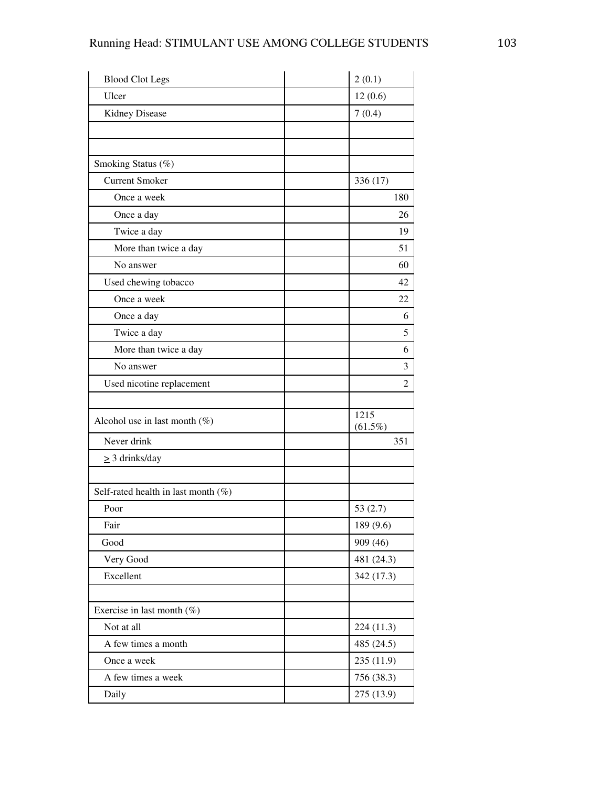| <b>Blood Clot Legs</b>                 | 2(0.1)             |
|----------------------------------------|--------------------|
| Ulcer                                  | 12(0.6)            |
| <b>Kidney Disease</b>                  | 7(0.4)             |
|                                        |                    |
|                                        |                    |
| Smoking Status (%)                     |                    |
| <b>Current Smoker</b>                  | 336 (17)           |
| Once a week                            | 180                |
| Once a day                             | 26                 |
| Twice a day                            | 19                 |
| More than twice a day                  | 51                 |
| No answer                              | 60                 |
| Used chewing tobacco                   | 42                 |
| Once a week                            | 22                 |
| Once a day                             | 6                  |
| Twice a day                            | 5                  |
| More than twice a day                  | 6                  |
| No answer                              | 3                  |
| Used nicotine replacement              | $\overline{2}$     |
|                                        |                    |
| Alcohol use in last month $(\%)$       | 1215<br>$(61.5\%)$ |
| Never drink                            | 351                |
| $\geq$ 3 drinks/day                    |                    |
| Self-rated health in last month $(\%)$ |                    |
| Poor                                   | 53(2.7)            |
| Fair                                   | 189 (9.6)          |
| Good                                   | 909 (46)           |
| Very Good                              | 481 (24.3)         |
| Excellent                              | 342 (17.3)         |
|                                        |                    |
| Exercise in last month $(\%)$          |                    |
| Not at all                             | 224 (11.3)         |
| A few times a month                    | 485 (24.5)         |
| Once a week                            | 235(11.9)          |
| A few times a week                     | 756 (38.3)         |
| Daily                                  | 275 (13.9)         |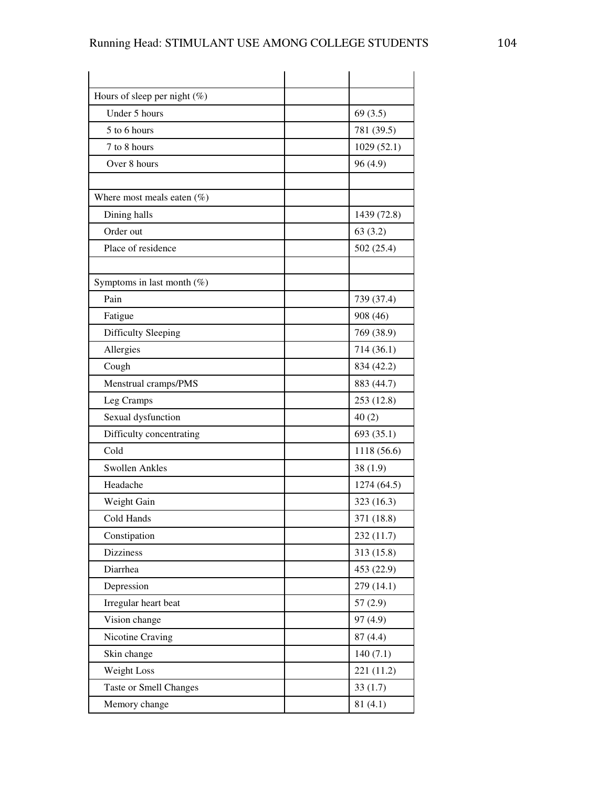| Hours of sleep per night $(\%)$ |             |
|---------------------------------|-------------|
| Under 5 hours                   | 69(3.5)     |
| 5 to 6 hours                    | 781 (39.5)  |
| 7 to 8 hours                    | 1029(52.1)  |
| Over 8 hours                    | 96(4.9)     |
|                                 |             |
| Where most meals eaten $(\%)$   |             |
| Dining halls                    | 1439 (72.8) |
| Order out                       | 63(3.2)     |
| Place of residence              | 502(25.4)   |
|                                 |             |
| Symptoms in last month $(\%)$   |             |
| Pain                            | 739 (37.4)  |
| Fatigue                         | 908 (46)    |
| Difficulty Sleeping             | 769 (38.9)  |
| Allergies                       | 714(36.1)   |
| Cough                           | 834 (42.2)  |
| Menstrual cramps/PMS            | 883 (44.7)  |
| Leg Cramps                      | 253 (12.8)  |
| Sexual dysfunction              | 40(2)       |
| Difficulty concentrating        | 693 (35.1)  |
| Cold                            | 1118 (56.6) |
| Swollen Ankles                  | 38(1.9)     |
| Headache                        | 1274(64.5)  |
| Weight Gain                     | 323 (16.3)  |
| Cold Hands                      | 371 (18.8)  |
| Constipation                    | 232 (11.7)  |
| <b>Dizziness</b>                | 313(15.8)   |
| Diarrhea                        | 453 (22.9)  |
| Depression                      | 279(14.1)   |
| Irregular heart beat            | 57(2.9)     |
| Vision change                   | 97 (4.9)    |
| Nicotine Craving                | 87(4.4)     |
| Skin change                     | 140(7.1)    |
| Weight Loss                     | 221 (11.2)  |
| <b>Taste or Smell Changes</b>   | 33(1.7)     |
| Memory change                   | 81(4.1)     |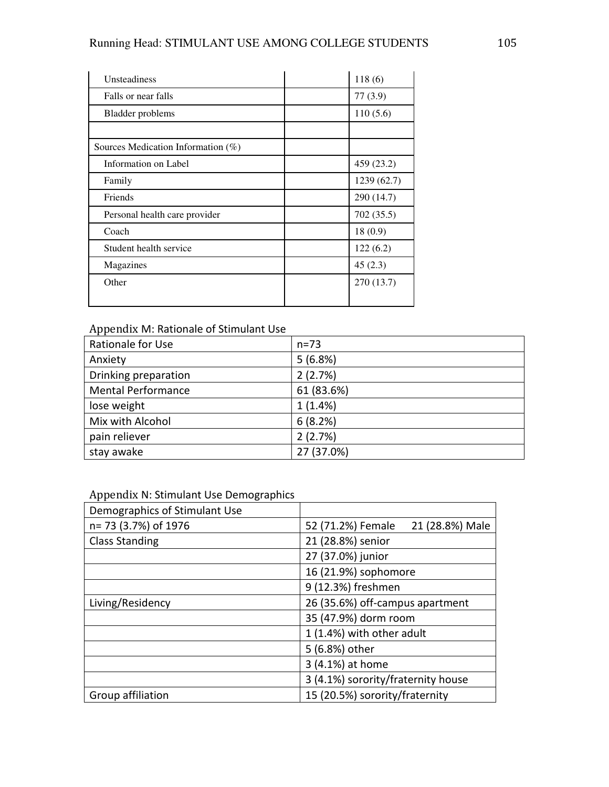| Unsteadiness                          | 118(6)      |
|---------------------------------------|-------------|
| Falls or near falls                   | 77(3.9)     |
| Bladder problems                      | 110(5.6)    |
|                                       |             |
| Sources Medication Information $(\%)$ |             |
| Information on Label                  | 459 (23.2)  |
| Family                                | 1239 (62.7) |
| Friends                               | 290 (14.7)  |
| Personal health care provider         | 702(35.5)   |
| Coach                                 | 18(0.9)     |
| Student health service                | 122(6.2)    |
| Magazines                             | 45(2.3)     |
| Other                                 | 270 (13.7)  |
|                                       |             |

## Appendix M: Rationale of Stimulant Use

| Rationale for Use         | $n = 73$   |
|---------------------------|------------|
| Anxiety                   | 5(6.8%)    |
| Drinking preparation      | 2(2.7%)    |
| <b>Mental Performance</b> | 61 (83.6%) |
| lose weight               | 1(1.4%)    |
| Mix with Alcohol          | 6(8.2%)    |
| pain reliever             | 2(2.7%)    |
| stay awake                | 27 (37.0%) |

## Appendix N: Stimulant Use Demographics

| Demographics of Stimulant Use |                                      |
|-------------------------------|--------------------------------------|
| n= 73 (3.7%) of 1976          | 21 (28.8%) Male<br>52 (71.2%) Female |
| <b>Class Standing</b>         | 21 (28.8%) senior                    |
|                               | 27 (37.0%) junior                    |
|                               | 16 (21.9%) sophomore                 |
|                               | 9 (12.3%) freshmen                   |
| Living/Residency              | 26 (35.6%) off-campus apartment      |
|                               | 35 (47.9%) dorm room                 |
|                               | 1 (1.4%) with other adult            |
|                               | 5 (6.8%) other                       |
|                               | 3 (4.1%) at home                     |
|                               | 3 (4.1%) sorority/fraternity house   |
| Group affiliation             | 15 (20.5%) sorority/fraternity       |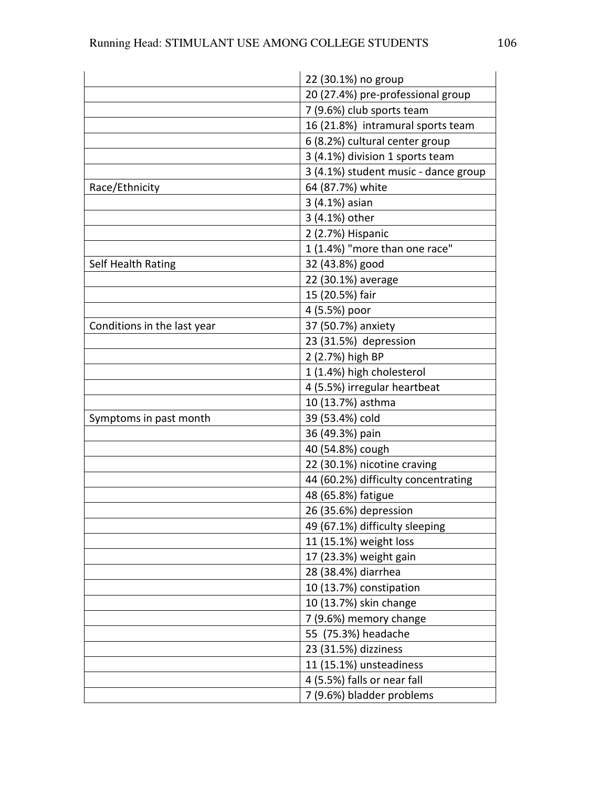|                             | 22 (30.1%) no group                  |
|-----------------------------|--------------------------------------|
|                             | 20 (27.4%) pre-professional group    |
|                             | 7 (9.6%) club sports team            |
|                             | 16 (21.8%) intramural sports team    |
|                             | 6 (8.2%) cultural center group       |
|                             | 3 (4.1%) division 1 sports team      |
|                             | 3 (4.1%) student music - dance group |
| Race/Ethnicity              | 64 (87.7%) white                     |
|                             | 3 (4.1%) asian                       |
|                             | 3 (4.1%) other                       |
|                             | 2 (2.7%) Hispanic                    |
|                             | 1 (1.4%) "more than one race"        |
| Self Health Rating          | 32 (43.8%) good                      |
|                             | 22 (30.1%) average                   |
|                             | 15 (20.5%) fair                      |
|                             | 4 (5.5%) poor                        |
| Conditions in the last year | 37 (50.7%) anxiety                   |
|                             | 23 (31.5%) depression                |
|                             | 2 (2.7%) high BP                     |
|                             | 1 (1.4%) high cholesterol            |
|                             | 4 (5.5%) irregular heartbeat         |
|                             | 10 (13.7%) asthma                    |
| Symptoms in past month      | 39 (53.4%) cold                      |
|                             | 36 (49.3%) pain                      |
|                             | 40 (54.8%) cough                     |
|                             | 22 (30.1%) nicotine craving          |
|                             | 44 (60.2%) difficulty concentrating  |
|                             | 48 (65.8%) fatigue                   |
|                             | 26 (35.6%) depression                |
|                             | 49 (67.1%) difficulty sleeping       |
|                             | 11 (15.1%) weight loss               |
|                             | 17 (23.3%) weight gain               |
|                             | 28 (38.4%) diarrhea                  |
|                             | 10 (13.7%) constipation              |
|                             | 10 (13.7%) skin change               |
|                             | 7 (9.6%) memory change               |
|                             | 55 (75.3%) headache                  |
|                             | 23 (31.5%) dizziness                 |
|                             | 11 (15.1%) unsteadiness              |
|                             | 4 (5.5%) falls or near fall          |
|                             | 7 (9.6%) bladder problems            |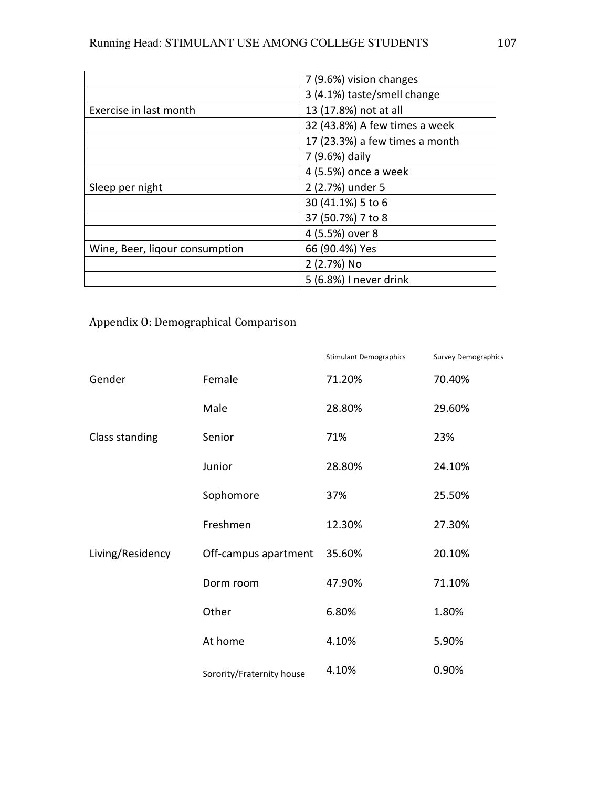|                                | 7 (9.6%) vision changes        |  |
|--------------------------------|--------------------------------|--|
|                                | 3 (4.1%) taste/smell change    |  |
| Exercise in last month         | 13 (17.8%) not at all          |  |
|                                | 32 (43.8%) A few times a week  |  |
|                                | 17 (23.3%) a few times a month |  |
|                                | 7 (9.6%) daily                 |  |
|                                | 4 (5.5%) once a week           |  |
| Sleep per night                | 2 (2.7%) under 5               |  |
|                                | 30 (41.1%) 5 to 6              |  |
|                                | 37 (50.7%) 7 to 8              |  |
|                                | 4 (5.5%) over 8                |  |
| Wine, Beer, ligour consumption | 66 (90.4%) Yes                 |  |
|                                | 2 (2.7%) No                    |  |
|                                | 5 (6.8%) I never drink         |  |

# Appendix O: Demographical Comparison

|                  |                           | <b>Stimulant Demographics</b> | <b>Survey Demographics</b> |
|------------------|---------------------------|-------------------------------|----------------------------|
| Gender           | Female                    | 71.20%                        | 70.40%                     |
|                  | Male                      | 28.80%                        | 29.60%                     |
| Class standing   | Senior                    | 71%                           | 23%                        |
| Living/Residency | Junior                    | 28.80%                        | 24.10%                     |
|                  | Sophomore                 | 37%                           | 25.50%                     |
|                  | Freshmen                  | 12.30%                        | 27.30%                     |
|                  | Off-campus apartment      | 35.60%                        | 20.10%                     |
|                  | Dorm room                 | 47.90%                        | 71.10%                     |
|                  | Other                     | 6.80%                         | 1.80%                      |
|                  | At home                   | 4.10%                         | 5.90%                      |
|                  | Sorority/Fraternity house | 4.10%                         | 0.90%                      |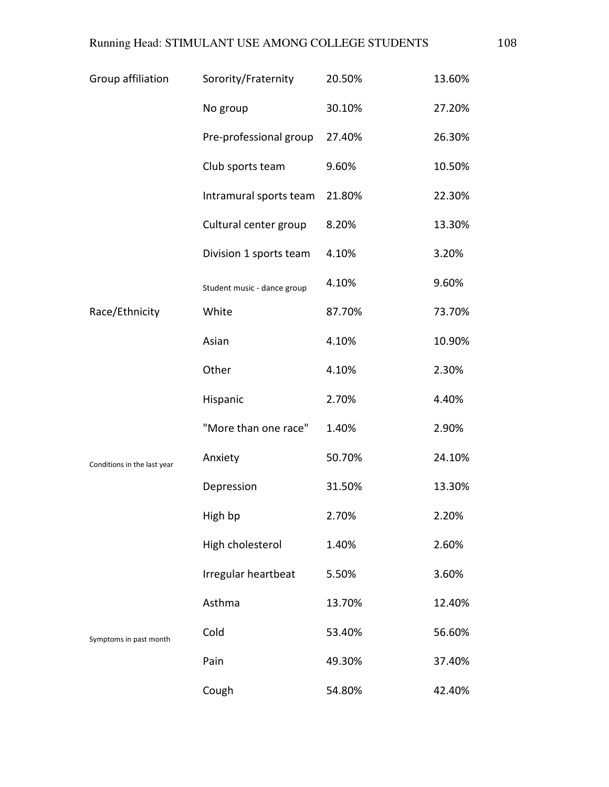| Group affiliation           | Sorority/Fraternity         | 20.50% | 13.60% |
|-----------------------------|-----------------------------|--------|--------|
|                             | No group                    | 30.10% | 27.20% |
|                             | Pre-professional group      | 27.40% | 26.30% |
|                             | Club sports team            | 9.60%  | 10.50% |
|                             | Intramural sports team      | 21.80% | 22.30% |
|                             | Cultural center group       | 8.20%  | 13.30% |
|                             | Division 1 sports team      | 4.10%  | 3.20%  |
|                             | Student music - dance group | 4.10%  | 9.60%  |
| Race/Ethnicity              | White                       | 87.70% | 73.70% |
|                             | Asian                       | 4.10%  | 10.90% |
| Conditions in the last year | Other                       | 4.10%  | 2.30%  |
|                             | Hispanic                    | 2.70%  | 4.40%  |
|                             | "More than one race"        | 1.40%  | 2.90%  |
|                             | Anxiety                     | 50.70% | 24.10% |
|                             | Depression                  | 31.50% | 13.30% |
|                             | High bp                     | 2.70%  | 2.20%  |
|                             | High cholesterol            | 1.40%  | 2.60%  |
| Symptoms in past month      | Irregular heartbeat         | 5.50%  | 3.60%  |
|                             | Asthma                      | 13.70% | 12.40% |
|                             | Cold                        | 53.40% | 56.60% |
|                             | Pain                        | 49.30% | 37.40% |
|                             | Cough                       | 54.80% | 42.40% |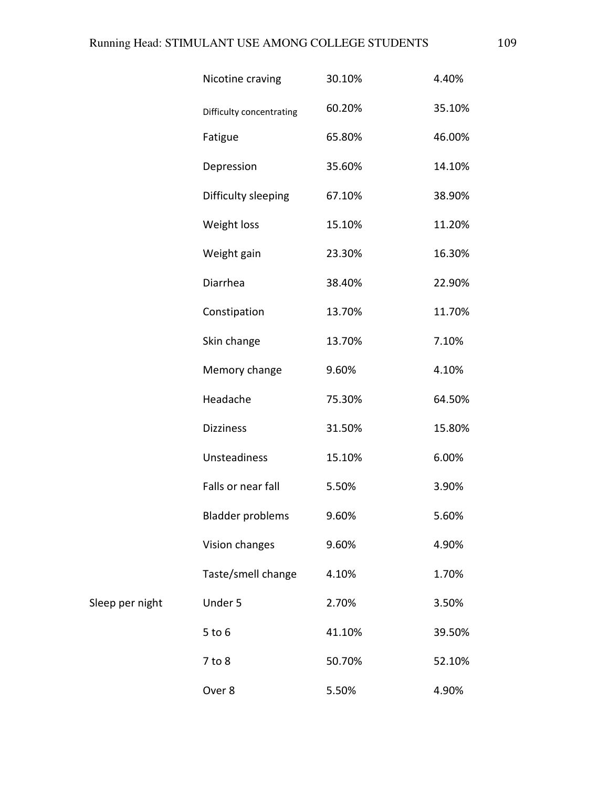|                 | Nicotine craving         | 30.10% | 4.40%  |
|-----------------|--------------------------|--------|--------|
|                 | Difficulty concentrating | 60.20% | 35.10% |
|                 | Fatigue                  | 65.80% | 46.00% |
|                 | Depression               | 35.60% | 14.10% |
|                 | Difficulty sleeping      | 67.10% | 38.90% |
|                 | Weight loss              | 15.10% | 11.20% |
|                 | Weight gain              | 23.30% | 16.30% |
|                 | Diarrhea                 | 38.40% | 22.90% |
|                 | Constipation             | 13.70% | 11.70% |
|                 | Skin change              | 13.70% | 7.10%  |
|                 | Memory change            | 9.60%  | 4.10%  |
|                 | Headache                 | 75.30% | 64.50% |
|                 | <b>Dizziness</b>         | 31.50% | 15.80% |
|                 | Unsteadiness             | 15.10% | 6.00%  |
|                 | Falls or near fall       | 5.50%  | 3.90%  |
|                 | <b>Bladder problems</b>  | 9.60%  | 5.60%  |
|                 | Vision changes           | 9.60%  | 4.90%  |
|                 | Taste/smell change       | 4.10%  | 1.70%  |
| Sleep per night | Under 5                  | 2.70%  | 3.50%  |
|                 | $5$ to $6$               | 41.10% | 39.50% |
|                 | $7$ to $8$               | 50.70% | 52.10% |
|                 | Over 8                   | 5.50%  | 4.90%  |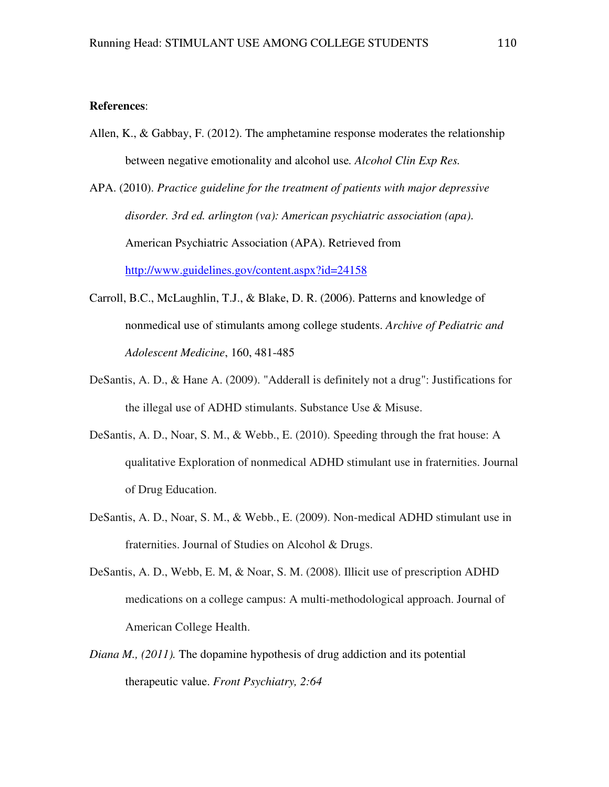## **References**:

Allen, K., & Gabbay, F. (2012). The amphetamine response moderates the relationship between negative emotionality and alcohol use*. Alcohol Clin Exp Res.* 

APA. (2010). *Practice guideline for the treatment of patients with major depressive disorder. 3rd ed. arlington (va): American psychiatric association (apa)*. American Psychiatric Association (APA). Retrieved from http://www.guidelines.gov/content.aspx?id=24158

- Carroll, B.C., McLaughlin, T.J., & Blake, D. R. (2006). Patterns and knowledge of nonmedical use of stimulants among college students. *Archive of Pediatric and Adolescent Medicine*, 160, 481-485
- DeSantis, A. D., & Hane A. (2009). "Adderall is definitely not a drug": Justifications for the illegal use of ADHD stimulants. Substance Use & Misuse.
- DeSantis, A. D., Noar, S. M., & Webb., E. (2010). Speeding through the frat house: A qualitative Exploration of nonmedical ADHD stimulant use in fraternities. Journal of Drug Education.
- DeSantis, A. D., Noar, S. M., & Webb., E. (2009). Non-medical ADHD stimulant use in fraternities. Journal of Studies on Alcohol & Drugs.
- DeSantis, A. D., Webb, E. M, & Noar, S. M. (2008). Illicit use of prescription ADHD medications on a college campus: A multi-methodological approach. Journal of American College Health.
- *Diana M., (2011).* The dopamine hypothesis of drug addiction and its potential therapeutic value. *Front Psychiatry, 2:64*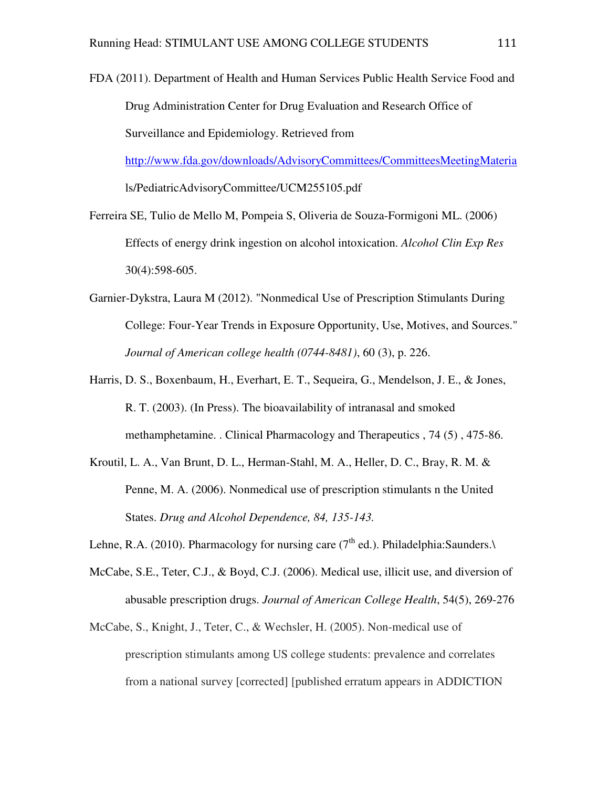FDA (2011). Department of Health and Human Services Public Health Service Food and Drug Administration Center for Drug Evaluation and Research Office of Surveillance and Epidemiology. Retrieved from http://www.fda.gov/downloads/AdvisoryCommittees/CommitteesMeetingMateria

ls/PediatricAdvisoryCommittee/UCM255105.pdf

- Ferreira SE, Tulio de Mello M, Pompeia S, Oliveria de Souza-Formigoni ML. (2006) Effects of energy drink ingestion on alcohol intoxication. *Alcohol Clin Exp Res* 30(4):598-605.
- Garnier-Dykstra, Laura M (2012). "Nonmedical Use of Prescription Stimulants During College: Four-Year Trends in Exposure Opportunity, Use, Motives, and Sources." *Journal of American college health (0744-8481)*, 60 (3), p. 226.
- Harris, D. S., Boxenbaum, H., Everhart, E. T., Sequeira, G., Mendelson, J. E., & Jones, R. T. (2003). (In Press). The bioavailability of intranasal and smoked methamphetamine. . Clinical Pharmacology and Therapeutics , 74 (5) , 475-86.
- Kroutil, L. A., Van Brunt, D. L., Herman-Stahl, M. A., Heller, D. C., Bray, R. M. & Penne, M. A. (2006). Nonmedical use of prescription stimulants n the United States. *Drug and Alcohol Dependence, 84, 135-143.*

Lehne, R.A. (2010). Pharmacology for nursing care ( $7<sup>th</sup>$  ed.). Philadelphia:Saunders. $\lambda$ 

- McCabe, S.E., Teter, C.J., & Boyd, C.J. (2006). Medical use, illicit use, and diversion of abusable prescription drugs. *Journal of American College Health*, 54(5), 269-276
- McCabe, S., Knight, J., Teter, C., & Wechsler, H. (2005). Non-medical use of prescription stimulants among US college students: prevalence and correlates from a national survey [corrected] [published erratum appears in ADDICTION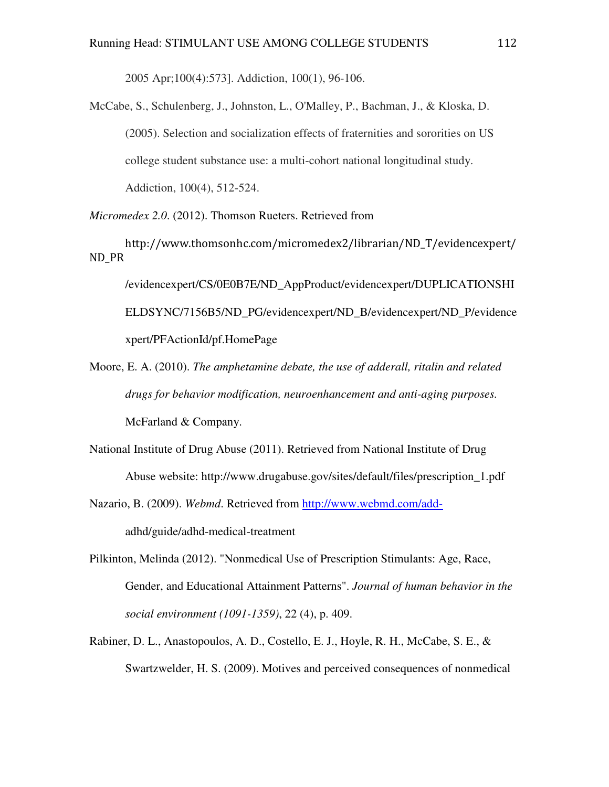2005 Apr;100(4):573]. Addiction, 100(1), 96-106.

McCabe, S., Schulenberg, J., Johnston, L., O'Malley, P., Bachman, J., & Kloska, D. (2005). Selection and socialization effects of fraternities and sororities on US college student substance use: a multi-cohort national longitudinal study. Addiction, 100(4), 512-524.

*Micromedex 2.0*. (2012). Thomson Rueters. Retrieved from

http://www.thomsonhc.com/micromedex2/librarian/ND\_T/evidencexpert/ ND\_PR

/evidencexpert/CS/0E0B7E/ND\_AppProduct/evidencexpert/DUPLICATIONSHI ELDSYNC/7156B5/ND\_PG/evidencexpert/ND\_B/evidencexpert/ND\_P/evidence xpert/PFActionId/pf.HomePage

- Moore, E. A. (2010). *The amphetamine debate, the use of adderall, ritalin and related drugs for behavior modification, neuroenhancement and anti-aging purposes.*  McFarland & Company.
- National Institute of Drug Abuse (2011). Retrieved from National Institute of Drug Abuse website: http://www.drugabuse.gov/sites/default/files/prescription\_1.pdf
- Nazario, B. (2009). *Webmd*. Retrieved from http://www.webmd.com/addadhd/guide/adhd-medical-treatment
- Pilkinton, Melinda (2012). "Nonmedical Use of Prescription Stimulants: Age, Race, Gender, and Educational Attainment Patterns". *Journal of human behavior in the social environment (1091-1359)*, 22 (4), p. 409.
- Rabiner, D. L., Anastopoulos, A. D., Costello, E. J., Hoyle, R. H., McCabe, S. E., & Swartzwelder, H. S. (2009). Motives and perceived consequences of nonmedical